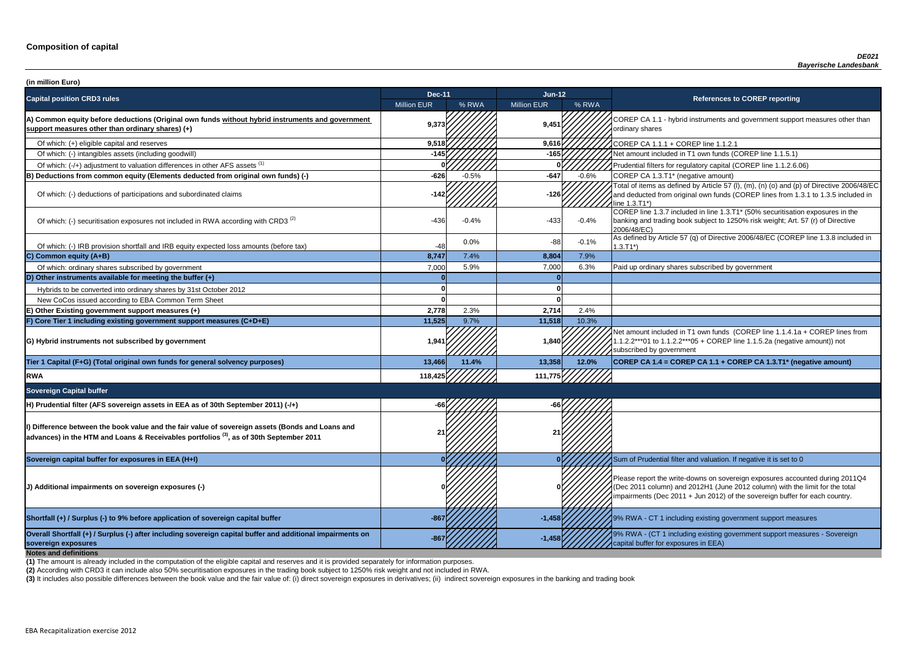**P CA 1.1 - hybrid instruments and government support measures other than** ry shares

of tial filters for regulatory capital (COREP line 1.1.2.6.06)

of items as defined by Article 57 (I), (m), (n) (o) and (p) of Directive 2006/48/EC educted from original own funds (COREP lines from 1.3.1 to 1.3.5 included in  $3.71^*$ 

 $\frac{1}{10}$  line 1.3.7 included in line 1.3.T1\* (50% securitisation exposures in the g and trading book subject to 1250% risk weight; Art. 57 (r) of Directive  $8/EC$ )

of which: IRB provided and IRB provided in and IRB equity expected and IRB equity expected in the URB equity Article 57 (q) of Directive 2006/48/EC (COREP line 1.3.8 included in

nount included in T1 own funds (COREP line 1.1.4.1a + COREP lines from  $2***01$  to 1.1.2.2\*\*\*05 + COREP line 1.1.5.2a (negative amount)) not ibed by government

**P CA 1.4 = COREP CA 1.1 + COREP CA 1.3.T1<sup>\*</sup> (negative amount)** 

report the write-downs on sovereign exposures accounted during 2011Q4 (011 column) and 2012H1 (June 2012 column) with the limit for the total ments (Dec 2011 + Jun 2012) of the sovereign buffer for each country.

**A** - CT 1 including existing government support measures

**sovereign exposures -867 -1,458** 9% RWA - (CT 1 including existing government support measures - Sovereign buffer for exposures in EEA)

| (in million Euro)                                                                                                                                                                                       |                    |         |                    |         |                                                                                                                                                                                   |
|---------------------------------------------------------------------------------------------------------------------------------------------------------------------------------------------------------|--------------------|---------|--------------------|---------|-----------------------------------------------------------------------------------------------------------------------------------------------------------------------------------|
| <b>Capital position CRD3 rules</b>                                                                                                                                                                      | <b>Dec-11</b>      |         | Jun-12             |         | <b>References to COREP reporting</b>                                                                                                                                              |
|                                                                                                                                                                                                         | <b>Million EUR</b> | % RWA   | <b>Million EUR</b> | % RWA   |                                                                                                                                                                                   |
| A) Common equity before deductions (Original own funds without hybrid instruments and government<br>support measures other than ordinary shares) (+)                                                    | 9,373              |         | 9,451              |         | COREP CA 1.1 - hybrid instruments and government suppo<br>ordinary shares                                                                                                         |
| Of which: (+) eligible capital and reserves                                                                                                                                                             | 9,518              |         | 9,616              |         | COREP CA 1.1.1 + COREP line 1.1.2.1                                                                                                                                               |
| Of which: (-) intangibles assets (including goodwill)                                                                                                                                                   | -145               |         | $-165$             |         | Net amount included in T1 own funds (COREP line 1.1.5.1)                                                                                                                          |
| Of which: (-/+) adjustment to valuation differences in other AFS assets <sup>(1)</sup>                                                                                                                  |                    |         |                    |         | Prudential filters for regulatory capital (COREP line 1.1.2.6.                                                                                                                    |
| B) Deductions from common equity (Elements deducted from original own funds) (-)                                                                                                                        | $-626$             | $-0.5%$ | $-647$             | $-0.6%$ | COREP CA 1.3.T1* (negative amount)                                                                                                                                                |
| Of which: (-) deductions of participations and subordinated claims                                                                                                                                      | $-142$             |         | $-126$             |         | Total of items as defined by Article 57 (I), (m), (n) (o) and (p<br>and deducted from original own funds (COREP lines from 1<br>line 1.3.T1*)                                     |
| Of which: (-) securitisation exposures not included in RWA according with CRD3 <sup>(2)</sup>                                                                                                           | $-436$             | $-0.4%$ | $-433$             | $-0.4%$ | COREP line 1.3.7 included in line 1.3.T1* (50% securitisation<br>banking and trading book subject to 1250% risk weight; Art.<br>2006/48/EC)                                       |
| Of which: (-) IRB provision shortfall and IRB equity expected loss amounts (before tax)                                                                                                                 | $-48$              | 0.0%    | $-88$              | $-0.1%$ | As defined by Article 57 (q) of Directive 2006/48/EC (CORE<br>$1.3.T1*)$                                                                                                          |
| C) Common equity (A+B)                                                                                                                                                                                  | 8,747              | 7.4%    | 8,804              | 7.9%    |                                                                                                                                                                                   |
| Of which: ordinary shares subscribed by government                                                                                                                                                      | 7,000              | 5.9%    | 7,000              | 6.3%    | Paid up ordinary shares subscribed by government                                                                                                                                  |
| D) Other instruments available for meeting the buffer $(+)$                                                                                                                                             |                    |         |                    |         |                                                                                                                                                                                   |
| Hybrids to be converted into ordinary shares by 31st October 2012                                                                                                                                       |                    |         |                    |         |                                                                                                                                                                                   |
| New CoCos issued according to EBA Common Term Sheet                                                                                                                                                     |                    |         |                    |         |                                                                                                                                                                                   |
| E) Other Existing government support measures (+)                                                                                                                                                       | 2,778              | 2.3%    | 2,714              | 2.4%    |                                                                                                                                                                                   |
| F) Core Tier 1 including existing government support measures (C+D+E)                                                                                                                                   | 11,525             | 9.7%    | 11,518             | 10.3%   |                                                                                                                                                                                   |
| G) Hybrid instruments not subscribed by government                                                                                                                                                      | 1,941              |         | 1,840              |         | Net amount included in T1 own funds (COREP line 1.1.4.1a<br>1.1.2.2***01 to 1.1.2.2***05 + COREP line 1.1.5.2a (negativ<br>subscribed by government                               |
| Tier 1 Capital (F+G) (Total original own funds for general solvency purposes)                                                                                                                           | 13,466             | 11.4%   | 13,358             | 12.0%   | COREP CA 1.4 = COREP CA 1.1 + COREP CA 1.3.T1* (ne                                                                                                                                |
| <b>RWA</b>                                                                                                                                                                                              | 118,425            |         | 111,775            |         |                                                                                                                                                                                   |
| <b>Sovereign Capital buffer</b>                                                                                                                                                                         |                    |         |                    |         |                                                                                                                                                                                   |
| H) Prudential filter (AFS sovereign assets in EEA as of 30th September 2011) (-/+)                                                                                                                      |                    |         |                    |         |                                                                                                                                                                                   |
| Dip Difference between the book value and the fair value of sovereign assets (Bonds and Loans and<br>advances) in the HTM and Loans & Receivables portfolios <sup>(3)</sup> , as of 30th September 2011 |                    |         |                    |         |                                                                                                                                                                                   |
| Sovereign capital buffer for exposures in EEA (H+I)                                                                                                                                                     |                    |         |                    |         | Sum of Prudential filter and valuation. If negative it is set to                                                                                                                  |
| (J) Additional impairments on sovereign exposures (-)                                                                                                                                                   |                    |         |                    |         | Please report the write-downs on sovereign exposures acco<br>(Dec 2011 column) and 2012H1 (June 2012 column) with th<br>impairments (Dec 2011 + Jun 2012) of the sovereign buffer |
| Shortfall (+) / Surplus (-) to 9% before application of sovereign capital buffer                                                                                                                        | $-867$             |         | $-1,458$           |         | 19% RWA - CT 1 including existing government support mea                                                                                                                          |
| Overall Shortfall (+) / Surplus (-) after including sovereign capital buffer and additional impairments on<br>sovereign exposures<br><b>Notes and definitions</b>                                       |                    |         | $-1,458$           |         | 9% RWA - (CT 1 including existing government support mea<br>capital buffer for exposures in EEA)                                                                                  |

**(2)** According with CRD3 it can include also 50% securitisation exposures in the trading book subject to 1250% risk weight and not included in RWA.

(3) It includes also possible differences between the book value and the fair value of: (i) direct sovereign exposures in derivatives; (ii) indirect sovereign exposures in the banking and trading book

**(1)** The amount is already included in the computation of the eligible capital and reserves and it is provided separately for information purposes.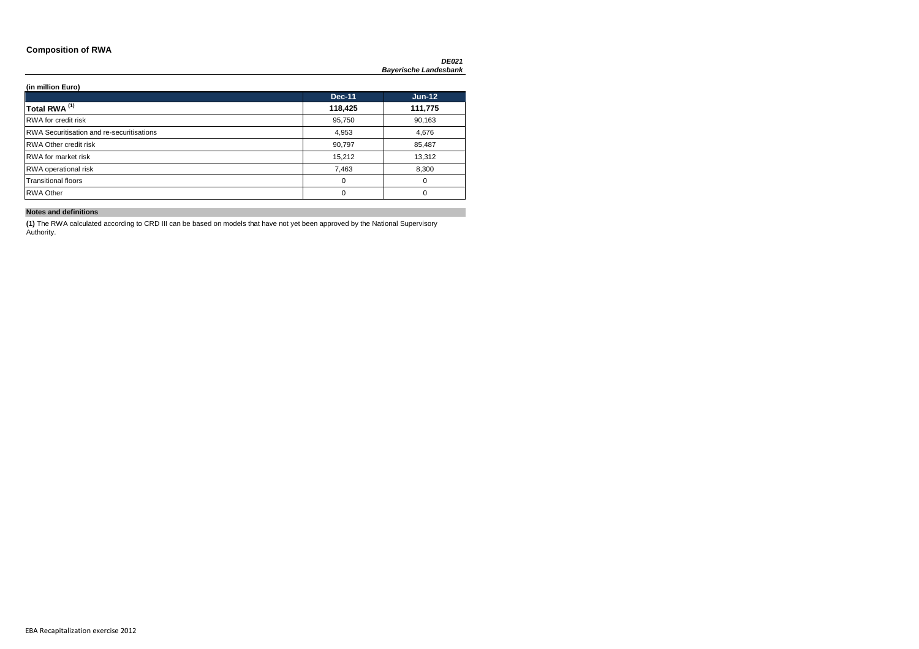### **Composition of RWA**

*DE021 Bayerische Landesbank*

**(in million Euro)**

|                                                  | <b>Dec-11</b> | $Jun-12$ |
|--------------------------------------------------|---------------|----------|
| Total RWA <sup>(1)</sup>                         | 118,425       | 111,775  |
| <b>RWA</b> for credit risk                       | 95,750        | 90,163   |
| <b>RWA Securitisation and re-securitisations</b> | 4,953         | 4,676    |
| <b>RWA Other credit risk</b>                     | 90,797        | 85,487   |
| <b>RWA</b> for market risk                       | 15,212        | 13,312   |
| RWA operational risk                             | 7,463         | 8,300    |
| <b>Transitional floors</b>                       | 0             | 0        |
| <b>RWA Other</b>                                 | 0             | 0        |

**Notes and definitions**

**(1)** The RWA calculated according to CRD III can be based on models that have not yet been approved by the National Supervisory Authority.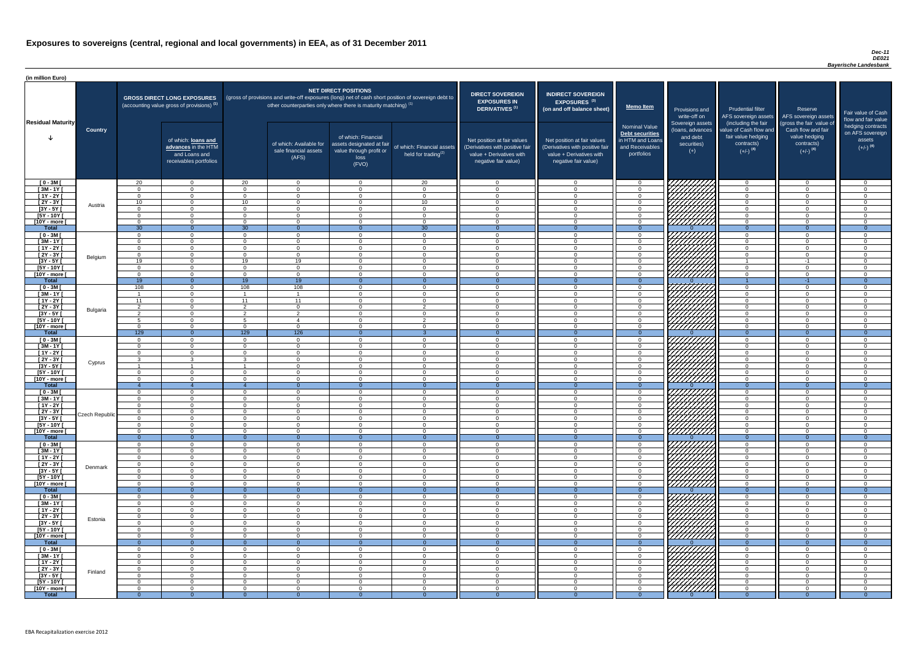### *Dec-11 DE021 Bayerische Landesbank*

| (in million Euro)                   |                |                      |                                                                                             |                             |                                                                      |                                                                                              |                                                                                                     |                                                                                                                    |                                                                                                                    |                                                                                       |                                                                                          |                                                                                                                                     |                                                                                                                                 |                                                                 |
|-------------------------------------|----------------|----------------------|---------------------------------------------------------------------------------------------|-----------------------------|----------------------------------------------------------------------|----------------------------------------------------------------------------------------------|-----------------------------------------------------------------------------------------------------|--------------------------------------------------------------------------------------------------------------------|--------------------------------------------------------------------------------------------------------------------|---------------------------------------------------------------------------------------|------------------------------------------------------------------------------------------|-------------------------------------------------------------------------------------------------------------------------------------|---------------------------------------------------------------------------------------------------------------------------------|-----------------------------------------------------------------|
|                                     |                |                      | <b>GROSS DIRECT LONG EXPOSURES</b><br>(accounting value gross of provisions) <sup>(1)</sup> |                             | other counterparties only where there is maturity matching) $^{(1)}$ | <b>NET DIRECT POSITIONS</b>                                                                  | (gross of provisions and write-off exposures (long) net of cash short position of sovereign debt to | <b>DIRECT SOVEREIGN</b><br><b>EXPOSURES IN</b><br>DERIVATIVES <sup>(1)</sup>                                       | <b>INDIRECT SOVEREIGN</b><br><b>EXPOSURES<sup>(3)</sup></b><br>(on and off balance sheet)                          | <b>Memo Item</b>                                                                      | Provisions and                                                                           | <b>Prudential filter</b>                                                                                                            | Reserve                                                                                                                         | Fair value                                                      |
| <b>Residual Maturity</b>            | <b>Country</b> |                      | of which: loans and<br>advances in the HTM<br>and Loans and<br>receivables portfolios       |                             | of which: Available for<br>sale financial assets<br>(AFS)            | of which: Financial<br>assets designated at fair<br>value through profit or<br>loss<br>(FVO) | of which: Financial assets<br>held for trading <sup>(2)</sup>                                       | Net position at fair values<br>(Derivatives with positive fair<br>value + Derivatives with<br>negative fair value) | Net position at fair values<br>(Derivatives with positive fair<br>value + Derivatives with<br>negative fair value) | Nominal Value<br>Debt securities<br>in HTM and Loans<br>and Receivables<br>portfolios | write-off on<br>Sovereign assets<br>(loans, advances<br>and debt<br>securities)<br>$(+)$ | AFS sovereign assets<br>(including the fair<br>value of Cash flow and<br>fair value hedging<br>contracts)<br>$(+/-)$ <sup>(4)</sup> | AFS sovereign assets<br>(gross the fair value of<br>Cash flow and fair<br>value hedging<br>contracts)<br>$(+/-)$ <sup>(4)</sup> | flow and f<br>hedging o<br>on AFS <sub>s</sub><br>ass<br>$(+/-$ |
| $[0 - 3M]$                          |                | 20                   | $\overline{0}$                                                                              | 20                          | $\overline{0}$                                                       | $\overline{0}$                                                                               | 20                                                                                                  | $\cap$                                                                                                             | $\Omega$                                                                                                           | - 0                                                                                   | 7777777777                                                                               | $\overline{0}$                                                                                                                      | $\overline{0}$                                                                                                                  |                                                                 |
| $[3M - 1Y]$                         |                | $\cap$               | $\overline{0}$                                                                              | $\Omega$                    | $\Omega$                                                             | $\Omega$                                                                                     | $\Omega$                                                                                            | $\Omega$                                                                                                           | $\Omega$                                                                                                           | $\overline{0}$                                                                        |                                                                                          | $\Omega$                                                                                                                            | $\Omega$                                                                                                                        |                                                                 |
| $[1Y - 2Y]$<br>$[2Y - 3Y]$          |                | $\Omega$<br>10       | $\Omega$<br>$\Omega$                                                                        | $\Omega$<br>10 <sup>1</sup> | $\Omega$<br>$\Omega$                                                 | $\Omega$<br>$\Omega$                                                                         | $\Omega$<br>10                                                                                      | $\Omega$<br>$\Omega$                                                                                               | $\cap$<br>$\cap$                                                                                                   | $\Omega$<br>$\Omega$                                                                  |                                                                                          | $\Omega$<br>$\Omega$                                                                                                                | $\Omega$<br>$\Omega$                                                                                                            |                                                                 |
| $[3Y - 5Y]$                         | Austria        | $\Omega$             | $\Omega$                                                                                    | $\Omega$                    | $\overline{0}$                                                       | $\Omega$                                                                                     | $\Omega$                                                                                            | $\Omega$                                                                                                           | $\Omega$                                                                                                           | $\Omega$                                                                              |                                                                                          | $\Omega$                                                                                                                            | $\Omega$                                                                                                                        |                                                                 |
| $[5Y - 10Y]$                        |                | $\Omega$             | $\Omega$                                                                                    | $\Omega$                    | $\Omega$                                                             | $\Omega$                                                                                     | $\Omega$                                                                                            | $\cap$                                                                                                             | $\Omega$                                                                                                           | $\Omega$                                                                              |                                                                                          | $\Omega$                                                                                                                            | $\Omega$                                                                                                                        |                                                                 |
| [10Y - more [<br><b>Total</b>       |                | $\Omega$<br>30       | $\Omega$<br>റ                                                                               | $\overline{0}$<br>30        | $\Omega$<br>$\Omega$                                                 | $\Omega$<br>$\cap$                                                                           | $\Omega$<br>$\overline{30}$                                                                         | $\Omega$                                                                                                           | $\cap$                                                                                                             | $\overline{0}$<br>- 0                                                                 | 777777777                                                                                | $\overline{0}$<br>$\Omega$                                                                                                          | $\Omega$<br>$\Omega$                                                                                                            |                                                                 |
| $[0 - 3M]$                          |                | $\overline{0}$       | $\Omega$                                                                                    | $\overline{0}$              | $\Omega$                                                             | $\Omega$                                                                                     | $\Omega$                                                                                            | $\cap$                                                                                                             | $\Omega$                                                                                                           | $\overline{0}$                                                                        | 777777777                                                                                | $\Omega$                                                                                                                            | $\overline{0}$                                                                                                                  |                                                                 |
| $[3M - 1Y]$                         |                | $\Omega$             | $\Omega$                                                                                    | $\Omega$                    | $\overline{0}$                                                       | $\Omega$                                                                                     | $\Omega$                                                                                            | $\Omega$                                                                                                           | $\Omega$                                                                                                           | $\Omega$                                                                              |                                                                                          | $\Omega$                                                                                                                            | $\overline{0}$                                                                                                                  |                                                                 |
| $[1Y - 2Y]$                         |                | $\Omega$             | $\overline{0}$                                                                              | $\Omega$                    | $\overline{0}$                                                       | $\overline{0}$                                                                               | $\Omega$                                                                                            | $\Omega$                                                                                                           | $\Omega$                                                                                                           | $\overline{0}$                                                                        |                                                                                          | $\overline{0}$                                                                                                                      | $\overline{0}$                                                                                                                  |                                                                 |
| $[2Y - 3Y]$<br>$[3Y - 5Y]$          | Belgium        | $\overline{0}$<br>19 | $\Omega$<br>$\Omega$                                                                        | $\Omega$<br>19              | $\overline{0}$<br>19                                                 | $\Omega$<br>$\Omega$                                                                         | $\Omega$<br>$\cap$                                                                                  | $\Omega$<br>$\Omega$                                                                                               | $\Omega$<br>$\cap$                                                                                                 | $\overline{0}$<br>$\Omega$                                                            |                                                                                          | $\Omega$                                                                                                                            | $\overline{0}$<br>$-1$                                                                                                          |                                                                 |
| $[5Y - 10Y]$                        |                | $\Omega$             | $\Omega$                                                                                    | $\Omega$                    | $\overline{0}$                                                       | $\Omega$                                                                                     |                                                                                                     |                                                                                                                    |                                                                                                                    | $\Omega$                                                                              | <u>VIIII</u> IIIA                                                                        | $\Omega$                                                                                                                            | $\Omega$                                                                                                                        |                                                                 |
| [10Y - more [                       |                | $\Omega$             | $\Omega$                                                                                    | $\Omega$                    | $\Omega$                                                             | $\Omega$                                                                                     |                                                                                                     |                                                                                                                    | $\cap$                                                                                                             | $\Omega$                                                                              | 777777777                                                                                | $\Omega$                                                                                                                            | $\Omega$                                                                                                                        |                                                                 |
| <b>Total</b>                        |                | 19                   | $\Omega$                                                                                    | 19                          | $\overline{19}$                                                      | $\Omega$                                                                                     | $\Omega$<br>$\cap$                                                                                  |                                                                                                                    | $\Omega$                                                                                                           | $\overline{0}$                                                                        |                                                                                          |                                                                                                                                     | $-1$                                                                                                                            |                                                                 |
| $[0 - 3M]$<br>$[3M - 1Y]$           |                | 108                  | $\Omega$<br>$\Omega$                                                                        | 108<br>- 1                  | 108<br>$\overline{1}$                                                | $\Omega$<br>$\Omega$                                                                         | $\cap$                                                                                              | $\cap$                                                                                                             | $\cap$<br>$\Omega$                                                                                                 | $\Omega$<br>$\Omega$                                                                  |                                                                                          | $\overline{0}$<br>$\overline{0}$                                                                                                    | $\Omega$<br>$\Omega$                                                                                                            |                                                                 |
| $[1Y - 2Y]$                         |                | 11                   | $\Omega$                                                                                    | 11                          | 11                                                                   | $\Omega$                                                                                     | $\cap$                                                                                              | $\cap$                                                                                                             | $\cap$                                                                                                             | $\Omega$                                                                              |                                                                                          | $\overline{0}$                                                                                                                      | $\Omega$                                                                                                                        |                                                                 |
| $[2Y - 3Y]$                         | Bulgaria       | 2                    | $\Omega$                                                                                    | $\mathcal{P}$               | $\Omega$                                                             | $\Omega$                                                                                     | $\overline{2}$                                                                                      | $\cap$                                                                                                             | $\cap$                                                                                                             | $\Omega$                                                                              | <i>WAHAA</i>                                                                             | $\Omega$                                                                                                                            | $\overline{0}$                                                                                                                  |                                                                 |
| $[3Y - 5Y]$<br>$[5Y - 10Y]$         |                |                      | $\Omega$                                                                                    | $5^{\circ}$                 | $\overline{4}$                                                       | $\Omega$                                                                                     | ົາ                                                                                                  |                                                                                                                    | $\Omega$                                                                                                           | $\Omega$                                                                              | \ <i>\HHHH\</i>                                                                          | $\Omega$                                                                                                                            | $\Omega$                                                                                                                        |                                                                 |
| [10Y - more [                       |                | $\Omega$             | $\Omega$                                                                                    | $\Omega$                    | $\overline{0}$                                                       | $\Omega$                                                                                     |                                                                                                     |                                                                                                                    | $\Omega$                                                                                                           | $\Omega$                                                                              | ////////                                                                                 | $\Omega$                                                                                                                            | $\Omega$                                                                                                                        |                                                                 |
| <b>Total</b>                        |                | 129                  | $\Omega$                                                                                    | 129                         | 126                                                                  | - 0                                                                                          |                                                                                                     |                                                                                                                    |                                                                                                                    | $\Omega$                                                                              |                                                                                          | $\overline{0}$                                                                                                                      | $\Omega$                                                                                                                        |                                                                 |
| $[0 - 3M]$                          |                | $\cap$               | $\Omega$                                                                                    | $\Omega$                    | $\Omega$                                                             | $\Omega$                                                                                     |                                                                                                     | ◠                                                                                                                  | $\Omega$                                                                                                           | $\cap$                                                                                |                                                                                          | $\Omega$                                                                                                                            | $\Omega$                                                                                                                        |                                                                 |
| $[3M - 1Y]$<br>$\overline{[1Y-2Y]}$ |                | $\Omega$             | $\Omega$<br>$\Omega$                                                                        | $\Omega$<br>$\Omega$        | $\Omega$<br>$\Omega$                                                 | $\Omega$<br>$\Omega$                                                                         |                                                                                                     |                                                                                                                    | ∩                                                                                                                  | $\Omega$<br>$\Omega$                                                                  | <b>17777</b>                                                                             | $\Omega$<br>$\Omega$                                                                                                                | $\Omega$<br>$\Omega$                                                                                                            |                                                                 |
| $\overline{[2Y-3Y]}$                |                |                      |                                                                                             | -3                          | $\Omega$                                                             | $\Omega$                                                                                     | $\Omega$                                                                                            |                                                                                                                    | $\Omega$                                                                                                           | - 0                                                                                   |                                                                                          | $\Omega$                                                                                                                            | $\Omega$                                                                                                                        |                                                                 |
| $[3Y - 5Y]$                         | Cyprus         |                      |                                                                                             |                             | $\Omega$                                                             | - റ                                                                                          | $\cap$                                                                                              | $\cap$                                                                                                             | $\Omega$                                                                                                           | $\Omega$                                                                              |                                                                                          | $\Omega$                                                                                                                            | $\Omega$                                                                                                                        |                                                                 |
| $[5Y - 10Y]$                        |                | $\Omega$             | $\Omega$<br>$\Omega$                                                                        | $\Omega$<br>$\Omega$        | $\Omega$<br>$\Omega$                                                 | $\Omega$                                                                                     | $\Omega$<br>$\Omega$                                                                                | $\Omega$                                                                                                           | $\Omega$<br>$\Omega$                                                                                               | $\Omega$<br>$\Omega$                                                                  |                                                                                          | $\Omega$                                                                                                                            | $\Omega$<br>$\Omega$                                                                                                            |                                                                 |
| [10Y - more [<br><b>Total</b>       |                |                      |                                                                                             |                             | - റ                                                                  | $\Omega$                                                                                     |                                                                                                     |                                                                                                                    |                                                                                                                    | $\Omega$                                                                              |                                                                                          | $\overline{0}$<br>$\Omega$                                                                                                          | $\Omega$                                                                                                                        |                                                                 |
| $[0 - 3M]$                          |                | $\cap$               | $\Omega$                                                                                    | $\Omega$                    | $\Omega$                                                             | $\Omega$                                                                                     | $\Omega$                                                                                            |                                                                                                                    | $\Omega$                                                                                                           | $\cap$                                                                                |                                                                                          | $\Omega$                                                                                                                            | $\Omega$                                                                                                                        |                                                                 |
| $\sqrt{3M-11}$                      |                | $\Omega$             | $\overline{0}$                                                                              | $\Omega$                    | $\overline{0}$                                                       | $\Omega$                                                                                     | $\Omega$                                                                                            | $\Omega$                                                                                                           | $\Omega$                                                                                                           | $\overline{0}$                                                                        | 777777777                                                                                | $\overline{0}$                                                                                                                      | $\Omega$                                                                                                                        |                                                                 |
| $[1Y - 2Y]$<br>$\boxed{2Y - 3Y}$    |                | $\Omega$<br>$\Omega$ | $\Omega$<br>$\Omega$                                                                        | $\Omega$<br>- റ             | $\overline{0}$<br>$\Omega$                                           | $\Omega$<br>$\Omega$                                                                         | $\Omega$                                                                                            | $\Omega$                                                                                                           | $\Omega$<br>$\Omega$                                                                                               | $\Omega$<br>$\Omega$                                                                  |                                                                                          | $\overline{0}$<br>$\Omega$                                                                                                          | $\overline{0}$<br>$\Omega$                                                                                                      |                                                                 |
| $\overline{[3Y - 5Y]}$              | Czech Republic |                      | $\overline{0}$                                                                              | $\Omega$                    | $\overline{0}$                                                       | $\Omega$                                                                                     |                                                                                                     |                                                                                                                    | $\Omega$                                                                                                           | $\Omega$                                                                              |                                                                                          | $\overline{0}$                                                                                                                      | $\overline{0}$                                                                                                                  |                                                                 |
| $[5Y - 10Y]$                        |                |                      | $\Omega$                                                                                    | - റ                         | $\Omega$                                                             | $\Omega$                                                                                     |                                                                                                     |                                                                                                                    | $\Omega$                                                                                                           | $\Omega$                                                                              |                                                                                          | $\Omega$                                                                                                                            | $\Omega$                                                                                                                        |                                                                 |
| [10Y - more [                       |                | $\cap$               | $\Omega$                                                                                    | - 0                         | $\Omega$                                                             | $\Omega$                                                                                     |                                                                                                     |                                                                                                                    | $\cap$                                                                                                             | $\cap$<br>$\Omega$                                                                    | 77777777                                                                                 | $\Omega$                                                                                                                            | $\Omega$                                                                                                                        |                                                                 |
| <b>Total</b><br>$[0 - 3M]$          |                | $\Omega$<br>$\cap$   | $\overline{0}$<br>$\Omega$                                                                  | $\Omega$<br>- 0             | $\Omega$<br>$\overline{0}$                                           | - 0<br>$\Omega$                                                                              | $\overline{0}$<br>$\cap$                                                                            | $\cap$                                                                                                             | $\Omega$                                                                                                           | $\Omega$                                                                              |                                                                                          | $\overline{0}$<br>$\Omega$                                                                                                          | $\Omega$<br>$\Omega$                                                                                                            |                                                                 |
| $[3M - 1Y]$                         |                | $\cap$               | $\Omega$                                                                                    | $\Omega$                    | $\Omega$                                                             | $\Omega$                                                                                     | $\cap$                                                                                              | $\cap$                                                                                                             | $\cap$                                                                                                             | $\Omega$                                                                              |                                                                                          | $\overline{0}$                                                                                                                      | $\Omega$                                                                                                                        |                                                                 |
| $[1Y - 2Y]$                         |                | $\Omega$             | $\overline{0}$                                                                              | $\Omega$                    | $\overline{0}$                                                       | $\overline{0}$                                                                               | $\Omega$                                                                                            | $\cap$                                                                                                             | $\cap$                                                                                                             | $\Omega$                                                                              |                                                                                          | $\overline{0}$                                                                                                                      | $\Omega$                                                                                                                        |                                                                 |
| $\overline{[2Y-3Y]}$<br>$[3Y - 5Y]$ | Denmark        | $\Omega$<br>$\Omega$ | $\Omega$<br>$\Omega$                                                                        | $\Omega$<br>$\Omega$        | $\overline{0}$<br>$\Omega$                                           | $\Omega$<br>$\Omega$                                                                         | $\Omega$<br>$\Omega$                                                                                | $\cap$<br>$\Omega$                                                                                                 | $\cap$<br>$\Omega$                                                                                                 | $\Omega$<br>$\Omega$                                                                  |                                                                                          | $\overline{0}$<br>$\overline{0}$                                                                                                    | $\Omega$<br>$\Omega$                                                                                                            |                                                                 |
| $[5Y - 10Y]$                        |                | $\Omega$             | $\overline{0}$                                                                              | $\Omega$                    | $\overline{0}$                                                       | $\overline{0}$                                                                               | $\Omega$                                                                                            | $\Omega$                                                                                                           | $\Omega$                                                                                                           | $\Omega$                                                                              | UMM)                                                                                     | $\overline{0}$                                                                                                                      | $\Omega$                                                                                                                        |                                                                 |
| [10Y - more                         |                | $\Omega$             | $\Omega$                                                                                    | $\Omega$                    | $\overline{0}$                                                       | $\Omega$                                                                                     | $\Omega$                                                                                            | $\Omega$                                                                                                           | $\Omega$                                                                                                           | $\Omega$                                                                              | 77777777                                                                                 | $\overline{0}$                                                                                                                      | $\Omega$                                                                                                                        |                                                                 |
| <b>Total</b>                        |                | $\overline{0}$       | $\overline{0}$                                                                              | $\Omega$                    | $\Omega$                                                             | $\cap$                                                                                       | $\Omega$                                                                                            |                                                                                                                    | $\Omega$                                                                                                           | $\Omega$                                                                              |                                                                                          | $\overline{0}$                                                                                                                      | $\Omega$                                                                                                                        |                                                                 |
| $[0 - 3M]$<br>$[3M - 1Y]$           |                | $\Omega$             | $\Omega$<br>$\Omega$                                                                        | $\Omega$<br>$\Omega$        | $\overline{0}$<br>$\Omega$                                           | $\Omega$<br>$\Omega$                                                                         |                                                                                                     |                                                                                                                    | $\Omega$                                                                                                           | $\Omega$<br>$\Omega$                                                                  |                                                                                          | $\Omega$<br>$\Omega$                                                                                                                | $\Omega$<br>$\Omega$                                                                                                            |                                                                 |
| $[1Y - 2Y]$                         |                |                      | $\Omega$                                                                                    | $\Omega$                    | $\Omega$                                                             | $\Omega$                                                                                     |                                                                                                     |                                                                                                                    | $\Omega$                                                                                                           | $\cap$                                                                                | 177                                                                                      | $\Omega$                                                                                                                            | $\Omega$                                                                                                                        |                                                                 |
| $[2Y - 3Y]$                         | Estonia        | $\cap$               | $\Omega$                                                                                    | $\Omega$                    | $\overline{0}$                                                       | $\Omega$                                                                                     | $\cap$                                                                                              |                                                                                                                    | $\Omega$                                                                                                           | $\cap$                                                                                | レンソン                                                                                     | $\Omega$                                                                                                                            | $\Omega$                                                                                                                        |                                                                 |
| $\overline{3Y - 5Y}$                |                | $\Omega$<br>$\cap$   | $\Omega$                                                                                    | $\Omega$                    | $\Omega$                                                             | $\Omega$                                                                                     | $\cap$<br>$\cap$                                                                                    |                                                                                                                    | $\Omega$<br>$\Omega$                                                                                               | $\Omega$<br>$\cap$                                                                    | レンナ                                                                                      | $\Omega$<br>$\Omega$                                                                                                                | $\Omega$                                                                                                                        |                                                                 |
| $[5Y - 10Y]$<br>[10Y - more [       |                | $\cap$               | $\Omega$<br>$\Omega$                                                                        | $\Omega$<br>$\Omega$        | $\Omega$<br>$\Omega$                                                 | $\Omega$<br>റ                                                                                | $\cap$                                                                                              | $\cap$                                                                                                             | $\Omega$                                                                                                           | $\cap$                                                                                | · <i>////</i>                                                                            | $\Omega$                                                                                                                            | $\Omega$<br>$\Omega$                                                                                                            |                                                                 |
| <b>Total</b>                        |                | $\Omega$             |                                                                                             | $\Omega$                    | $\Omega$                                                             |                                                                                              |                                                                                                     |                                                                                                                    |                                                                                                                    |                                                                                       |                                                                                          | $\Omega$                                                                                                                            |                                                                                                                                 |                                                                 |
| $[0 - 3M]$                          |                |                      | $\Omega$                                                                                    | $\cap$                      | $\Omega$                                                             | $\Omega$                                                                                     |                                                                                                     |                                                                                                                    | $\cap$                                                                                                             | $\cap$                                                                                | WWWW                                                                                     | $\Omega$                                                                                                                            | $\Omega$                                                                                                                        |                                                                 |
| $[3M - 1Y]$<br>$[1Y - 2Y]$          |                | $\Omega$<br>$\Omega$ | $\Omega$<br>$\overline{0}$                                                                  | $\Omega$<br>$\Omega$        | $\overline{0}$<br>$\overline{0}$                                     | $\overline{0}$<br>$\overline{0}$                                                             | $\Omega$<br>$\Omega$                                                                                | $\Omega$<br>$\Omega$                                                                                               | $\Omega$<br>$\Omega$                                                                                               | $\Omega$<br>$\overline{0}$                                                            | <i>WIIIIA</i>                                                                            | $\overline{0}$<br>$\overline{0}$                                                                                                    | $\overline{0}$<br>$\overline{0}$                                                                                                |                                                                 |
| $[2Y - 3Y]$                         |                | $\Omega$             | $\overline{0}$                                                                              | $\Omega$                    | $\overline{0}$                                                       | $\overline{0}$                                                                               | $\Omega$                                                                                            | $\Omega$                                                                                                           | $\Omega$                                                                                                           | $\overline{0}$                                                                        |                                                                                          | $\overline{0}$                                                                                                                      | $\Omega$                                                                                                                        |                                                                 |
| $[3Y - 5Y]$                         | Finland        | $\Omega$             | $\overline{0}$                                                                              | $\Omega$                    | $\overline{0}$                                                       | $\Omega$                                                                                     | $\Omega$                                                                                            | $\Omega$                                                                                                           | $\overline{0}$                                                                                                     | $\Omega$                                                                              |                                                                                          | $\overline{0}$                                                                                                                      | $\Omega$                                                                                                                        | $\cap$                                                          |
| $[5Y - 10Y]$                        |                |                      | $\overline{0}$                                                                              | - റ                         | $\overline{0}$                                                       | $\Omega$                                                                                     |                                                                                                     |                                                                                                                    | $\Omega$                                                                                                           | $\Omega$                                                                              | CHANA<br>CHANA                                                                           | $\Omega$                                                                                                                            | $\Omega$                                                                                                                        | $\cap$                                                          |
| [10Y - more [<br><b>Total</b>       |                | $\Omega$             | $\overline{0}$                                                                              | $\Omega$<br>$\Omega$        | $\Omega$<br>$\Omega$                                                 | $\Omega$                                                                                     |                                                                                                     |                                                                                                                    | $\Omega$                                                                                                           | $\Omega$                                                                              |                                                                                          | $\Omega$<br>$\Omega$                                                                                                                | $\Omega$                                                                                                                        | C                                                               |
|                                     |                |                      |                                                                                             |                             |                                                                      |                                                                                              |                                                                                                     |                                                                                                                    |                                                                                                                    |                                                                                       |                                                                                          |                                                                                                                                     |                                                                                                                                 |                                                                 |

| <b>DIRECT SOVEREIGN</b><br><b>EXPOSURES IN</b><br><b>DERIVATIVES<sup>(1)</sup></b><br>Net position at fair values<br>(Derivatives with positive fair<br>value + Derivatives with<br>negative fair value) | <b>INDIRECT SOVEREIGN</b><br><b>EXPOSURES<sup>(3)</sup></b><br>(on and off balance sheet)<br>Net position at fair values<br>(Derivatives with positive fair<br>value + Derivatives with<br>negative fair value) | <b>Memo Item</b><br><b>Nominal Value</b><br>Debt securities<br>in HTM and Loans<br>and Receivables<br>portfolios | Provisions and<br>write-off on<br>Sovereign assets<br>(Ioans, advances<br>and debt<br>securities)<br>$(+)$ | <b>Prudential filter</b><br>AFS sovereign assets<br>(including the fair<br>value of Cash flow and<br>fair value hedging<br>contracts)<br>$(+/-)$ <sup>(4)</sup> | Reserve<br>AFS sovereign assets<br>(gross the fair value of<br>Cash flow and fair<br>value hedging<br>contracts)<br>$(+/-)$ <sup>(4)</sup> | Fair value of Cash<br>flow and fair value<br>hedging contracts<br>on AFS sovereign<br>assets<br>$(+/-)$ <sup>(4)</sup> |
|----------------------------------------------------------------------------------------------------------------------------------------------------------------------------------------------------------|-----------------------------------------------------------------------------------------------------------------------------------------------------------------------------------------------------------------|------------------------------------------------------------------------------------------------------------------|------------------------------------------------------------------------------------------------------------|-----------------------------------------------------------------------------------------------------------------------------------------------------------------|--------------------------------------------------------------------------------------------------------------------------------------------|------------------------------------------------------------------------------------------------------------------------|
| $\Omega$                                                                                                                                                                                                 | 0                                                                                                                                                                                                               | $\mathbf 0$                                                                                                      |                                                                                                            | $\mathbf 0$                                                                                                                                                     | $\mathbf 0$                                                                                                                                | $\mathbf 0$                                                                                                            |
| $\mathbf 0$                                                                                                                                                                                              | 0                                                                                                                                                                                                               | $\pmb{0}$                                                                                                        |                                                                                                            | $\mathbf 0$                                                                                                                                                     | 0                                                                                                                                          | $\mathbf 0$                                                                                                            |
| $\mathbf 0$                                                                                                                                                                                              | $\pmb{0}$                                                                                                                                                                                                       | $\pmb{0}$                                                                                                        |                                                                                                            | $\pmb{0}$                                                                                                                                                       | $\mathbf 0$                                                                                                                                | $\mathsf 0$                                                                                                            |
| $\mathbf 0$                                                                                                                                                                                              | $\mathbf 0$                                                                                                                                                                                                     | $\boldsymbol{0}$                                                                                                 |                                                                                                            | $\mathbf 0$                                                                                                                                                     | $\mathbf 0$                                                                                                                                | $\mathbf 0$                                                                                                            |
| $\mathbf 0$<br>$\mathbf 0$                                                                                                                                                                               | $\mathbf 0$<br>$\mathbf 0$                                                                                                                                                                                      | $\pmb{0}$<br>$\mathbf 0$                                                                                         |                                                                                                            | $\pmb{0}$<br>$\mathbf 0$                                                                                                                                        | $\pmb{0}$<br>$\mathbf 0$                                                                                                                   | $\mathsf 0$<br>$\mathbf 0$                                                                                             |
| $\mathbf 0$                                                                                                                                                                                              | $\mathbf 0$                                                                                                                                                                                                     | $\pmb{0}$                                                                                                        |                                                                                                            | $\mathbf 0$                                                                                                                                                     | $\mathbf 0$                                                                                                                                | $\mathbf 0$                                                                                                            |
| $\mathbf{0}$                                                                                                                                                                                             | $\overline{0}$                                                                                                                                                                                                  | $\overline{0}$                                                                                                   | $\Omega$                                                                                                   | $\overline{0}$                                                                                                                                                  | $\overline{0}$                                                                                                                             | $\overline{0}$                                                                                                         |
| $\mathbf 0$                                                                                                                                                                                              | $\mathbf 0$                                                                                                                                                                                                     | $\pmb{0}$                                                                                                        |                                                                                                            | $\mathbf 0$                                                                                                                                                     | $\mathbf 0$                                                                                                                                | $\mathbf 0$                                                                                                            |
| $\mathbf 0$                                                                                                                                                                                              | $\mathbf 0$                                                                                                                                                                                                     | $\mathbf 0$                                                                                                      |                                                                                                            | $\mathbf 0$                                                                                                                                                     | $\mathbf 0$                                                                                                                                | $\mathbf 0$                                                                                                            |
| $\mathbf 0$                                                                                                                                                                                              | $\mathbf 0$                                                                                                                                                                                                     | $\pmb{0}$                                                                                                        |                                                                                                            | 0                                                                                                                                                               | $\mathbf 0$                                                                                                                                | $\mathbf 0$                                                                                                            |
| $\mathbf 0$                                                                                                                                                                                              | $\mathbf 0$                                                                                                                                                                                                     | $\mathbf 0$                                                                                                      |                                                                                                            | 0                                                                                                                                                               | $\mathbf 0$                                                                                                                                | $\mathbf 0$                                                                                                            |
| $\mathbf 0$                                                                                                                                                                                              | $\mathbf 0$                                                                                                                                                                                                     | $\pmb{0}$                                                                                                        |                                                                                                            | 1                                                                                                                                                               | $-1$                                                                                                                                       | $\mathbf 0$                                                                                                            |
| $\mathbf 0$<br>$\pmb{0}$                                                                                                                                                                                 | 0<br>$\mathbf 0$                                                                                                                                                                                                | $\mathbf 0$<br>$\pmb{0}$                                                                                         |                                                                                                            | 0<br>0                                                                                                                                                          | $\mathbf 0$<br>$\mathbf 0$                                                                                                                 | $\mathbf 0$<br>$\mathbf 0$                                                                                             |
| $\mathbf{0}$                                                                                                                                                                                             | $\overline{0}$                                                                                                                                                                                                  | $\overline{0}$                                                                                                   |                                                                                                            |                                                                                                                                                                 | $-1$                                                                                                                                       | $\overline{0}$                                                                                                         |
| $\mathbf 0$                                                                                                                                                                                              | $\mathbf 0$                                                                                                                                                                                                     | $\pmb{0}$                                                                                                        |                                                                                                            | $\mathbf 0$                                                                                                                                                     | $\mathbf 0$                                                                                                                                | $\mathbf 0$                                                                                                            |
| $\mathbf 0$                                                                                                                                                                                              | $\mathbf 0$                                                                                                                                                                                                     | $\mathbf 0$                                                                                                      |                                                                                                            | $\mathbf 0$                                                                                                                                                     | $\mathbf 0$                                                                                                                                | $\mathbf 0$                                                                                                            |
| $\mathbf 0$                                                                                                                                                                                              | $\mathbf 0$                                                                                                                                                                                                     | $\mathbf 0$                                                                                                      |                                                                                                            | $\mathbf 0$                                                                                                                                                     | $\overline{0}$                                                                                                                             | $\mathbf 0$                                                                                                            |
| $\mathbf 0$                                                                                                                                                                                              | $\mathbf 0$                                                                                                                                                                                                     | $\mathbf 0$                                                                                                      |                                                                                                            | $\mathbf 0$                                                                                                                                                     | $\mathbf 0$                                                                                                                                | $\mathbf 0$                                                                                                            |
| $\mathbf{0}$                                                                                                                                                                                             | $\Omega$                                                                                                                                                                                                        | $\Omega$                                                                                                         |                                                                                                            | $\Omega$                                                                                                                                                        | $\Omega$                                                                                                                                   | $\Omega$                                                                                                               |
| 0                                                                                                                                                                                                        | 0                                                                                                                                                                                                               | 0                                                                                                                |                                                                                                            | 0                                                                                                                                                               | 0                                                                                                                                          | 0                                                                                                                      |
| 0<br>$\mathbf{0}$                                                                                                                                                                                        | $\mathbf 0$<br>$\overline{0}$                                                                                                                                                                                   | 0<br>$\mathbf{0}$                                                                                                | $\overline{0}$                                                                                             | $\mathbf{0}$<br>$\overline{0}$                                                                                                                                  | 0<br>$\overline{0}$                                                                                                                        | $\mathbf 0$<br>$\overline{0}$                                                                                          |
| $\mathbf 0$                                                                                                                                                                                              | 0                                                                                                                                                                                                               | $\pmb{0}$                                                                                                        |                                                                                                            | $\mathbf 0$                                                                                                                                                     | 0                                                                                                                                          | 0                                                                                                                      |
| $\mathbf 0$                                                                                                                                                                                              | $\mathbf 0$                                                                                                                                                                                                     | $\pmb{0}$                                                                                                        |                                                                                                            | $\mathbf 0$                                                                                                                                                     | $\mathbf 0$                                                                                                                                | 0                                                                                                                      |
| $\mathbf 0$                                                                                                                                                                                              | $\mathbf 0$                                                                                                                                                                                                     | $\pmb{0}$                                                                                                        |                                                                                                            | $\mathbf 0$                                                                                                                                                     | $\mathsf 0$                                                                                                                                | 0                                                                                                                      |
| $\boldsymbol{0}$                                                                                                                                                                                         | $\boldsymbol{0}$                                                                                                                                                                                                | $\pmb{0}$                                                                                                        |                                                                                                            | $\mathbf 0$                                                                                                                                                     | $\mathsf 0$                                                                                                                                | $\pmb{0}$                                                                                                              |
| $\boldsymbol{0}$                                                                                                                                                                                         | $\boldsymbol{0}$                                                                                                                                                                                                | $\pmb{0}$                                                                                                        |                                                                                                            | $\mathbf 0$                                                                                                                                                     | $\mathsf 0$                                                                                                                                | 0                                                                                                                      |
| $\mathbf 0$                                                                                                                                                                                              | $\mathbf 0$                                                                                                                                                                                                     | $\pmb{0}$                                                                                                        |                                                                                                            | $\mathbf 0$                                                                                                                                                     | $\mathbf 0$                                                                                                                                | $\mathbf 0$                                                                                                            |
| $\mathbf 0$<br>$\mathbf{0}$                                                                                                                                                                              | $\mathbf 0$<br>$\overline{0}$                                                                                                                                                                                   | $\pmb{0}$<br>$\mathbf 0$                                                                                         | $\overline{0}$                                                                                             | 0<br>$\mathbf{0}$                                                                                                                                               | $\mathbf 0$<br>$\overline{0}$                                                                                                              | $\mathbf 0$<br>$\mathbf 0$                                                                                             |
| $\mathbf 0$                                                                                                                                                                                              | 0                                                                                                                                                                                                               | $\mathbf 0$                                                                                                      |                                                                                                            | 0                                                                                                                                                               | $\mathbf 0$                                                                                                                                | 0                                                                                                                      |
| $\boldsymbol{0}$                                                                                                                                                                                         | 0                                                                                                                                                                                                               | $\pmb{0}$                                                                                                        |                                                                                                            | $\mathbf 0$                                                                                                                                                     | $\mathsf 0$                                                                                                                                | 0                                                                                                                      |
| $\mathbf 0$                                                                                                                                                                                              | 0                                                                                                                                                                                                               | $\pmb{0}$                                                                                                        |                                                                                                            | $\mathbf 0$                                                                                                                                                     | $\mathbf 0$                                                                                                                                | 0                                                                                                                      |
| 0                                                                                                                                                                                                        | 0                                                                                                                                                                                                               | $\mathbf 0$                                                                                                      |                                                                                                            | 0                                                                                                                                                               | 0                                                                                                                                          | 0                                                                                                                      |
| 0                                                                                                                                                                                                        | 0                                                                                                                                                                                                               | $\mathbf 0$                                                                                                      |                                                                                                            | 0                                                                                                                                                               | 0                                                                                                                                          | 0                                                                                                                      |
| 0                                                                                                                                                                                                        | 0                                                                                                                                                                                                               | $\pmb{0}$                                                                                                        |                                                                                                            | 0                                                                                                                                                               | 0                                                                                                                                          | 0                                                                                                                      |
| $\mathbf 0$<br>$\mathbf{0}$                                                                                                                                                                              | 0<br>$\overline{0}$                                                                                                                                                                                             | $\pmb{0}$<br>$\boldsymbol{0}$                                                                                    | $\overline{0}$                                                                                             | 0<br>$\mathbf{0}$                                                                                                                                               | $\mathbf 0$<br>$\overline{0}$                                                                                                              | $\pmb{0}$<br>$\overline{0}$                                                                                            |
| $\mathbf 0$                                                                                                                                                                                              | 0                                                                                                                                                                                                               | $\mathbf 0$                                                                                                      | $77\%$                                                                                                     | 0                                                                                                                                                               | $\mathbf 0$                                                                                                                                | 0                                                                                                                      |
| $\mathbf 0$                                                                                                                                                                                              | $\mathbf 0$                                                                                                                                                                                                     | $\pmb{0}$                                                                                                        |                                                                                                            | $\mathbf 0$                                                                                                                                                     | $\mathbf 0$                                                                                                                                | $\mathbf 0$                                                                                                            |
| $\mathbf 0$                                                                                                                                                                                              | $\mathbf 0$                                                                                                                                                                                                     | $\pmb{0}$                                                                                                        |                                                                                                            | $\mathbf 0$                                                                                                                                                     | $\mathbf 0$                                                                                                                                | $\mathbf 0$                                                                                                            |
| 0                                                                                                                                                                                                        | $\mathbf 0$                                                                                                                                                                                                     | $\mathbf 0$                                                                                                      |                                                                                                            | $\mathbf 0$                                                                                                                                                     | $\mathbf 0$                                                                                                                                | $\mathbf 0$                                                                                                            |
| $\mathbf 0$                                                                                                                                                                                              | $\mathbf 0$                                                                                                                                                                                                     | $\pmb{0}$                                                                                                        |                                                                                                            | $\mathbf 0$                                                                                                                                                     | $\mathsf 0$                                                                                                                                | $\mathbf 0$                                                                                                            |
| $\mathbf 0$<br>$\mathbf 0$                                                                                                                                                                               | $\mathbf 0$<br>$\boldsymbol{0}$                                                                                                                                                                                 | $\pmb{0}$<br>$\pmb{0}$                                                                                           |                                                                                                            | $\mathbf 0$<br>$\pmb{0}$                                                                                                                                        | $\pmb{0}$<br>$\boldsymbol{0}$                                                                                                              | $\pmb{0}$<br>0                                                                                                         |
| $\mathbf{0}$                                                                                                                                                                                             | $\overline{0}$                                                                                                                                                                                                  | $\mathbf{0}$                                                                                                     | $\overline{0}$                                                                                             | $\mathbf{0}$                                                                                                                                                    | $\overline{0}$                                                                                                                             | $\overline{0}$                                                                                                         |
| $\mathbf 0$                                                                                                                                                                                              | $\mathbf 0$                                                                                                                                                                                                     | $\pmb{0}$                                                                                                        |                                                                                                            | $\mathbf 0$                                                                                                                                                     | 0                                                                                                                                          | $\pmb{0}$                                                                                                              |
| $\mathbf 0$                                                                                                                                                                                              | $\mathbf 0$                                                                                                                                                                                                     | $\pmb{0}$                                                                                                        |                                                                                                            | 0                                                                                                                                                               | 0                                                                                                                                          | $\pmb{0}$                                                                                                              |
| $\mathbf 0$                                                                                                                                                                                              | $\mathbf 0$                                                                                                                                                                                                     | $\pmb{0}$                                                                                                        |                                                                                                            | $\pmb{0}$                                                                                                                                                       | 0                                                                                                                                          | $\pmb{0}$                                                                                                              |
| $\boldsymbol{0}$                                                                                                                                                                                         | $\boldsymbol{0}$                                                                                                                                                                                                | $\pmb{0}$                                                                                                        |                                                                                                            | $\pmb{0}$                                                                                                                                                       | $\mathsf 0$                                                                                                                                | $\pmb{0}$                                                                                                              |
| $\boldsymbol{0}$                                                                                                                                                                                         | $\boldsymbol{0}$                                                                                                                                                                                                | $\pmb{0}$                                                                                                        |                                                                                                            | $\mathbf 0$                                                                                                                                                     | $\mathsf 0$                                                                                                                                | $\pmb{0}$                                                                                                              |
| $\mathbf 0$<br>$\mathbf 0$                                                                                                                                                                               | $\boldsymbol{0}$<br>$\boldsymbol{0}$                                                                                                                                                                            | $\pmb{0}$<br>$\pmb{0}$                                                                                           |                                                                                                            | $\mathbf 0$<br>$\pmb{0}$                                                                                                                                        | $\mathsf 0$<br>$\mathbf 0$                                                                                                                 | $\mathbf 0$<br>$\pmb{0}$                                                                                               |
| $\mathbf{0}$                                                                                                                                                                                             | $\overline{0}$                                                                                                                                                                                                  | $\mathbf{0}$                                                                                                     | $\mathbf 0$                                                                                                | $\mathbf{0}$                                                                                                                                                    | $\overline{0}$                                                                                                                             | $\mathbf 0$                                                                                                            |
| 0                                                                                                                                                                                                        | 0                                                                                                                                                                                                               | 0                                                                                                                |                                                                                                            | 0                                                                                                                                                               | $\pmb{0}$                                                                                                                                  | 0                                                                                                                      |
| $\mathsf 0$                                                                                                                                                                                              | $\pmb{0}$                                                                                                                                                                                                       | $\mathsf 0$                                                                                                      | 777777777                                                                                                  | $\overline{0}$                                                                                                                                                  | $\overline{0}$                                                                                                                             | $\mathbf 0$                                                                                                            |
| $\mathbf 0$                                                                                                                                                                                              | $\mathbf 0$                                                                                                                                                                                                     | $\mathbf 0$                                                                                                      |                                                                                                            | $\mathbf 0$                                                                                                                                                     | $\mathbf 0$                                                                                                                                | $\mathbf 0$                                                                                                            |
| $\mathbf 0$                                                                                                                                                                                              | $\mathbf 0$                                                                                                                                                                                                     | $\mathbf 0$                                                                                                      |                                                                                                            | $\overline{0}$                                                                                                                                                  | $\overline{0}$                                                                                                                             | $\overline{0}$                                                                                                         |
| $\mathbf 0$                                                                                                                                                                                              | $\overline{0}$                                                                                                                                                                                                  | $\mathbf 0$                                                                                                      |                                                                                                            | $\overline{0}$                                                                                                                                                  | $\overline{0}$                                                                                                                             | $\mathbf 0$                                                                                                            |
| $\mathbf 0$<br>$\mathbf 0$                                                                                                                                                                               | $\mathbf 0$<br>$\mathbf 0$                                                                                                                                                                                      | $\mathbf 0$<br>$\pmb{0}$                                                                                         |                                                                                                            | $\overline{0}$<br>$\overline{0}$                                                                                                                                | $\overline{0}$<br>$\overline{0}$                                                                                                           | $\overline{0}$<br>$\overline{0}$                                                                                       |
| $\overline{0}$                                                                                                                                                                                           | $\overline{0}$                                                                                                                                                                                                  | $\overline{0}$                                                                                                   | $\overline{0}$                                                                                             | $\overline{0}$                                                                                                                                                  | $\overline{0}$                                                                                                                             | $\overline{0}$                                                                                                         |
|                                                                                                                                                                                                          |                                                                                                                                                                                                                 |                                                                                                                  |                                                                                                            |                                                                                                                                                                 |                                                                                                                                            |                                                                                                                        |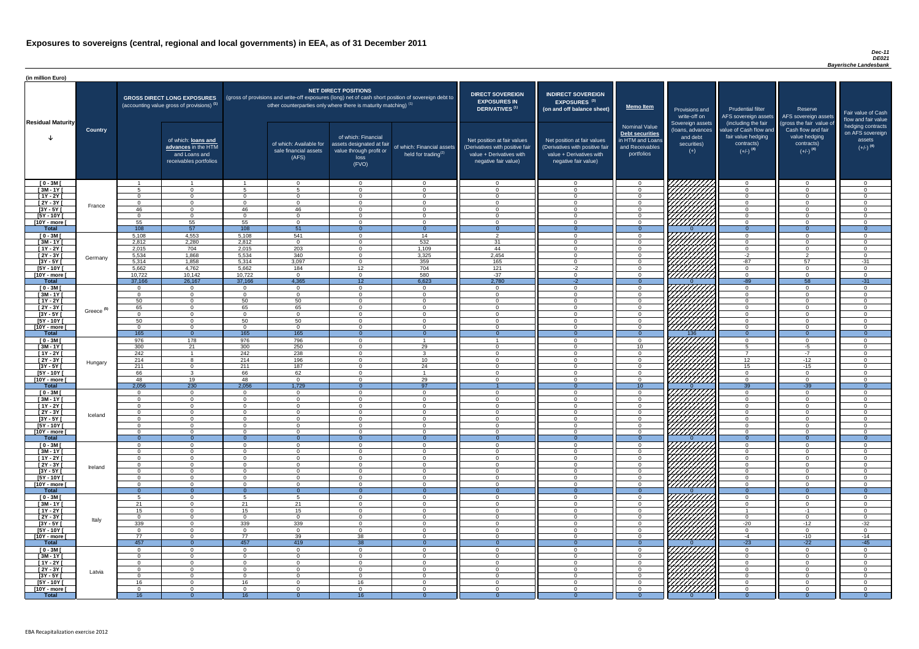### *Dec-11 DE021 Bayerische Landesbank*

| (in million Euro)                   |                       |                        |                                                                                             |                      |                                                                                                                                                                                   |                                                                                              |                                                      |                                                                                                                    |                                                                                                                    |                                                                                              |                                                                          |                                                                                      |                                                                                  |                                                                           |
|-------------------------------------|-----------------------|------------------------|---------------------------------------------------------------------------------------------|----------------------|-----------------------------------------------------------------------------------------------------------------------------------------------------------------------------------|----------------------------------------------------------------------------------------------|------------------------------------------------------|--------------------------------------------------------------------------------------------------------------------|--------------------------------------------------------------------------------------------------------------------|----------------------------------------------------------------------------------------------|--------------------------------------------------------------------------|--------------------------------------------------------------------------------------|----------------------------------------------------------------------------------|---------------------------------------------------------------------------|
| <b>Residual Maturity</b>            |                       |                        | <b>GROSS DIRECT LONG EXPOSURES</b><br>(accounting value gross of provisions) <sup>(1)</sup> |                      | (gross of provisions and write-off exposures (long) net of cash short position of sovereign debt to<br>other counterparties only where there is maturity matching) <sup>(1)</sup> | <b>NET DIRECT POSITIONS</b>                                                                  |                                                      | <b>DIRECT SOVEREIGN</b><br><b>EXPOSURES IN</b><br>DERIVATIVES <sup>(1)</sup>                                       | <b>INDIRECT SOVEREIGN</b><br><b>EXPOSURES<sup>(3)</sup></b><br>(on and off balance sheet)                          | <b>Memo Item</b>                                                                             | Provisions and<br>write-off on                                           | <b>Prudential filter</b><br>(including the fair                                      | Reserve<br>AFS sovereign assets AFS sovereign assets<br>(gross the fair value of | Fair value of Cash<br>flow and fair value                                 |
|                                     | <b>Country</b>        |                        | of which: loans and<br>advances in the HTM<br>and Loans and<br>receivables portfolios       |                      | of which: Available for<br>sale financial assets<br>(AFS)                                                                                                                         | of which: Financial<br>assets designated at fair<br>value through profit or<br>loss<br>(FVO) | of which: Financial assets<br>held for trading $(2)$ | Net position at fair values<br>(Derivatives with positive fair<br>value + Derivatives with<br>negative fair value) | Net position at fair values<br>(Derivatives with positive fair<br>value + Derivatives with<br>negative fair value) | <b>Nominal Value</b><br>Debt securities<br>in HTM and Loans<br>and Receivables<br>portfolios | Sovereign assets<br>(loans, advances<br>and debt<br>securities)<br>$(+)$ | value of Cash flow and<br>fair value hedging<br>contracts)<br>$(+/-)$ <sup>(4)</sup> | Cash flow and fair<br>value hedging<br>contracts)<br>$(+/-)$ <sup>(4)</sup>      | hedging contracts<br>on AFS sovereign<br>assets<br>$(+/-)$ <sup>(4)</sup> |
| $[0 - 3M]$                          |                       |                        |                                                                                             |                      | $\Omega$                                                                                                                                                                          | $\Omega$<br>$\Omega$                                                                         | $\overline{0}$                                       | - 0<br>റ                                                                                                           | $\Omega$                                                                                                           | $\Omega$                                                                                     | 7777777777                                                               | $\overline{0}$                                                                       | $\Omega$<br>$\Omega$                                                             | $\overline{0}$<br>$\Omega$                                                |
| $[3M - 1Y]$<br>$[1Y - 2Y]$          |                       | $\Omega$               | $\Omega$<br>$\overline{0}$                                                                  | $\Omega$             | -5<br>$\Omega$                                                                                                                                                                    | $\Omega$                                                                                     | $\Omega$<br>$\overline{0}$                           | $\bigcap$                                                                                                          | $\Omega$                                                                                                           | $\Omega$<br>$\Omega$                                                                         |                                                                          | $\Omega$<br>$\overline{0}$                                                           | $\Omega$                                                                         | $\Omega$                                                                  |
| $[2Y - 3Y]$                         |                       | $\Omega$               | $\overline{0}$                                                                              | $\cap$               | $\Omega$                                                                                                                                                                          | $\Omega$                                                                                     | $\Omega$                                             | $\overline{0}$                                                                                                     | $\cap$                                                                                                             | $\overline{0}$                                                                               |                                                                          | $\overline{0}$                                                                       | $\Omega$                                                                         | $\overline{0}$                                                            |
| $[3Y - 5Y]$                         | France                | 46                     | $\Omega$                                                                                    | 46                   | 46                                                                                                                                                                                | $\Omega$                                                                                     | $\overline{0}$                                       | $\Omega$                                                                                                           | $\cap$                                                                                                             | $\overline{0}$                                                                               |                                                                          | $\Omega$                                                                             | $\Omega$                                                                         | $\Omega$                                                                  |
| $[5Y - 10Y]$                        |                       | $\Omega$               | $\overline{0}$                                                                              | $\cap$               | $\Omega$                                                                                                                                                                          | $\Omega$                                                                                     | $\overline{0}$                                       | $\Omega$                                                                                                           | $\cap$                                                                                                             | $\overline{0}$                                                                               |                                                                          | $\overline{0}$                                                                       | $\Omega$                                                                         | $\Omega$                                                                  |
| [10Y - more [<br><b>Total</b>       |                       | 55<br>$\overline{108}$ | 55<br>57                                                                                    | 55<br>108            | $\overline{0}$<br>51                                                                                                                                                              | $\Omega$                                                                                     | $\overline{0}$<br>$\Omega$                           | - 0<br>- 0                                                                                                         | $\cap$                                                                                                             | $\Omega$<br>$\Omega$                                                                         | . <i>VIIIIIIII</i>                                                       | $\overline{0}$<br>$\overline{0}$                                                     | $\Omega$                                                                         | $\Omega$<br>$\overline{0}$                                                |
| $[0 - 3M]$                          |                       | 5,108                  | 4,553                                                                                       | 5,108                | 541                                                                                                                                                                               | $\Omega$                                                                                     | 14                                                   | $\overline{2}$                                                                                                     |                                                                                                                    | $\Omega$                                                                                     |                                                                          | $\overline{0}$                                                                       | $\Omega$                                                                         | $\cap$                                                                    |
| $[3M - 1Y]$                         |                       | 2,812                  | 2,280                                                                                       | 2,812                | $\overline{0}$                                                                                                                                                                    | $\Omega$                                                                                     | 532                                                  | 31                                                                                                                 | $\cap$                                                                                                             | $\overline{0}$                                                                               |                                                                          | $\overline{0}$                                                                       | $\Omega$                                                                         | $\Omega$                                                                  |
| $[1Y - 2Y]$                         |                       | 2,015                  | 704                                                                                         | 2,015                | 203                                                                                                                                                                               | $\Omega$                                                                                     | 1,109                                                | 44                                                                                                                 |                                                                                                                    | $\Omega$                                                                                     |                                                                          | $\overline{0}$                                                                       | $\Omega$                                                                         | $\cap$                                                                    |
| $[2Y - 3Y]$                         | Germany               | 5,534                  | 1,868                                                                                       | 5,534                | 340                                                                                                                                                                               | $\Omega$                                                                                     | 3,325                                                | 2,454                                                                                                              |                                                                                                                    | $\Omega$                                                                                     |                                                                          | $-2$                                                                                 | ົາ                                                                               | $\cap$                                                                    |
| $[3Y - 5Y]$<br>$[5Y - 10Y]$         |                       | 5,314<br>5,662         | 1,858<br>4,762                                                                              | 5,314<br>5,662       | 3,097<br>184                                                                                                                                                                      | $\Omega$<br>12 <sup>7</sup>                                                                  | 359<br>704                                           | 165<br>121                                                                                                         | $-2$                                                                                                               | $\Omega$<br>$\Omega$                                                                         |                                                                          | $-87$<br>$\overline{0}$                                                              | 57<br>$\cap$                                                                     | $-31$<br>. വ                                                              |
| [10Y - more [                       |                       | 10,722                 | 10,142                                                                                      | 10,722               | $\Omega$                                                                                                                                                                          | $\Omega$                                                                                     | 580                                                  | $-37$                                                                                                              |                                                                                                                    | $\Omega$                                                                                     | 7777777777                                                               | $\overline{0}$                                                                       | $\cap$                                                                           | $\cap$                                                                    |
| <b>Total</b>                        |                       | 37,166                 | 26,167                                                                                      | 37,166               | 4,365                                                                                                                                                                             | 12 <sup>7</sup>                                                                              | 6,623                                                | 2,780                                                                                                              | $-2$                                                                                                               | $\Omega$                                                                                     |                                                                          | $-89$                                                                                | 58                                                                               | $-31$                                                                     |
| $[0 - 3M]$                          |                       | $\cap$                 | $\overline{0}$                                                                              | $\Omega$             | $\Omega$                                                                                                                                                                          | $\Omega$                                                                                     | $\overline{0}$                                       | $\cap$                                                                                                             |                                                                                                                    | $\Omega$                                                                                     |                                                                          | $\Omega$                                                                             | $\Omega$                                                                         | $\cap$                                                                    |
| $[3M - 1Y]$                         |                       | $\Omega$               | $\Omega$                                                                                    | $\Omega$             | $\Omega$                                                                                                                                                                          | $\Omega$                                                                                     | $\overline{0}$                                       | $\cap$<br>$\cap$                                                                                                   |                                                                                                                    | $\Omega$                                                                                     |                                                                          | $\Omega$                                                                             | $\Omega$<br>$\Omega$                                                             | $\Omega$<br>$\cap$                                                        |
| $[1Y - 2Y]$<br>$[2Y - 3Y]$          |                       | 50<br>65               | $\Omega$<br>$\Omega$                                                                        | 50<br>65             | 50<br>65                                                                                                                                                                          | $\Omega$<br>$\Omega$                                                                         | $\Omega$<br>$\Omega$                                 |                                                                                                                    |                                                                                                                    | $\Omega$<br>$\Omega$                                                                         | <i>ШША</i>                                                               | $\Omega$<br>$\Omega$                                                                 |                                                                                  |                                                                           |
| $[3Y - 5Y]$                         | Greece <sup>(5)</sup> |                        |                                                                                             |                      |                                                                                                                                                                                   |                                                                                              |                                                      |                                                                                                                    |                                                                                                                    |                                                                                              |                                                                          |                                                                                      |                                                                                  |                                                                           |
| $[5Y - 10Y]$                        |                       | 50                     | $\Omega$                                                                                    | 50                   | 50                                                                                                                                                                                | $\Omega$                                                                                     | $\Omega$                                             |                                                                                                                    |                                                                                                                    | $\Omega$                                                                                     | HHHH                                                                     | $\Omega$                                                                             |                                                                                  |                                                                           |
| $[10Y - more]$                      |                       |                        | $\Omega$                                                                                    |                      | - 0                                                                                                                                                                               | $\Omega$                                                                                     | $\Omega$                                             |                                                                                                                    |                                                                                                                    | $\Omega$                                                                                     | 77777777777                                                              | $\Omega$                                                                             |                                                                                  |                                                                           |
| <b>Total</b>                        |                       | 165<br>976             | $\Omega$<br>178                                                                             | 165<br>976           | 165<br>796                                                                                                                                                                        | $\Omega$                                                                                     | $\Omega$                                             |                                                                                                                    |                                                                                                                    | $\Omega$                                                                                     | 136                                                                      | $\Omega$<br>$\overline{0}$                                                           | $\Omega$<br>$\Omega$                                                             | $\Omega$                                                                  |
| $[0 - 3M]$<br>$[3M - 1Y]$           |                       | 300                    | 21                                                                                          | 300                  | 250                                                                                                                                                                               | $\Omega$                                                                                     | 29                                                   | $\cap$                                                                                                             |                                                                                                                    | $\Omega$<br>10 <sup>°</sup>                                                                  |                                                                          | 5                                                                                    | $-5$                                                                             | $\cap$                                                                    |
| $\overline{[1Y-2Y]}$                |                       | 242                    |                                                                                             | 242                  | 238                                                                                                                                                                               | $\Omega$                                                                                     | $\mathbf{3}$                                         | $\Omega$                                                                                                           | $\Omega$                                                                                                           | $\overline{0}$                                                                               | ////////////                                                             | $\overline{7}$                                                                       | $-7$                                                                             | $\Omega$                                                                  |
| $[2Y - 3Y]$                         | Hungary               | 214                    | -8                                                                                          | 214                  | 196                                                                                                                                                                               | $\Omega$                                                                                     | 10 <sup>°</sup>                                      | $\Omega$                                                                                                           | $\Omega$                                                                                                           | $\Omega$                                                                                     |                                                                          | 12 <sup>7</sup>                                                                      | $-12$                                                                            | $\cap$                                                                    |
| $[3Y - 5Y]$                         |                       | 211                    | $\overline{0}$                                                                              | 211                  | 187                                                                                                                                                                               | $\Omega$                                                                                     | 24                                                   | $\Omega$                                                                                                           | $\Omega$                                                                                                           | $\Omega$                                                                                     |                                                                          | 15                                                                                   | $-15$                                                                            | $\Omega$                                                                  |
| $[5Y - 10Y]$<br>[10Y - more [       |                       | 66<br>48               | $\mathbf{3}$<br>19                                                                          | 66<br>48             | 62<br>$\Omega$                                                                                                                                                                    | $\Omega$<br>$\Omega$                                                                         | 29                                                   | $\Omega$<br>$\cap$                                                                                                 | $\Omega$<br>$\cap$                                                                                                 | $\overline{0}$<br>$\overline{0}$                                                             | VIIIIIIII<br>777777777                                                   | $\overline{0}$<br>$\overline{0}$                                                     | $\Omega$<br>$\Omega$                                                             | $\Omega$<br>$\cap$                                                        |
| <b>Total</b>                        |                       | 2,056                  | 230                                                                                         | 2,056                | 1,729                                                                                                                                                                             |                                                                                              | 97                                                   |                                                                                                                    |                                                                                                                    | 10                                                                                           |                                                                          | $\overline{39}$                                                                      | $-39$                                                                            | $\Omega$                                                                  |
| $[0 - 3M]$                          |                       | $\Omega$               | $\overline{0}$                                                                              | $\Omega$             | $\overline{0}$                                                                                                                                                                    | $\overline{0}$                                                                               | $\overline{0}$                                       | - 0                                                                                                                | $\cap$                                                                                                             | $\Omega$                                                                                     |                                                                          | $\overline{0}$                                                                       | $\overline{0}$                                                                   | $\Omega$                                                                  |
| $[3M - 1Y]$                         |                       | $\Omega$               | $\overline{0}$                                                                              | $\Omega$             | $\Omega$                                                                                                                                                                          | $\Omega$                                                                                     | $\overline{0}$                                       | - ೧                                                                                                                |                                                                                                                    | $\Omega$                                                                                     |                                                                          | $\overline{0}$                                                                       | $\Omega$                                                                         | ി                                                                         |
| $[1Y - 2Y]$<br>$[2Y - 3Y]$          |                       | $\Omega$<br>- 0        | $\overline{0}$<br>$\overline{0}$                                                            | $\Omega$<br>$\Omega$ | $\Omega$<br>$\Omega$                                                                                                                                                              | $\Omega$<br>$\Omega$                                                                         | $\Omega$<br>$\overline{0}$                           | $\Omega$<br>- 0                                                                                                    | $\cap$                                                                                                             | $\Omega$<br>$\Omega$                                                                         |                                                                          | $\overline{0}$<br>$\overline{0}$                                                     | $\Omega$<br>$\Omega$                                                             | $\cap$<br>- 0                                                             |
| $\boxed{3Y - 5Y}$                   | Iceland               | $\Omega$               | $\Omega$                                                                                    | $\Omega$             | - 0                                                                                                                                                                               | $\overline{0}$                                                                               | $\overline{0}$                                       | റ                                                                                                                  | $\cap$                                                                                                             | $\Omega$                                                                                     |                                                                          | $\overline{0}$                                                                       | $\Omega$                                                                         | - 0                                                                       |
| $[5Y - 10Y]$                        |                       | $\cap$                 | $\Omega$                                                                                    | $\Omega$             | - റ                                                                                                                                                                               | $\Omega$                                                                                     | $\overline{0}$                                       | റ                                                                                                                  |                                                                                                                    | $\Omega$                                                                                     | 777777777                                                                | $\overline{0}$                                                                       | $\Omega$                                                                         | $\cap$                                                                    |
| [10Y - more [                       |                       | . വ                    | $\Omega$                                                                                    | $\cap$               | - റ                                                                                                                                                                               | $\Omega$                                                                                     | $\Omega$                                             | റ                                                                                                                  | $\cap$                                                                                                             | $\Omega$                                                                                     | <u>VIIIIIII</u>                                                          | $\overline{0}$                                                                       | $\cap$                                                                           | റ                                                                         |
| <b>Total</b><br>$[0 - 3M]$          |                       | - റ<br>$\cap$          | $\Omega$<br>$\Omega$                                                                        | - 0<br>$\Omega$      | $\Omega$<br>$\Omega$                                                                                                                                                              | $\cap$                                                                                       | $\Omega$<br>$\Omega$                                 | - 0<br>$\cap$                                                                                                      |                                                                                                                    | $\Omega$<br>$\Omega$                                                                         |                                                                          | $\Omega$<br>$\Omega$                                                                 | $\overline{0}$<br>$\Omega$                                                       | $\Omega$<br>$\Omega$                                                      |
| $[3M - 1Y]$                         |                       | $\Omega$               | $\overline{0}$                                                                              | $\Omega$             | $\overline{0}$                                                                                                                                                                    | $\Omega$                                                                                     | $\overline{0}$                                       | $\cap$                                                                                                             | $\cap$                                                                                                             | $\Omega$                                                                                     | ⊣ <i>₩₩</i>                                                              | $\overline{0}$                                                                       | $\Omega$                                                                         | $\cap$                                                                    |
| $[1Y - 2Y]$                         |                       | $\Omega$               | $\Omega$                                                                                    | $\cap$               | $\Omega$                                                                                                                                                                          | $\Omega$                                                                                     | $\Omega$                                             | $\cap$                                                                                                             |                                                                                                                    | $\Omega$                                                                                     |                                                                          | $\Omega$                                                                             | $\Omega$                                                                         | $\cap$                                                                    |
| $[2Y - 3Y]$                         | Ireland               |                        | $\Omega$                                                                                    | $\cap$               | $\Omega$                                                                                                                                                                          | $\Omega$                                                                                     | $\Omega$                                             | $\cap$<br>$\cap$                                                                                                   |                                                                                                                    | $\Omega$                                                                                     |                                                                          | $\Omega$                                                                             | $\cap$<br>∩                                                                      |                                                                           |
| $[3Y - 5Y]$<br>$[5Y - 10Y]$         |                       |                        | $\Omega$<br>$\Omega$                                                                        | $\Omega$             | $\Omega$<br>$\Omega$                                                                                                                                                              | $\Omega$<br>$\Omega$                                                                         | $\Omega$<br>$\Omega$                                 |                                                                                                                    |                                                                                                                    | $\Omega$<br>$\Omega$                                                                         | HHHA<br>HHHA                                                             | $\Omega$<br>$\Omega$                                                                 | ∩                                                                                |                                                                           |
| [10Y - more [                       |                       | $\Omega$               | $\Omega$                                                                                    |                      | $\Omega$                                                                                                                                                                          | $\Omega$                                                                                     | $\Omega$                                             | $\cap$                                                                                                             |                                                                                                                    | $\Omega$                                                                                     |                                                                          | $\Omega$                                                                             | ∩                                                                                |                                                                           |
| <b>Total</b>                        |                       | $\Omega$               | $\Omega$                                                                                    |                      | $\Omega$                                                                                                                                                                          |                                                                                              | $\Omega$                                             |                                                                                                                    |                                                                                                                    | $\Omega$                                                                                     |                                                                          | $\Omega$                                                                             | $\Omega$                                                                         | $\Omega$                                                                  |
| $[0 - 3M]$                          |                       |                        | $\Omega$                                                                                    |                      | -5                                                                                                                                                                                | $\Omega$                                                                                     | $\Omega$                                             | റ                                                                                                                  |                                                                                                                    | $\Omega$                                                                                     |                                                                          | $\Omega$                                                                             | $\Omega$                                                                         |                                                                           |
| $[3M - 1Y]$<br>$\overline{[1Y-2Y]}$ |                       | 21<br>15               | $\Omega$<br>$\overline{0}$                                                                  | 21<br>15             | 21<br>15                                                                                                                                                                          | $\Omega$<br>$\Omega$                                                                         | $\Omega$<br>$\Omega$                                 | $\cap$<br>$\Omega$                                                                                                 |                                                                                                                    | $\Omega$<br>$\Omega$                                                                         | <u>UMMA</u>                                                              | $\Omega$                                                                             | $\Omega$<br>$-1$                                                                 | $\Omega$<br>$\Omega$                                                      |
| $[2Y - 3Y]$                         |                       | $\Omega$               | $\overline{0}$                                                                              | $\Omega$             | $\Omega$                                                                                                                                                                          | $\Omega$                                                                                     | $\Omega$                                             | $\cap$                                                                                                             | $\Omega$                                                                                                           | $\Omega$                                                                                     | 777777777                                                                | $\overline{0}$                                                                       | $\Omega$                                                                         | $\Omega$                                                                  |
| $[3Y - 5Y]$                         | Italy                 | 339                    | $\overline{0}$                                                                              | 339                  | 339                                                                                                                                                                               | $\Omega$                                                                                     | $\Omega$                                             | $\Omega$                                                                                                           | $\Omega$                                                                                                           | $\Omega$                                                                                     | VIIIIIIII                                                                | $-20$                                                                                | $-12$                                                                            | $-32$                                                                     |
| $[5Y - 10Y]$                        |                       | $\Omega$               | $\overline{0}$                                                                              | $\Omega$             | $\overline{0}$                                                                                                                                                                    | $\Omega$                                                                                     | $\Omega$                                             | $\Omega$                                                                                                           | $\cap$                                                                                                             | $\overline{0}$                                                                               | 7777777777                                                               | $\overline{0}$                                                                       | $\Omega$                                                                         | $\Omega$                                                                  |
| [10Y - more [<br><b>Total</b>       |                       | 77<br>457              | $\Omega$<br>$\Omega$                                                                        | 77<br>457            | 39<br>419                                                                                                                                                                         | 38                                                                                           | $\Omega$<br>$\overline{0}$                           | $\cap$<br>$\Omega$                                                                                                 | $\Omega$                                                                                                           | $\Omega$<br>$\Omega$                                                                         | 7777777777                                                               | $-4$<br>$-23$                                                                        | $-10$<br>$-22$                                                                   | $-14$                                                                     |
| $[0 - 3M]$                          |                       | $\Omega$               | $\Omega$                                                                                    | $\Omega$             | $\Omega$                                                                                                                                                                          | 38<br>$\Omega$                                                                               | $\Omega$                                             | - 0                                                                                                                |                                                                                                                    | $\Omega$                                                                                     | <i>VIIIIIII</i>                                                          | $\Omega$                                                                             | $\Omega$                                                                         | $-45$                                                                     |
| $[3M - 1Y]$                         |                       | $\Omega$               | $\overline{0}$                                                                              | $\Omega$             | $\overline{0}$                                                                                                                                                                    | $\overline{0}$                                                                               | $\overline{0}$                                       | - 0                                                                                                                | $\Omega$                                                                                                           | $\Omega$                                                                                     |                                                                          | $\overline{0}$                                                                       | $\Omega$                                                                         | $\Omega$                                                                  |
| $[1Y - 2Y]$                         |                       | $\Omega$               | $\overline{0}$                                                                              | $\Omega$             | $\Omega$                                                                                                                                                                          | $\Omega$                                                                                     | $\overline{0}$                                       | $\Omega$                                                                                                           | $\Omega$                                                                                                           | $\overline{0}$                                                                               |                                                                          | $\overline{0}$                                                                       | $\Omega$                                                                         | $\Omega$                                                                  |
| [2Y - 3Y [                          | Latvia                | $\Omega$               | $\overline{0}$                                                                              | $\Omega$             | $\Omega$                                                                                                                                                                          | $\overline{0}$                                                                               | $\overline{0}$                                       | $\overline{0}$                                                                                                     | $\Omega$                                                                                                           | $\Omega$                                                                                     |                                                                          | $\overline{0}$                                                                       | $\Omega$                                                                         | $\Omega$                                                                  |
| [3Y - 5Y [<br>$[5Y - 10Y]$          |                       | <u>n</u><br>16         | $\overline{0}$<br>$\overline{0}$                                                            | $\Omega$<br>16       | $\Omega$<br>- 0                                                                                                                                                                   | $\overline{0}$<br>16                                                                         | $\overline{0}$<br>$\overline{0}$                     | - 0<br>- 0                                                                                                         | $\Omega$<br>$\cap$                                                                                                 | $\Omega$<br>$\Omega$                                                                         |                                                                          | $\overline{0}$<br>$\overline{0}$                                                     | $\Omega$<br>$\Omega$                                                             | - 0<br>$\Omega$                                                           |
| $[10Y - more]$                      |                       | - 0                    | $\overline{0}$                                                                              | $\Omega$             | - 0                                                                                                                                                                               | $\Omega$                                                                                     | $\overline{0}$                                       | റ                                                                                                                  | $\cap$                                                                                                             | $\Omega$                                                                                     | <b>Chillips</b>                                                          | $\Omega$                                                                             | $\Omega$                                                                         | $\Omega$                                                                  |
| <b>Total</b>                        |                       | 16                     | $\Omega$                                                                                    | 16                   |                                                                                                                                                                                   | 16 <sup>°</sup>                                                                              |                                                      |                                                                                                                    |                                                                                                                    |                                                                                              |                                                                          | - ೧                                                                                  |                                                                                  | $\overline{0}$                                                            |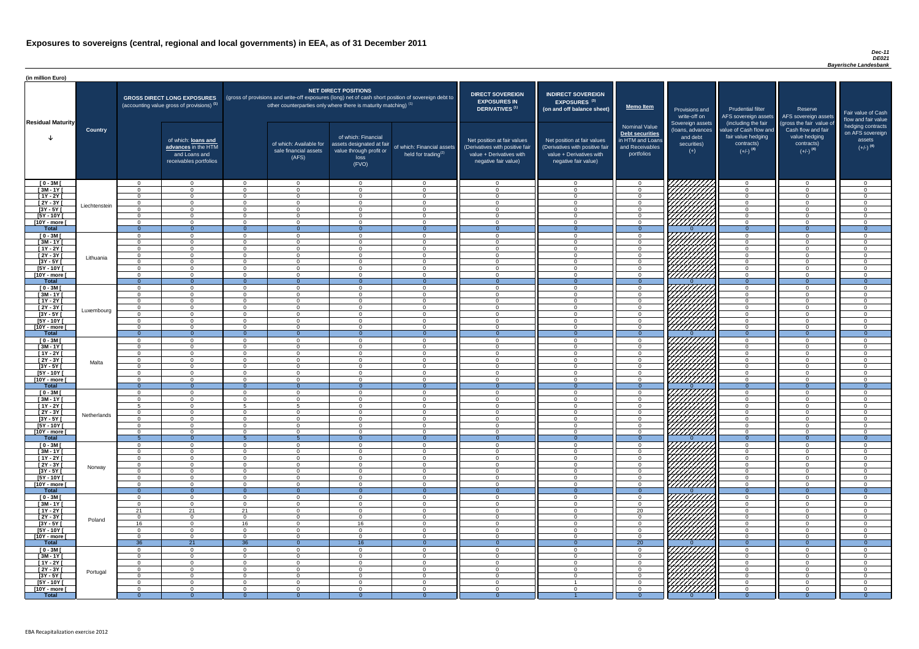### *Dec-11 DE021 Bayerische Landesbank*

| <b>DIRECT SOVEREIGN</b><br><b>EXPOSURES IN</b><br><b>DERIVATIVES</b> <sup>(1)</sup><br>Net position at fair values<br>(Derivatives with positive fair<br>value + Derivatives with<br>negative fair value) | <b>INDIRECT SOVEREIGN</b><br><b>EXPOSURES<sup>(3)</sup></b><br>(on and off balance sheet)<br>Net position at fair values<br>(Derivatives with positive fair<br>value + Derivatives with<br>negative fair value) | <b>Memo Item</b><br><b>Nominal Value</b><br><b>Debt securities</b><br>in HTM and Loans<br>and Receivables<br>portfolios | Provisions and<br>write-off on<br>Sovereign assets<br>(loans, advances<br>and debt<br>securities)<br>$(+)$ | <b>Prudential filter</b><br>AFS sovereign assets<br>(including the fair<br>value of Cash flow and<br>fair value hedging<br>contracts)<br>$(+/-)$ <sup>(4)</sup> | Reserve<br>AFS sovereign assets<br>(gross the fair value of<br>Cash flow and fair<br>value hedging<br>contracts)<br>$(+/-)$ <sup>(4)</sup> | Fair value of Cash<br>flow and fair value<br>hedging contracts<br>on AFS sovereign<br>assets<br>$(+/-)$ <sup>(4)</sup> |
|-----------------------------------------------------------------------------------------------------------------------------------------------------------------------------------------------------------|-----------------------------------------------------------------------------------------------------------------------------------------------------------------------------------------------------------------|-------------------------------------------------------------------------------------------------------------------------|------------------------------------------------------------------------------------------------------------|-----------------------------------------------------------------------------------------------------------------------------------------------------------------|--------------------------------------------------------------------------------------------------------------------------------------------|------------------------------------------------------------------------------------------------------------------------|
| 0                                                                                                                                                                                                         | $\mathbf 0$                                                                                                                                                                                                     | $\mathbf 0$                                                                                                             |                                                                                                            | $\mathbf 0$                                                                                                                                                     | $\mathbf 0$                                                                                                                                | $\mathbf 0$                                                                                                            |
| $\mathbf 0$                                                                                                                                                                                               | $\mathbf 0$                                                                                                                                                                                                     | $\mathbf 0$                                                                                                             |                                                                                                            | $\mathbf 0$                                                                                                                                                     | $\Omega$                                                                                                                                   | $\mathbf 0$                                                                                                            |
| $\mathbf 0$                                                                                                                                                                                               | $\mathbf 0$                                                                                                                                                                                                     | $\pmb{0}$                                                                                                               |                                                                                                            | $\mathbf 0$                                                                                                                                                     | $\mathbf 0$                                                                                                                                | $\mathbf 0$                                                                                                            |
| $\mathbf 0$                                                                                                                                                                                               | $\mathbf 0$                                                                                                                                                                                                     | $\boldsymbol{0}$                                                                                                        |                                                                                                            | $\mathbf 0$                                                                                                                                                     | $\mathbf 0$                                                                                                                                | $\mathbf 0$                                                                                                            |
| $\mathbf 0$                                                                                                                                                                                               | $\mathbf 0$                                                                                                                                                                                                     | $\mathbf 0$                                                                                                             |                                                                                                            | $\mathbf 0$                                                                                                                                                     | $\mathbf 0$                                                                                                                                | $\mathbf 0$                                                                                                            |
| $\mathbf 0$<br>$\mathbf 0$                                                                                                                                                                                | $\mathbf 0$<br>$\mathbf 0$                                                                                                                                                                                      | $\mathbf 0$<br>$\mathbf 0$                                                                                              |                                                                                                            | $\mathbf 0$<br>$\mathbf 0$                                                                                                                                      | $\overline{0}$<br>$\overline{0}$                                                                                                           | $\mathbf 0$<br>$\pmb{0}$                                                                                               |
| $\mathbf{0}$                                                                                                                                                                                              | $\overline{0}$                                                                                                                                                                                                  | $\overline{0}$                                                                                                          | $\Omega$                                                                                                   | $\overline{0}$                                                                                                                                                  | $\overline{0}$                                                                                                                             | $\overline{0}$                                                                                                         |
| $\mathbf 0$                                                                                                                                                                                               | $\mathbf 0$                                                                                                                                                                                                     | 0                                                                                                                       |                                                                                                            | $\mathbf 0$                                                                                                                                                     | $\mathbf 0$                                                                                                                                | $\mathbf 0$                                                                                                            |
| $\mathbf 0$                                                                                                                                                                                               | $\mathbf 0$                                                                                                                                                                                                     | $\mathbf 0$                                                                                                             |                                                                                                            | $\mathbf 0$                                                                                                                                                     | $\mathbf 0$                                                                                                                                | $\mathbf 0$                                                                                                            |
| $\mathbf 0$                                                                                                                                                                                               | $\mathbf 0$                                                                                                                                                                                                     | $\mathbf 0$                                                                                                             |                                                                                                            | $\mathbf 0$                                                                                                                                                     | $\mathbf 0$                                                                                                                                | $\mathbf 0$                                                                                                            |
| $\mathbf 0$                                                                                                                                                                                               | $\mathbf 0$                                                                                                                                                                                                     | $\mathbf 0$                                                                                                             |                                                                                                            | $\mathbf 0$                                                                                                                                                     | $\mathbf 0$                                                                                                                                | $\mathbf 0$                                                                                                            |
| $\mathbf 0$                                                                                                                                                                                               | $\mathbf 0$                                                                                                                                                                                                     | $\mathbf 0$                                                                                                             |                                                                                                            | $\mathbf 0$                                                                                                                                                     | $\mathbf 0$                                                                                                                                | $\mathbf 0$                                                                                                            |
| $\mathbf 0$                                                                                                                                                                                               | 0                                                                                                                                                                                                               | $\mathbf 0$                                                                                                             |                                                                                                            | $\mathbf 0$                                                                                                                                                     | $\overline{0}$                                                                                                                             | $\mathbf 0$                                                                                                            |
| $\mathbf 0$                                                                                                                                                                                               | $\mathbf 0$                                                                                                                                                                                                     | $\pmb{0}$                                                                                                               |                                                                                                            | 0                                                                                                                                                               | $\mathbf 0$                                                                                                                                | $\mathbf 0$                                                                                                            |
| $\overline{0}$                                                                                                                                                                                            | $\overline{0}$                                                                                                                                                                                                  | $\overline{0}$                                                                                                          | $\Omega$                                                                                                   | $\overline{0}$                                                                                                                                                  | $\overline{0}$                                                                                                                             | $\overline{0}$                                                                                                         |
| $\mathbf 0$                                                                                                                                                                                               | $\mathbf 0$                                                                                                                                                                                                     | $\pmb{0}$                                                                                                               |                                                                                                            | $\mathbf 0$                                                                                                                                                     | $\mathbf 0$                                                                                                                                | $\mathbf 0$                                                                                                            |
| $\mathbf 0$<br>$\mathbf 0$                                                                                                                                                                                | $\mathbf 0$<br>$\mathbf 0$                                                                                                                                                                                      | $\mathbf 0$<br>$\mathbf 0$                                                                                              |                                                                                                            | $\mathbf 0$<br>$\mathbf 0$                                                                                                                                      | $\mathbf 0$<br>$\overline{0}$                                                                                                              | $\mathbf 0$<br>$\mathbf 0$                                                                                             |
| $\mathbf 0$                                                                                                                                                                                               | $\mathbf 0$                                                                                                                                                                                                     | $\mathbf 0$                                                                                                             |                                                                                                            | $\mathbf 0$                                                                                                                                                     | $\overline{0}$                                                                                                                             | $\mathbf 0$                                                                                                            |
| $\mathbf 0$                                                                                                                                                                                               | $\Omega$                                                                                                                                                                                                        | $\Omega$                                                                                                                |                                                                                                            | $\Omega$                                                                                                                                                        | $\Omega$                                                                                                                                   | $\overline{0}$                                                                                                         |
| 0                                                                                                                                                                                                         | $\mathbf 0$                                                                                                                                                                                                     | 0                                                                                                                       |                                                                                                            | 0                                                                                                                                                               | 0                                                                                                                                          | 0                                                                                                                      |
| 0                                                                                                                                                                                                         | $\mathbf 0$                                                                                                                                                                                                     | 0                                                                                                                       |                                                                                                            | 0                                                                                                                                                               | $\Omega$                                                                                                                                   | 0                                                                                                                      |
| $\overline{0}$                                                                                                                                                                                            | $\overline{0}$                                                                                                                                                                                                  | $\overline{0}$                                                                                                          | $\overline{0}$                                                                                             | $\overline{0}$                                                                                                                                                  | $\overline{0}$                                                                                                                             | $\overline{0}$                                                                                                         |
| $\mathbf 0$                                                                                                                                                                                               | 0                                                                                                                                                                                                               | $\pmb{0}$                                                                                                               |                                                                                                            | $\mathbf 0$                                                                                                                                                     | 0                                                                                                                                          | 0                                                                                                                      |
| $\mathbf 0$                                                                                                                                                                                               | 0                                                                                                                                                                                                               | $\pmb{0}$                                                                                                               |                                                                                                            | 0                                                                                                                                                               | $\Omega$                                                                                                                                   | 0                                                                                                                      |
| 0<br>$\mathbf 0$                                                                                                                                                                                          | 0<br>0                                                                                                                                                                                                          | $\pmb{0}$<br>$\pmb{0}$                                                                                                  |                                                                                                            | $\mathbf 0$<br>$\mathbf 0$                                                                                                                                      | 0<br>0                                                                                                                                     | $\mathbf 0$<br>0                                                                                                       |
| $\mathbf 0$                                                                                                                                                                                               | 0                                                                                                                                                                                                               | $\pmb{0}$                                                                                                               |                                                                                                            | 0                                                                                                                                                               | 0                                                                                                                                          | 0                                                                                                                      |
| $\mathbf 0$                                                                                                                                                                                               | 0                                                                                                                                                                                                               | $\pmb{0}$                                                                                                               |                                                                                                            | $\mathbf 0$                                                                                                                                                     | 0                                                                                                                                          | 0                                                                                                                      |
| $\mathbf 0$                                                                                                                                                                                               | $\mathbf 0$                                                                                                                                                                                                     | $\pmb{0}$                                                                                                               | <u>////////</u>                                                                                            | $\mathbf 0$                                                                                                                                                     | 0                                                                                                                                          | 0                                                                                                                      |
| $\mathbf{0}$                                                                                                                                                                                              | $\overline{0}$                                                                                                                                                                                                  | $\boldsymbol{0}$                                                                                                        | $\overline{0}$                                                                                             | $\overline{0}$                                                                                                                                                  | $\overline{0}$                                                                                                                             | $\overline{0}$                                                                                                         |
| 0                                                                                                                                                                                                         | $\mathbf 0$                                                                                                                                                                                                     | 0                                                                                                                       |                                                                                                            | $\mathbf 0$                                                                                                                                                     | 0                                                                                                                                          | 0                                                                                                                      |
| $\mathbf 0$                                                                                                                                                                                               | 0                                                                                                                                                                                                               | 0                                                                                                                       |                                                                                                            | 0                                                                                                                                                               | 0                                                                                                                                          | 0                                                                                                                      |
| 0<br>$\mathbf 0$                                                                                                                                                                                          | 0<br>0                                                                                                                                                                                                          | 0<br>0                                                                                                                  |                                                                                                            | 0<br>0                                                                                                                                                          | 0<br>0                                                                                                                                     | 0<br>0                                                                                                                 |
| 0                                                                                                                                                                                                         | 0                                                                                                                                                                                                               | 0                                                                                                                       |                                                                                                            | 0                                                                                                                                                               | 0                                                                                                                                          | 0                                                                                                                      |
| 0                                                                                                                                                                                                         | 0                                                                                                                                                                                                               | $\mathbf 0$                                                                                                             |                                                                                                            | 0                                                                                                                                                               | $\Omega$                                                                                                                                   | $\Omega$                                                                                                               |
| $\mathbf 0$                                                                                                                                                                                               | 0                                                                                                                                                                                                               | 0                                                                                                                       |                                                                                                            | 0                                                                                                                                                               | 0                                                                                                                                          | 0                                                                                                                      |
| $\mathbf{0}$                                                                                                                                                                                              | $\overline{0}$                                                                                                                                                                                                  | $\overline{0}$                                                                                                          | $\overline{0}$                                                                                             | $\overline{0}$                                                                                                                                                  | $\overline{0}$                                                                                                                             | $\overline{0}$                                                                                                         |
| 0                                                                                                                                                                                                         | 0                                                                                                                                                                                                               | 0                                                                                                                       |                                                                                                            | 0                                                                                                                                                               | 0                                                                                                                                          | 0                                                                                                                      |
| $\mathbf 0$                                                                                                                                                                                               | $\mathbf 0$                                                                                                                                                                                                     | $\pmb{0}$                                                                                                               |                                                                                                            | $\mathbf 0$                                                                                                                                                     | $\mathbf 0$                                                                                                                                | $\mathbf 0$                                                                                                            |
| $\mathbf 0$<br>0                                                                                                                                                                                          | $\mathbf 0$<br>0                                                                                                                                                                                                | $\mathbf 0$<br>0                                                                                                        |                                                                                                            | $\overline{0}$<br>$\mathbf 0$                                                                                                                                   | $\mathbf 0$<br>$\mathbf 0$                                                                                                                 | $\mathbf 0$<br>0                                                                                                       |
| 0                                                                                                                                                                                                         | 0                                                                                                                                                                                                               | 0                                                                                                                       |                                                                                                            | $\overline{0}$                                                                                                                                                  | 0                                                                                                                                          | 0                                                                                                                      |
| $\mathbf 0$                                                                                                                                                                                               | $\mathbf 0$                                                                                                                                                                                                     | $\pmb{0}$                                                                                                               |                                                                                                            | $\mathbf 0$                                                                                                                                                     | $\mathbf 0$                                                                                                                                | 0                                                                                                                      |
| $\mathbf 0$                                                                                                                                                                                               | $\mathbf 0$                                                                                                                                                                                                     | 0                                                                                                                       |                                                                                                            | $\mathbf 0$                                                                                                                                                     | 0                                                                                                                                          | 0                                                                                                                      |
| $\overline{0}$                                                                                                                                                                                            | $\overline{0}$                                                                                                                                                                                                  | $\overline{0}$                                                                                                          | $\overline{0}$                                                                                             | $\overline{0}$                                                                                                                                                  | $\overline{0}$                                                                                                                             | $\overline{0}$                                                                                                         |
| 0                                                                                                                                                                                                         | 0                                                                                                                                                                                                               | 0                                                                                                                       |                                                                                                            | 0                                                                                                                                                               | 0                                                                                                                                          | 0                                                                                                                      |
| $\mathbf 0$                                                                                                                                                                                               | 0                                                                                                                                                                                                               | $\mathbf 0$                                                                                                             |                                                                                                            | $\mathbf 0$                                                                                                                                                     | 0                                                                                                                                          | $\mathbf 0$                                                                                                            |
| $\mathbf 0$<br>$\mathbf 0$                                                                                                                                                                                | 0<br>0                                                                                                                                                                                                          | 20<br>$\mathbf 0$                                                                                                       |                                                                                                            | $\mathbf 0$<br>$\mathbf 0$                                                                                                                                      | 0<br>0                                                                                                                                     | $\mathbf 0$<br>$\mathbf 0$                                                                                             |
| $\mathbf 0$                                                                                                                                                                                               | 0                                                                                                                                                                                                               | $\pmb{0}$                                                                                                               |                                                                                                            | $\mathbf 0$                                                                                                                                                     | 0                                                                                                                                          | $\mathbf 0$                                                                                                            |
| $\mathbf 0$                                                                                                                                                                                               | $\mathbf 0$                                                                                                                                                                                                     | $\pmb{0}$                                                                                                               |                                                                                                            | $\mathbf 0$                                                                                                                                                     | 0                                                                                                                                          | $\mathbf 0$                                                                                                            |
| $\mathbf 0$                                                                                                                                                                                               | $\mathbf 0$                                                                                                                                                                                                     | $\pmb{0}$                                                                                                               |                                                                                                            | 0                                                                                                                                                               | 0                                                                                                                                          | 0                                                                                                                      |
| $\mathbf{0}$                                                                                                                                                                                              | $\overline{0}$                                                                                                                                                                                                  | $\overline{20}$                                                                                                         | $\mathbf{0}$                                                                                               | $\overline{0}$                                                                                                                                                  | $\overline{0}$                                                                                                                             | $\overline{0}$                                                                                                         |
| 0                                                                                                                                                                                                         | 0                                                                                                                                                                                                               | 0                                                                                                                       |                                                                                                            | 0                                                                                                                                                               | 0                                                                                                                                          | 0                                                                                                                      |
| $\mathbf 0$                                                                                                                                                                                               | 0                                                                                                                                                                                                               | 0                                                                                                                       | 7777777                                                                                                    | $\pmb{0}$                                                                                                                                                       | $\overline{0}$                                                                                                                             | $\mathbf 0$                                                                                                            |
| $\mathbf 0$                                                                                                                                                                                               | $\mathbf 0$                                                                                                                                                                                                     | $\mathbf 0$                                                                                                             |                                                                                                            | $\overline{0}$                                                                                                                                                  | $\mathbf 0$                                                                                                                                | $\mathbf 0$                                                                                                            |
| $\mathbf 0$<br>$\mathbf 0$                                                                                                                                                                                | $\overline{0}$<br>$\mathbf 0$                                                                                                                                                                                   | $\mathbf 0$<br>$\mathbf 0$                                                                                              |                                                                                                            | $\overline{0}$<br>$\overline{0}$                                                                                                                                | $\mathbf 0$<br>$\overline{0}$                                                                                                              | $\overline{0}$<br>$\mathbf 0$                                                                                          |
| $\mathbf 0$                                                                                                                                                                                               | $\mathbf 1$                                                                                                                                                                                                     | $\mathbf 0$                                                                                                             |                                                                                                            | $\overline{0}$                                                                                                                                                  | $\overline{0}$                                                                                                                             | $\mathbf 0$                                                                                                            |
| $\mathbf 0$                                                                                                                                                                                               | $\mathbf 0$                                                                                                                                                                                                     | 0                                                                                                                       |                                                                                                            | $\overline{0}$                                                                                                                                                  | $\mathbf 0$                                                                                                                                | $\mathbf 0$                                                                                                            |
| $\overline{0}$                                                                                                                                                                                            | $\overline{1}$                                                                                                                                                                                                  | $\overline{0}$                                                                                                          | $\overline{0}$                                                                                             | $\overline{0}$                                                                                                                                                  | $\overline{0}$                                                                                                                             | $\overline{0}$                                                                                                         |

| (in million Euro)                            |                |                            |                                                                                       |                      |                                                                   |                                                                                              |                                                                                                     |                                                                                                                    |                                                                                                                    |                                                                                              |                                                                          |                                                                                                             |                                                                                                         |                                                   |
|----------------------------------------------|----------------|----------------------------|---------------------------------------------------------------------------------------|----------------------|-------------------------------------------------------------------|----------------------------------------------------------------------------------------------|-----------------------------------------------------------------------------------------------------|--------------------------------------------------------------------------------------------------------------------|--------------------------------------------------------------------------------------------------------------------|----------------------------------------------------------------------------------------------|--------------------------------------------------------------------------|-------------------------------------------------------------------------------------------------------------|---------------------------------------------------------------------------------------------------------|---------------------------------------------------|
|                                              |                |                            | <b>GROSS DIRECT LONG EXPOSURES</b><br>(accounting value gross of provisions) (1)      |                      | other counterparties only where there is maturity matching) $(1)$ | <b>NET DIRECT POSITIONS</b>                                                                  | (gross of provisions and write-off exposures (long) net of cash short position of sovereign debt to | <b>DIRECT SOVEREIGN</b><br><b>EXPOSURES IN</b><br><b>DERIVATIVES<sup>(1)</sup></b>                                 | <b>INDIRECT SOVEREIGN</b><br><b>EXPOSURES<sup>(3)</sup></b><br>(on and off balance sheet)                          | <b>Memo Item</b>                                                                             | Provisions and<br>write-off on                                           | <b>Prudential filter</b><br>AFS sovereign assets                                                            | Reserve<br>AFS sovereign assets                                                                         | Fair value<br>flow and t                          |
| <b>Residual Maturity</b>                     | <b>Country</b> |                            | of which: loans and<br>advances in the HTM<br>and Loans and<br>receivables portfolios |                      | of which: Available for<br>sale financial assets<br>(AFS)         | of which: Financial<br>assets designated at fair<br>value through profit or<br>loss<br>(FVO) | of which: Financial assets<br>held for trading <sup>(2)</sup>                                       | Net position at fair values<br>(Derivatives with positive fair<br>value + Derivatives with<br>negative fair value) | Net position at fair values<br>(Derivatives with positive fair<br>value + Derivatives with<br>negative fair value) | <b>Nominal Value</b><br>Debt securities<br>in HTM and Loans<br>and Receivables<br>portfolios | Sovereign assets<br>(loans, advances<br>and debt<br>securities)<br>$(+)$ | (including the fair<br>value of Cash flow and<br>fair value hedging<br>contracts)<br>$(+/-)$ <sup>(4)</sup> | (gross the fair value of<br>Cash flow and fair<br>value hedging<br>contracts)<br>$(+/-)$ <sup>(4)</sup> | hedging o<br>on AFS <sub>s</sub><br>ass<br>$(+/-$ |
| $[0 - 3M]$                                   |                | $\Omega$                   | $\Omega$                                                                              | $\Omega$             | $\Omega$                                                          | $\overline{0}$                                                                               | $\cap$                                                                                              | $\Omega$                                                                                                           | $\Omega$                                                                                                           | $\Omega$                                                                                     |                                                                          | $\Omega$                                                                                                    | $\Omega$                                                                                                |                                                   |
| $[3M-1Y]$                                    |                | $\cap$<br>$\cap$           | $\Omega$                                                                              | $\Omega$<br>$\Omega$ | $\Omega$                                                          | $\Omega$                                                                                     | $\cap$<br>$\Omega$                                                                                  | $\Omega$<br>$\Omega$                                                                                               | $\cap$<br>$\cap$                                                                                                   | $\Omega$                                                                                     |                                                                          | $\Omega$                                                                                                    | $\Omega$<br>$\Omega$                                                                                    |                                                   |
| $[1Y - 2Y]$<br>$\overline{2Y-3Y}$            |                | $\Omega$                   | $\Omega$<br>$\Omega$                                                                  | $\Omega$             | $\Omega$<br>$\Omega$                                              | $\Omega$<br>$\Omega$                                                                         | $\Omega$                                                                                            | $\Omega$                                                                                                           | $\Omega$                                                                                                           | $\overline{0}$<br>$\Omega$                                                                   |                                                                          | $\overline{0}$<br>$\overline{0}$                                                                            | $\Omega$                                                                                                |                                                   |
| $[3Y - 5Y]$                                  | Liechtenstein  | $\Omega$                   | $\Omega$                                                                              | $\Omega$             | $\Omega$                                                          | $\Omega$                                                                                     | $\Omega$                                                                                            | $\Omega$                                                                                                           | $\Omega$                                                                                                           | $\overline{0}$                                                                               | HAAAA<br>HAAAA                                                           | $\overline{0}$                                                                                              | $\Omega$                                                                                                |                                                   |
| $[5Y - 10Y]$                                 |                | $\Omega$                   | $\Omega$                                                                              | $\Omega$             | $\Omega$                                                          | $\Omega$                                                                                     | $\Omega$                                                                                            | $\Omega$                                                                                                           | $\cap$                                                                                                             | $\overline{0}$                                                                               |                                                                          | $\overline{0}$                                                                                              | $\Omega$                                                                                                |                                                   |
| [10Y - more [<br><b>Total</b>                |                | $\Omega$<br>$\overline{0}$ | $\Omega$<br>$\Omega$                                                                  | $\Omega$<br>- 0      | $\Omega$<br>$\Omega$                                              | $\Omega$<br>- വ                                                                              | $\Omega$<br>$\Omega$                                                                                | $\Omega$                                                                                                           | $\Omega$                                                                                                           | $\Omega$<br>$\overline{0}$                                                                   |                                                                          | $\overline{0}$<br>$\overline{0}$                                                                            | $\Omega$<br>$\Omega$                                                                                    |                                                   |
| $[0 - 3M]$                                   |                | $\Omega$                   | $\Omega$                                                                              | $\Omega$             | $\overline{0}$                                                    | $\Omega$                                                                                     | $\Omega$                                                                                            | $\Omega$                                                                                                           | $\cap$                                                                                                             | $\Omega$                                                                                     |                                                                          | $\overline{0}$                                                                                              | $\Omega$                                                                                                |                                                   |
| $[3M - 1Y]$                                  |                | $\Omega$                   | $\Omega$                                                                              | $\Omega$             | $\overline{0}$                                                    | $\Omega$                                                                                     | $\Omega$                                                                                            |                                                                                                                    | $\Omega$                                                                                                           | $\overline{0}$                                                                               |                                                                          | $\overline{0}$                                                                                              | $\Omega$                                                                                                |                                                   |
| $[1Y - 2Y]$                                  |                | $\cap$                     | $\Omega$                                                                              | $\Omega$             | $\Omega$                                                          | $\Omega$                                                                                     | $\Omega$                                                                                            | $\Omega$                                                                                                           | $\Omega$                                                                                                           | $\Omega$                                                                                     |                                                                          | $\Omega$                                                                                                    | $\Omega$                                                                                                |                                                   |
| $[2Y - 3Y]$<br>$[3Y - 5Y]$                   | Lithuania      | $\Omega$<br>$\cap$         | $\Omega$<br>$\Omega$                                                                  | $\Omega$<br>$\Omega$ | $\Omega$<br>$\overline{0}$                                        | $\Omega$<br>$\Omega$                                                                         |                                                                                                     |                                                                                                                    | $\cap$<br>$\Omega$                                                                                                 | $\cap$<br>$\Omega$                                                                           | VIIIIIII                                                                 | $\Omega$<br>$\Omega$                                                                                        | $\Omega$<br>$\Omega$                                                                                    |                                                   |
| $[5Y - 10Y]$                                 |                | $\cap$                     | $\Omega$                                                                              | $\Omega$             | $\Omega$                                                          | $\Omega$                                                                                     |                                                                                                     | $\cap$                                                                                                             | $\Omega$                                                                                                           | $\Omega$                                                                                     |                                                                          | $\Omega$                                                                                                    | $\Omega$                                                                                                |                                                   |
| [10Y - more [                                |                | $\cap$                     | $\Omega$                                                                              | $\Omega$             | $\Omega$                                                          | $\Omega$                                                                                     |                                                                                                     | $\Omega$                                                                                                           | $\cap$                                                                                                             | $\Omega$                                                                                     | /////////                                                                | $\overline{0}$                                                                                              | $\Omega$                                                                                                |                                                   |
| <b>Total</b>                                 |                | $\overline{0}$             | റ                                                                                     | - റ                  | $\Omega$                                                          | $\Omega$                                                                                     | $\Omega$                                                                                            |                                                                                                                    | $\Omega$                                                                                                           | - റ                                                                                          |                                                                          | $\Omega$                                                                                                    | $\Omega$                                                                                                |                                                   |
| $[0 - 3M]$<br>$[3M - 1Y]$                    |                | $\cap$<br>$\Omega$         | $\Omega$<br>$\Omega$                                                                  | $\Omega$<br>$\Omega$ | $\Omega$<br>$\Omega$                                              | $\Omega$<br>$\Omega$                                                                         | $\cap$                                                                                              | $\cap$<br>$\Omega$                                                                                                 | റ<br>$\cap$                                                                                                        | . വ<br>$\Omega$                                                                              |                                                                          | $\overline{0}$<br>$\Omega$                                                                                  | $\Omega$<br>$\Omega$                                                                                    |                                                   |
| $[1Y - 2Y]$                                  |                | $\Omega$                   | $\Omega$                                                                              | $\Omega$             | $\Omega$                                                          | $\Omega$                                                                                     |                                                                                                     | $\Omega$                                                                                                           | $\Omega$                                                                                                           | $\Omega$                                                                                     | <u>VIIIIIII</u>                                                          | $\overline{0}$                                                                                              | $\overline{0}$                                                                                          |                                                   |
| $[2Y - 3Y]$                                  | Luxembourg     | $\Omega$                   | $\Omega$                                                                              | $\Omega$             | $\Omega$                                                          | $\Omega$                                                                                     | $\cap$                                                                                              | $\Omega$                                                                                                           | $\Omega$                                                                                                           | $\Omega$                                                                                     | VAAAAA                                                                   | $\Omega$                                                                                                    | $\Omega$                                                                                                |                                                   |
| [3Y - 5Y                                     |                |                            |                                                                                       |                      |                                                                   |                                                                                              |                                                                                                     |                                                                                                                    |                                                                                                                    |                                                                                              | VIIIII II                                                                |                                                                                                             |                                                                                                         |                                                   |
| $[5Y - 10Y]$<br>$[10Y - more]$               |                | $\Omega$                   | $\Omega$<br>$\Omega$                                                                  | - 0<br>$\Omega$      | $\overline{0}$<br>$\Omega$                                        | $\Omega$<br>$\Omega$                                                                         |                                                                                                     |                                                                                                                    | ∩                                                                                                                  | $\Omega$<br>$\cap$                                                                           | 777777777                                                                | $\Omega$<br>$\Omega$                                                                                        | $\Omega$<br>$\Omega$                                                                                    |                                                   |
| <b>Total</b>                                 |                | $\overline{0}$             | $\Omega$                                                                              | $\Omega$             | $\Omega$                                                          |                                                                                              | $\Omega$                                                                                            |                                                                                                                    | $\Omega$                                                                                                           | $\Omega$                                                                                     |                                                                          | $\overline{0}$                                                                                              | $\Omega$                                                                                                |                                                   |
| $[0 - 3M]$                                   |                | $\Omega$                   | $\overline{0}$                                                                        | - റ                  | $\overline{0}$                                                    | $\Omega$                                                                                     |                                                                                                     |                                                                                                                    | $\Omega$                                                                                                           | $\Omega$                                                                                     |                                                                          | $\Omega$                                                                                                    | $\Omega$                                                                                                |                                                   |
| $[3M - 1Y]$                                  |                | $\Omega$                   | $\Omega$                                                                              | $\Omega$             | $\overline{0}$                                                    | $\Omega$                                                                                     | $\cap$                                                                                              |                                                                                                                    | $\Omega$                                                                                                           | $\Omega$                                                                                     | トンプ                                                                      | $\Omega$                                                                                                    | $\Omega$                                                                                                |                                                   |
| $[1Y - 2Y]$<br>$[2Y - 3Y]$                   |                | $\Omega$<br>$\cap$         | $\Omega$<br>$\Omega$                                                                  | $\Omega$<br>$\Omega$ | $\overline{0}$<br>$\Omega$                                        | $\Omega$<br>$\Omega$                                                                         | $\Omega$<br>$\Omega$                                                                                | $\Omega$<br>$\Omega$                                                                                               | $\Omega$<br>$\Omega$                                                                                               | $\Omega$<br>$\Omega$                                                                         |                                                                          | $\Omega$<br>$\Omega$                                                                                        | $\Omega$<br>$\Omega$                                                                                    |                                                   |
| $[3Y - 5Y]$                                  | Malta          | $\cap$                     | $\Omega$                                                                              | $\Omega$             | $\overline{0}$                                                    | $\Omega$                                                                                     | $\Omega$                                                                                            | $\Omega$                                                                                                           | $\Omega$                                                                                                           | $\Omega$                                                                                     |                                                                          | $\Omega$                                                                                                    | $\Omega$                                                                                                |                                                   |
| $[5Y - 10Y]$                                 |                | $\Omega$                   | $\Omega$                                                                              | $\Omega$             | $\overline{0}$                                                    | $\Omega$                                                                                     | $\Omega$                                                                                            | $\Omega$                                                                                                           | $\Omega$                                                                                                           | $\overline{0}$                                                                               | HHHHA                                                                    | $\overline{0}$                                                                                              | $\Omega$                                                                                                |                                                   |
| [10Y - more [                                |                | $\Omega$                   | $\Omega$                                                                              | $\Omega$             | $\Omega$                                                          | $\Omega$                                                                                     | $\Omega$                                                                                            | $\Omega$                                                                                                           | $\Omega$                                                                                                           | $\Omega$                                                                                     |                                                                          | $\overline{0}$                                                                                              | $\Omega$                                                                                                |                                                   |
| <b>Total</b><br>$[0 - 3M]$                   |                | $\overline{0}$<br>$\Omega$ | $\Omega$<br>$\overline{0}$                                                            | $\Omega$<br>$\Omega$ | $\Omega$<br>$\overline{0}$                                        | $\Omega$<br>$\overline{0}$                                                                   | $\overline{0}$<br>$\Omega$                                                                          | $\Omega$                                                                                                           | $\Omega$<br>$\Omega$                                                                                               | $\overline{0}$<br>$\overline{0}$                                                             |                                                                          | $\overline{0}$<br>$\overline{0}$                                                                            | $\Omega$<br>$\overline{0}$                                                                              |                                                   |
| $[3M - 1Y]$                                  |                | $\Omega$                   | $\Omega$                                                                              | - ೧                  | $\Omega$                                                          | $\Omega$                                                                                     | $\cap$                                                                                              |                                                                                                                    | $\Omega$                                                                                                           | $\Omega$                                                                                     |                                                                          | $\Omega$                                                                                                    | $\Omega$                                                                                                |                                                   |
| $[1Y - 2Y]$                                  |                |                            | $\Omega$                                                                              | .5                   | 5                                                                 | $\Omega$                                                                                     |                                                                                                     |                                                                                                                    | $\Omega$                                                                                                           | $\Omega$                                                                                     |                                                                          | $\Omega$                                                                                                    | $\Omega$                                                                                                |                                                   |
| $\overline{[2Y-3Y]}$                         | Netherlands    | $\Omega$                   | $\overline{0}$                                                                        | $\Omega$             | $\overline{0}$                                                    | $\Omega$                                                                                     | ∩                                                                                                   |                                                                                                                    | $\Omega$                                                                                                           | $\Omega$                                                                                     |                                                                          | $\Omega$                                                                                                    | $\Omega$                                                                                                |                                                   |
| $[3Y - 5Y]$<br>$[5Y - 10Y]$                  |                | $\cap$<br>$\cap$           | $\Omega$<br>$\Omega$                                                                  | $\Omega$<br>$\Omega$ | $\Omega$<br>$\overline{0}$                                        | $\Omega$<br>$\Omega$                                                                         |                                                                                                     |                                                                                                                    | $\Omega$<br>$\cap$                                                                                                 | $\cap$<br>$\cap$                                                                             |                                                                          | $\Omega$<br>$\Omega$                                                                                        | $\Omega$<br>$\Omega$                                                                                    |                                                   |
| [10Y - more [                                |                | $\Omega$                   | $\overline{0}$                                                                        | $\Omega$             | $\Omega$                                                          | $\Omega$                                                                                     | $\cap$                                                                                              |                                                                                                                    | $\Omega$                                                                                                           | $\Omega$                                                                                     | /////////                                                                | $\overline{0}$                                                                                              | $\Omega$                                                                                                |                                                   |
| <b>Total</b>                                 |                |                            | -0                                                                                    |                      |                                                                   |                                                                                              | $\Omega$                                                                                            |                                                                                                                    |                                                                                                                    | $\Omega$                                                                                     |                                                                          | $\overline{0}$                                                                                              | - ೧                                                                                                     |                                                   |
| $[0 - 3M]$                                   |                | $\cap$<br>$\Omega$         | $\Omega$                                                                              | $\Omega$             | $\Omega$                                                          | $\Omega$                                                                                     | $\Omega$                                                                                            | $\Omega$                                                                                                           | $\Omega$<br>$\Omega$                                                                                               | $\cap$<br>$\overline{0}$                                                                     | VIIIIIIII                                                                | $\Omega$<br>$\overline{0}$                                                                                  | $\Omega$<br>$\Omega$                                                                                    |                                                   |
| $[3M - 1Y]$<br>$[1Y - 2Y]$                   |                | $\Omega$                   | $\overline{0}$<br>$\Omega$                                                            | $\Omega$<br>$\Omega$ | $\overline{0}$<br>$\overline{0}$                                  | $\overline{0}$<br>$\Omega$                                                                   | $\Omega$                                                                                            | $\Omega$                                                                                                           | $\Omega$                                                                                                           | $\overline{0}$                                                                               |                                                                          | $\overline{0}$                                                                                              | $\Omega$                                                                                                |                                                   |
| $[2Y - 3Y]$                                  |                | $\Omega$                   | $\Omega$                                                                              | $\Omega$             | $\overline{0}$                                                    | $\Omega$                                                                                     | $\Omega$                                                                                            | $\Omega$                                                                                                           | $\Omega$                                                                                                           | $\Omega$                                                                                     |                                                                          | $\Omega$                                                                                                    | $\Omega$                                                                                                |                                                   |
| $[3Y - 5Y]$                                  | Norway         | $\Omega$                   | $\overline{0}$                                                                        | $\Omega$             | $\overline{0}$                                                    | $\overline{0}$                                                                               | $\Omega$                                                                                            | $\Omega$                                                                                                           | $\Omega$                                                                                                           | $\overline{0}$                                                                               |                                                                          | $\overline{0}$                                                                                              | $\Omega$                                                                                                |                                                   |
| $[5Y - 10Y]$<br>[10Y - more [                |                | $\Omega$<br>$\cap$         | $\Omega$<br>$\Omega$                                                                  | - ೧<br>$\Omega$      | $\Omega$<br>$\Omega$                                              | $\Omega$<br>$\Omega$                                                                         | $\cap$                                                                                              | $\cap$                                                                                                             | $\Omega$<br>$\cap$                                                                                                 | $\Omega$<br>$\cap$                                                                           |                                                                          | $\overline{0}$<br>$\Omega$                                                                                  | $\Omega$<br>$\Omega$                                                                                    |                                                   |
| <b>Total</b>                                 |                | $\Omega$                   | $\Omega$                                                                              | $\Omega$             | $\Omega$                                                          |                                                                                              | $\Omega$                                                                                            |                                                                                                                    |                                                                                                                    | $\Omega$                                                                                     | <u>/////////</u>                                                         | $\Omega$                                                                                                    | - 0                                                                                                     |                                                   |
| $[0 - 3M]$                                   |                |                            | $\Omega$                                                                              | $\Omega$             | $\overline{0}$                                                    | $\Omega$                                                                                     |                                                                                                     |                                                                                                                    | $\Omega$                                                                                                           | $\Omega$                                                                                     |                                                                          | $\Omega$                                                                                                    | $\Omega$                                                                                                |                                                   |
| $[3M - 1Y]$                                  |                | $\cap$                     | $\Omega$                                                                              | $\Omega$             | $\Omega$                                                          | $\Omega$                                                                                     | $\cap$                                                                                              |                                                                                                                    | $\Omega$                                                                                                           | $\cap$                                                                                       |                                                                          | $\Omega$                                                                                                    | $\Omega$                                                                                                |                                                   |
| $\overline{[1Y-2Y]}$<br>$\overline{[2Y-3Y]}$ |                | 21<br>$\cap$               | 21<br>$\Omega$                                                                        | 21<br>$\Omega$       | $\overline{0}$<br>$\Omega$                                        | $\Omega$<br>$\Omega$                                                                         | $\Omega$<br>$\Omega$                                                                                | ∩                                                                                                                  | $\Omega$<br>$\Omega$                                                                                               | 20<br>$\Omega$                                                                               |                                                                          | $\overline{0}$<br>$\Omega$                                                                                  | $\Omega$<br>$\Omega$                                                                                    |                                                   |
| $[3Y - 5Y]$                                  | Poland         | 16                         | $\Omega$                                                                              | 16                   | $\Omega$                                                          | 16                                                                                           | $\cap$                                                                                              | $\cap$                                                                                                             | $\Omega$                                                                                                           | $\Omega$                                                                                     |                                                                          | $\overline{0}$                                                                                              | $\Omega$                                                                                                |                                                   |
| $[5Y - 10Y]$                                 |                | $\Omega$                   | $\Omega$                                                                              | $\Omega$             | $\Omega$                                                          | $\Omega$                                                                                     | $\Omega$                                                                                            | $\Omega$                                                                                                           | $\Omega$                                                                                                           | $\Omega$                                                                                     | УННА                                                                     | $\overline{0}$                                                                                              | $\Omega$                                                                                                |                                                   |
| [10Y - more                                  |                | $\cap$                     | $\Omega$                                                                              | $\Omega$             | $\Omega$                                                          | $\Omega$                                                                                     | $\Omega$                                                                                            | ∩                                                                                                                  | $\Omega$                                                                                                           | $\Omega$                                                                                     | 7777777777                                                               | $\Omega$                                                                                                    | $\Omega$                                                                                                |                                                   |
| <b>Total</b>                                 |                | 36<br>$\Omega$             | 21                                                                                    | $\overline{36}$      | $\Omega$                                                          | 16                                                                                           | $\Omega$<br>$\Omega$                                                                                |                                                                                                                    |                                                                                                                    | $\overline{20}$                                                                              | WWWM                                                                     | $\overline{0}$                                                                                              | $\Omega$<br>$\Omega$                                                                                    |                                                   |
| $[0 - 3M]$<br>$[3M - 1Y]$                    |                |                            | $\Omega$<br>$\overline{0}$                                                            | $\Omega$<br>$\Omega$ | $\overline{0}$<br>$\Omega$                                        | $\Omega$<br>$\overline{0}$                                                                   |                                                                                                     |                                                                                                                    | $\Omega$<br>$\Omega$                                                                                               | $\Omega$<br>$\overline{0}$                                                                   |                                                                          | $\Omega$<br>$\overline{0}$                                                                                  | $\Omega$                                                                                                |                                                   |
| $[1Y - 2Y]$                                  |                | $\cap$                     | $\overline{0}$                                                                        | $\Omega$             | $\overline{0}$                                                    | $\overline{0}$                                                                               | $\Omega$                                                                                            | $\Omega$                                                                                                           | $\Omega$                                                                                                           | $\Omega$                                                                                     |                                                                          | $\Omega$                                                                                                    | $\Omega$                                                                                                |                                                   |
| $[2Y - 3Y]$                                  | Portugal       | $\Omega$                   | $\overline{0}$                                                                        | - 0                  | $\overline{0}$                                                    | $\overline{0}$                                                                               |                                                                                                     | $\Omega$                                                                                                           | $\Omega$                                                                                                           | $\Omega$                                                                                     |                                                                          | $\overline{0}$                                                                                              | $\Omega$                                                                                                | $\cap$                                            |
| $[3Y - 5Y]$                                  |                | $\Omega$                   | $\overline{0}$                                                                        | - 0                  | $\overline{0}$                                                    | $\overline{0}$                                                                               |                                                                                                     | $\Omega$                                                                                                           | $\Omega$                                                                                                           | $\Omega$<br>$\Omega$                                                                         | <i>Chillin</i>                                                           | $\Omega$                                                                                                    | $\Omega$                                                                                                | $\Omega$                                          |
| $[5Y - 10Y]$<br>[10Y - more [                |                | റ                          | $\overline{0}$<br>$\Omega$                                                            | $\Omega$<br>$\Omega$ | $\overline{0}$<br>$\Omega$                                        | $\Omega$<br>- 0                                                                              |                                                                                                     | $\cap$                                                                                                             | $\Omega$                                                                                                           | $\cap$                                                                                       |                                                                          | $\Omega$<br>$\Omega$                                                                                        | $\Omega$<br>$\Omega$                                                                                    | $\cap$                                            |
| <b>Total</b>                                 |                | - ೧                        |                                                                                       | -0                   |                                                                   |                                                                                              |                                                                                                     |                                                                                                                    |                                                                                                                    |                                                                                              |                                                                          |                                                                                                             |                                                                                                         |                                                   |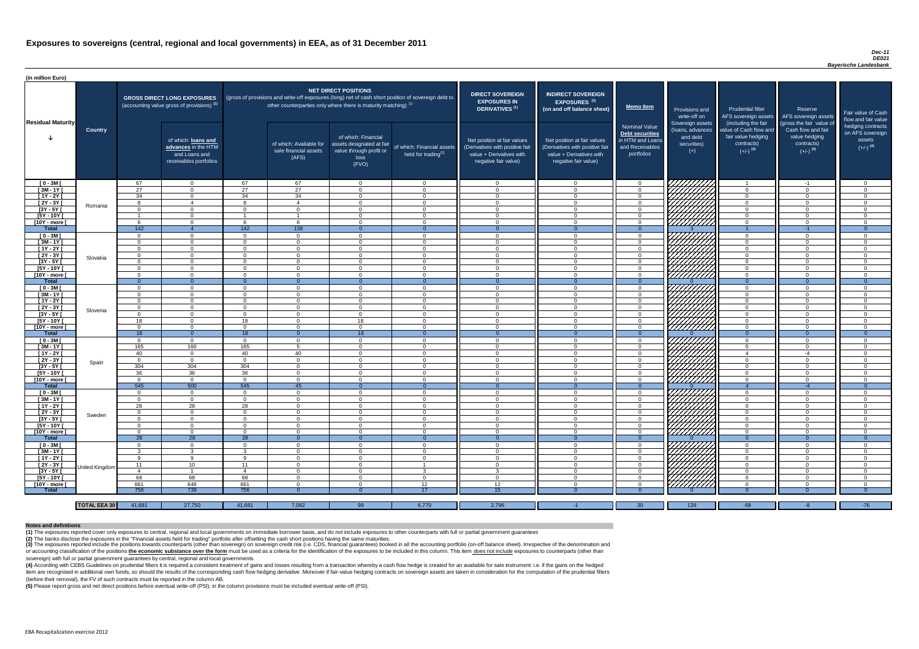#### *Dec-11 DE021 Bayerische Landesbank*

(4) According with CEBS Guidelines on prudential filters it is required a consistent treatment of gains and losses resulting from a transaction whereby a cash flow hedge is created for an available for sale instrument: i.e item are recognised in additional own funds, so should the results of the corresponding cash flow hedging derivative. Moreover if fair-value hedging contracts on sovereign assets are taken in consideration for the computat (before their removal), the FV of such contracts must be reported in the column AB.

| (in million Euro)             |                     |                            |                                                                                             |                            |                                                                                                                                                                                   |                                                                                              |                                                               |                                                                                                                    |                                                                                                                    |                                                                                       |                                                                          |                                                                                      |                                                                                                         |                                                                           |
|-------------------------------|---------------------|----------------------------|---------------------------------------------------------------------------------------------|----------------------------|-----------------------------------------------------------------------------------------------------------------------------------------------------------------------------------|----------------------------------------------------------------------------------------------|---------------------------------------------------------------|--------------------------------------------------------------------------------------------------------------------|--------------------------------------------------------------------------------------------------------------------|---------------------------------------------------------------------------------------|--------------------------------------------------------------------------|--------------------------------------------------------------------------------------|---------------------------------------------------------------------------------------------------------|---------------------------------------------------------------------------|
| <b>Residual Maturity</b>      |                     |                            | <b>GROSS DIRECT LONG EXPOSURES</b><br>(accounting value gross of provisions) <sup>(1)</sup> |                            | (gross of provisions and write-off exposures (long) net of cash short position of sovereign debt to<br>other counterparties only where there is maturity matching) <sup>(1)</sup> | NET DIRECT POSITIONS                                                                         |                                                               | <b>DIRECT SOVEREIGN</b><br><b>EXPOSURES IN</b><br>DERIVATIVES <sup>(1)</sup>                                       | <b>INDIRECT SOVEREIGN</b><br><b>EXPOSURES<sup>(3)</sup></b><br>(on and off balance sheet)                          | <b>Memo Item</b>                                                                      | <b>Provisions and</b><br>write-off on                                    | Prudential filter<br>AFS sovereign assets<br>(including the fair                     | Reserve<br>AFS sovereign assets                                                                         | Fair value of Cash<br>flow and fair value                                 |
|                               | <b>Country</b>      |                            | of which: loans and<br>advances in the HTM<br>and Loans and<br>receivables portfolios       |                            | of which: Available for<br>sale financial assets<br>(AFS)                                                                                                                         | of which: Financial<br>assets designated at fair<br>value through profit or<br>loss<br>(FVO) | of which: Financial assets<br>held for trading <sup>(2)</sup> | Net position at fair values<br>(Derivatives with positive fair<br>value + Derivatives with<br>negative fair value) | Net position at fair values<br>(Derivatives with positive fair<br>value + Derivatives with<br>negative fair value) | Nominal Value<br>Debt securities<br>in HTM and Loans<br>and Receivables<br>portfolios | Sovereign assets<br>(loans, advances<br>and debt<br>securities)<br>$(+)$ | value of Cash flow and<br>fair value hedging<br>contracts)<br>$(+/-)$ <sup>(4)</sup> | (gross the fair value of<br>Cash flow and fair<br>value hedging<br>contracts)<br>$(+/-)$ <sup>(4)</sup> | hedging contracts<br>on AFS sovereign<br>assets<br>$(+/-)$ <sup>(4)</sup> |
| $[0 - 3M]$                    |                     | 67                         | $\overline{0}$                                                                              | 67                         | 67                                                                                                                                                                                | $\Omega$                                                                                     | $\overline{0}$                                                | - റ                                                                                                                | റ                                                                                                                  | $\overline{0}$                                                                        | ' <i>Wittitte</i> r                                                      | $\overline{1}$                                                                       | $-1$                                                                                                    | $\overline{0}$                                                            |
| $[3M-1Y]$                     |                     | 27                         | $\Omega$                                                                                    | 27                         | $\overline{27}$                                                                                                                                                                   | $\Omega$                                                                                     | $\overline{0}$                                                | <b>0</b>                                                                                                           | $\sqrt{ }$                                                                                                         | $\overline{0}$                                                                        |                                                                          | $\overline{0}$                                                                       | $\cap$                                                                                                  | $\overline{0}$                                                            |
| $[1Y - 2Y]$                   |                     | 34                         | $\overline{0}$                                                                              | 34                         | 34                                                                                                                                                                                | $\Omega$                                                                                     | $\overline{0}$                                                | $\cap$                                                                                                             | $\Omega$<br>$\Omega$                                                                                               | $\Omega$                                                                              |                                                                          | $\overline{0}$                                                                       | $\sqrt{ }$<br>$\Omega$                                                                                  | $\Omega$                                                                  |
| [2Y - 3Y [<br>$[3Y - 5Y]$     | Romania             | 8<br>$\Omega$              | $\overline{4}$<br>$\Omega$                                                                  | $\mathcal{R}$<br>$\Omega$  | $\overline{4}$<br>$\Omega$                                                                                                                                                        | $\Omega$<br>$\Omega$                                                                         | $\overline{0}$<br>$\Omega$                                    | $\cap$<br>- വ                                                                                                      |                                                                                                                    | $\Omega$<br>$\Omega$                                                                  |                                                                          | $\overline{0}$<br>$\Omega$                                                           |                                                                                                         | $\Omega$<br>$\Omega$                                                      |
| [5Y - 10Y [                   |                     |                            | $\cap$                                                                                      |                            |                                                                                                                                                                                   | $\Omega$                                                                                     | $\Omega$                                                      | റ                                                                                                                  |                                                                                                                    | $\Omega$                                                                              | Hillitta                                                                 | $\Omega$                                                                             |                                                                                                         | $\Omega$                                                                  |
| [10Y - more [                 |                     | <b>6</b>                   | $\Omega$                                                                                    |                            | <b>6</b>                                                                                                                                                                          | $\cap$                                                                                       | $\Omega$                                                      | - വ                                                                                                                |                                                                                                                    | $\Omega$                                                                              |                                                                          | $\Omega$                                                                             | $\cap$                                                                                                  | $\Omega$                                                                  |
| Total                         |                     | 142                        | $\overline{4}$                                                                              | 142                        | 138                                                                                                                                                                               | $\Omega$                                                                                     | $\Omega$                                                      | - 0                                                                                                                |                                                                                                                    | $\Omega$                                                                              |                                                                          |                                                                                      | $-1$                                                                                                    | $\Omega$                                                                  |
| $[0 - 3M]$                    |                     | $\Omega$                   | $\Omega$                                                                                    | $\Omega$                   | $\Omega$                                                                                                                                                                          | $\Omega$                                                                                     | $\Omega$                                                      | $\cap$                                                                                                             |                                                                                                                    | $\Omega$                                                                              | THAT A                                                                   | $\overline{0}$                                                                       |                                                                                                         | $\Omega$                                                                  |
| $[3M - 1Y]$                   |                     | $\Omega$                   | $\Omega$                                                                                    | $\Omega$                   | $\Omega$                                                                                                                                                                          | $\Omega$                                                                                     | $\Omega$                                                      | $\cap$                                                                                                             |                                                                                                                    | $\Omega$                                                                              |                                                                          | $\overline{0}$                                                                       | $\Omega$<br>$\Omega$                                                                                    | $\Omega$                                                                  |
| $[1Y - 2Y]$                   |                     | $\Omega$<br>$\Omega$       | $\Omega$<br>$\Omega$                                                                        | $\Omega$<br>$\Omega$       | $\Omega$<br>$\Omega$                                                                                                                                                              | $\Omega$<br>$\Omega$                                                                         | $\overline{0}$<br>$\overline{0}$                              | $\cap$<br>$\cap$                                                                                                   | $\Omega$                                                                                                           | $\Omega$                                                                              |                                                                          | $\overline{0}$                                                                       | $\Omega$                                                                                                | $\Omega$                                                                  |
| $[2Y - 3Y]$<br>$[3Y - 5Y]$    | Slovakia            | $\Omega$                   | $\Omega$                                                                                    | $\Omega$                   | $\Omega$                                                                                                                                                                          | $\Omega$                                                                                     | $\Omega$                                                      | $\sqrt{ }$                                                                                                         |                                                                                                                    | $\overline{0}$<br>$\overline{0}$                                                      |                                                                          | $\overline{0}$<br>$\overline{0}$                                                     | $\Omega$                                                                                                | $\overline{0}$<br>$\overline{0}$                                          |
| [5Y - 10Y [                   |                     | $\Omega$                   | $\Omega$                                                                                    | $\Omega$                   | $\Omega$                                                                                                                                                                          | $\Omega$                                                                                     | $\overline{0}$                                                | $\cap$                                                                                                             | $\Omega$                                                                                                           | $\overline{0}$                                                                        |                                                                          | $\overline{0}$                                                                       | $\Omega$                                                                                                | $\overline{0}$                                                            |
| [10Y - more [                 |                     | $\Omega$                   | $\Omega$                                                                                    | $\Omega$                   | $\Omega$                                                                                                                                                                          | $\Omega$                                                                                     | $\overline{0}$                                                | $\Omega$                                                                                                           | $\Omega$                                                                                                           | $\overline{0}$                                                                        |                                                                          | $\overline{0}$                                                                       | $\Omega$                                                                                                | $\overline{0}$                                                            |
| <b>Total</b>                  |                     | - 0                        | $\overline{0}$                                                                              | $\Omega$                   | $\Omega$                                                                                                                                                                          |                                                                                              | $\Omega$                                                      | - 0                                                                                                                |                                                                                                                    | $\Omega$                                                                              |                                                                          | $\overline{0}$                                                                       | $\Omega$                                                                                                | $\Omega$                                                                  |
| $[0 - 3M]$                    |                     | $\Omega$                   | $\Omega$                                                                                    | $\Omega$                   | $\Omega$                                                                                                                                                                          | $\Omega$                                                                                     | $\overline{0}$                                                | $\cap$                                                                                                             |                                                                                                                    | $\Omega$                                                                              |                                                                          | $\overline{0}$                                                                       | $\cap$                                                                                                  | $\Omega$                                                                  |
| $[3M - 1Y]$                   |                     | $\Omega$                   | $\Omega$                                                                                    | $\Omega$                   | $\Omega$                                                                                                                                                                          | $\Omega$                                                                                     | $\overline{0}$                                                | $\cap$                                                                                                             |                                                                                                                    | $\Omega$                                                                              |                                                                          | $\overline{0}$                                                                       |                                                                                                         | $\Omega$                                                                  |
| $[1Y - 2Y]$                   |                     | $\Omega$                   | $\Omega$                                                                                    | $\Omega$                   | $\Omega$                                                                                                                                                                          | $\Omega$                                                                                     | $\Omega$                                                      | $\cap$                                                                                                             |                                                                                                                    | $\Omega$                                                                              |                                                                          | $\overline{0}$                                                                       |                                                                                                         | $\Omega$                                                                  |
| $[2Y - 3Y]$                   | Slovenia            | $\overline{0}$             |                                                                                             | $\Omega$                   | $\Omega$                                                                                                                                                                          | $\Omega$                                                                                     | $\Omega$                                                      | $\cap$                                                                                                             |                                                                                                                    | $\Omega$                                                                              | $\left \frac{\partial f}{\partial x}\right $                             | $\overline{0}$                                                                       |                                                                                                         | $\Omega$                                                                  |
| [3Y - 5Y ]<br>$[5Y - 10Y]$    |                     | -0<br>18                   | $\Omega$                                                                                    | 0<br>18                    | - 0<br>$\Omega$                                                                                                                                                                   | 0<br>18                                                                                      | - 0<br>$\overline{0}$                                         | - റ                                                                                                                | റ                                                                                                                  | -0<br>$\Omega$                                                                        |                                                                          | - 0<br>$\overline{0}$                                                                | $\cap$                                                                                                  | - 0<br>$\Omega$                                                           |
| [10Y - more [                 |                     | $\Omega$                   | $\Omega$                                                                                    | $\Omega$                   | $\Omega$                                                                                                                                                                          | $\Omega$                                                                                     | $\overline{0}$                                                | റ                                                                                                                  | $\cap$                                                                                                             | $\Omega$                                                                              | 777777777                                                                | $\overline{0}$                                                                       | റ                                                                                                       | $\Omega$                                                                  |
| <b>Total</b>                  |                     | 18                         | $\overline{0}$                                                                              | 18                         | - 0                                                                                                                                                                               | 18                                                                                           | $\theta$                                                      | -0                                                                                                                 |                                                                                                                    |                                                                                       |                                                                          | $\Omega$                                                                             |                                                                                                         | 0                                                                         |
| $[0 - 3M]$                    |                     | $\Omega$                   | $\overline{0}$                                                                              | $\Omega$                   | $\overline{0}$                                                                                                                                                                    | $\overline{0}$                                                                               | $\overline{0}$                                                | - 0                                                                                                                | $\cap$                                                                                                             | $\Omega$                                                                              |                                                                          | $\overline{0}$                                                                       | $\cap$                                                                                                  | $\Omega$                                                                  |
| $[3M - 1Y]$                   |                     | 165                        | 160                                                                                         | 165                        | -5                                                                                                                                                                                | $\overline{0}$                                                                               | $\overline{0}$                                                | - 0                                                                                                                | $\cap$                                                                                                             | $\Omega$                                                                              |                                                                          | $\overline{0}$                                                                       | - 0                                                                                                     | $\overline{0}$                                                            |
| $[1Y - 2Y]$                   |                     | 40                         | $\overline{0}$                                                                              | 40                         | 40                                                                                                                                                                                | $\overline{0}$                                                                               | $\overline{0}$                                                | $\overline{0}$                                                                                                     | $\Omega$                                                                                                           | $\Omega$                                                                              |                                                                          | $\overline{4}$                                                                       | $-4$                                                                                                    | $\overline{0}$                                                            |
| [2Y - 3Y [                    | Spain               | $\Omega$                   | $\overline{0}$                                                                              | $\Omega$                   | $\Omega$                                                                                                                                                                          | $\Omega$                                                                                     | $\overline{0}$                                                | - 0                                                                                                                | - വ                                                                                                                | $\overline{0}$                                                                        |                                                                          | $\overline{0}$                                                                       | - 0                                                                                                     | $\Omega$                                                                  |
| [3Y - 5Y [                    |                     | 304                        | 304                                                                                         | 304                        | $\Omega$                                                                                                                                                                          | $\Omega$                                                                                     | $\overline{0}$                                                | $\cap$                                                                                                             | $\cap$                                                                                                             | $\Omega$                                                                              |                                                                          | $\overline{0}$                                                                       | $\Omega$                                                                                                | $\Omega$                                                                  |
| $[5Y - 10Y]$<br>[10Y - more [ |                     | 36<br>$\Omega$             | 36<br>$\Omega$                                                                              | 36<br>$\Omega$             | $\Omega$<br>$\Omega$                                                                                                                                                              | $\Omega$<br>$\Omega$                                                                         | $\overline{0}$<br>$\Omega$                                    | $\Omega$<br>- വ                                                                                                    | റ<br>$\cap$                                                                                                        | $\Omega$<br>$\Omega$                                                                  | <b>SANTANA</b><br>SANTANA                                                | $\overline{0}$<br>$\overline{0}$                                                     | ി<br>$\cap$                                                                                             | $\Omega$<br>$\Omega$                                                      |
| <b>Total</b>                  |                     | 545                        | 500                                                                                         | 545                        | 45                                                                                                                                                                                | $\Omega$                                                                                     | $\Omega$                                                      | $\overline{0}$                                                                                                     |                                                                                                                    |                                                                                       |                                                                          | $\overline{4}$                                                                       | $-4$                                                                                                    | $\Omega$                                                                  |
| $[0 - 3M]$                    |                     | $\Omega$                   | $\overline{0}$                                                                              | $\overline{0}$             | $\Omega$                                                                                                                                                                          | $\Omega$                                                                                     | $\overline{0}$                                                | - 0                                                                                                                | $\cap$                                                                                                             | $\Omega$                                                                              | SANARA<br>SANARA                                                         | $\overline{0}$                                                                       | $\cap$                                                                                                  | $\Omega$                                                                  |
| $[3M - 1Y]$                   |                     | $\Omega$                   | $\overline{0}$                                                                              | $\Omega$                   | $\Omega$                                                                                                                                                                          | $\Omega$                                                                                     | $\overline{0}$                                                | $\cap$                                                                                                             | $\cap$                                                                                                             | $\Omega$                                                                              |                                                                          | $\overline{0}$                                                                       | $\cap$                                                                                                  | $\Omega$                                                                  |
| [ 1Y - 2Y [                   |                     | 28                         | 28                                                                                          | 28                         | $\Omega$                                                                                                                                                                          | $\Omega$                                                                                     | $\overline{0}$                                                | $\cap$                                                                                                             |                                                                                                                    | $\Omega$                                                                              |                                                                          | $\overline{0}$                                                                       |                                                                                                         | $\Omega$                                                                  |
| [2Y - 3Y]                     | Sweden              | $\Omega$                   | $\Omega$                                                                                    | $\Omega$                   | $\Omega$                                                                                                                                                                          | $\Omega$                                                                                     | $\overline{0}$                                                | $\cap$                                                                                                             | $\cap$                                                                                                             | $\Omega$                                                                              |                                                                          | $\overline{0}$                                                                       | $\Omega$                                                                                                | $\Omega$                                                                  |
| $[3Y - 5Y]$                   |                     | $\Omega$                   | $\Omega$                                                                                    | $\Omega$                   | $\Omega$                                                                                                                                                                          | $\Omega$                                                                                     | $\overline{0}$                                                | $\cap$                                                                                                             | $\cap$                                                                                                             | $\Omega$                                                                              |                                                                          | $\overline{0}$                                                                       | $\Omega$                                                                                                | $\Omega$                                                                  |
| $[5Y - 10Y]$                  |                     | $\Omega$<br>$\overline{0}$ | $\Omega$<br>$\overline{0}$                                                                  | $\Omega$<br>$\overline{0}$ | $\overline{0}$<br>$\overline{0}$                                                                                                                                                  | $\Omega$<br>$\overline{0}$                                                                   | $\overline{0}$                                                | $\Omega$<br>$\Omega$                                                                                               | $\Omega$<br>$\Omega$                                                                                               | $\overline{0}$<br>$\overline{0}$                                                      |                                                                          | $\overline{0}$                                                                       | $\Omega$<br>$\Omega$                                                                                    | $\overline{0}$<br>$\overline{0}$                                          |
| [10Y - more [<br><b>Total</b> |                     | $\overline{28}$            | 28                                                                                          | $\overline{28}$            | $\Omega$                                                                                                                                                                          | $\Omega$                                                                                     | $\overline{0}$<br>$\overline{0}$                              | $\overline{0}$                                                                                                     | $\Omega$                                                                                                           | $\Omega$                                                                              |                                                                          | $\overline{0}$<br>$\overline{0}$                                                     | $\overline{0}$                                                                                          | $\Omega$                                                                  |
| $[0 - 3M]$                    |                     | $\Omega$                   | $\Omega$                                                                                    | $\Omega$                   | $\Omega$                                                                                                                                                                          | $\Omega$                                                                                     | $\overline{0}$                                                | $\Omega$                                                                                                           | $\Omega$                                                                                                           | $\Omega$                                                                              |                                                                          | $\overline{0}$                                                                       | $\cap$                                                                                                  | $\Omega$                                                                  |
| $[3M - 1Y]$                   |                     | -3                         | -3                                                                                          | વ                          | $\Omega$                                                                                                                                                                          | $\Omega$                                                                                     | $\overline{0}$                                                | $\overline{0}$                                                                                                     |                                                                                                                    | $\overline{0}$                                                                        |                                                                          | $\overline{0}$                                                                       |                                                                                                         | $\Omega$                                                                  |
| $[1Y - 2Y]$                   |                     | - 9                        | Q                                                                                           | $\Omega$                   | $\Omega$                                                                                                                                                                          | $\Omega$                                                                                     | $\Omega$                                                      | - വ                                                                                                                |                                                                                                                    | $\Omega$                                                                              |                                                                          | $\overline{0}$                                                                       |                                                                                                         | $\Omega$                                                                  |
| [ $2Y - 3Y$ ]                 | United Kingdom      | - 11                       | 10                                                                                          | 11                         | $\Omega$                                                                                                                                                                          | $\Omega$                                                                                     |                                                               | - 0                                                                                                                |                                                                                                                    | $\Omega$                                                                              | <u>UMMA</u>                                                              | $\overline{0}$                                                                       |                                                                                                         | $\Omega$                                                                  |
| $[3Y - 5Y]$                   |                     | -4                         |                                                                                             |                            | $\Omega$                                                                                                                                                                          | $\Omega$                                                                                     | 3                                                             | -3                                                                                                                 |                                                                                                                    | $\Omega$                                                                              |                                                                          | $\overline{0}$                                                                       |                                                                                                         | $\Omega$                                                                  |
| [5Y - 10Y [                   |                     | 68                         | 68                                                                                          | 68                         | $\Omega$                                                                                                                                                                          | $\Omega$                                                                                     | $\overline{0}$                                                | റ                                                                                                                  |                                                                                                                    | $\Omega$                                                                              | <u>777777777</u>                                                         | $\overline{0}$                                                                       |                                                                                                         | $\Omega$                                                                  |
| [10Y - more [                 |                     | 661                        | 649<br>739                                                                                  | 661                        | $\Omega$                                                                                                                                                                          | $\Omega$                                                                                     | 12<br>17                                                      | 12 <sup>1</sup>                                                                                                    |                                                                                                                    | $\Omega$                                                                              | 77777777                                                                 | $\overline{0}$                                                                       |                                                                                                         | $\Omega$                                                                  |
| <b>Total</b>                  |                     | 756                        |                                                                                             | 756                        | - 0                                                                                                                                                                               |                                                                                              |                                                               | 15.                                                                                                                |                                                                                                                    | -0                                                                                    |                                                                          | -0                                                                                   |                                                                                                         | - 0                                                                       |
|                               | <b>TOTAL EEA 30</b> | 41,681                     | 27,750                                                                                      | 41,681                     | 7,062                                                                                                                                                                             | 99                                                                                           | 6,770                                                         | 2,796                                                                                                              | -1.                                                                                                                | 30                                                                                    | 139                                                                      | $-68$                                                                                | -8                                                                                                      | $-76$                                                                     |
|                               |                     |                            |                                                                                             |                            |                                                                                                                                                                                   |                                                                                              |                                                               |                                                                                                                    |                                                                                                                    |                                                                                       |                                                                          |                                                                                      |                                                                                                         |                                                                           |

(3) The exposures reported include the positions towards counterparts (other than sovereign) on sovereign credit risk (i.e. CDS, financial guarantees) booked in all the accounting portfolio (on-off balance sheet). Irrespec or accounting classification of the positions the economic substance over the form must be used as a criteria for the identification of the exposures to be included in this column. This item does not include exposures to c sovereign) with full or partial government guarantees by central, regional and local governments

**(5)** Please report gross and net direct positions before eventual write-off (PSI); in the column provisions must be included eventual write-off (PSI).

#### **Notes and definitions**

**(1)** The exposures reported cover only exposures to central, regional and local governments on immediate borrower basis, and do not include exposures to other counterparts with full or partial government guarantees **(2)** The banks disclose the exposures in the "Financial assets held for trading" portfolio after offsetting the cash short positions having the same maturities.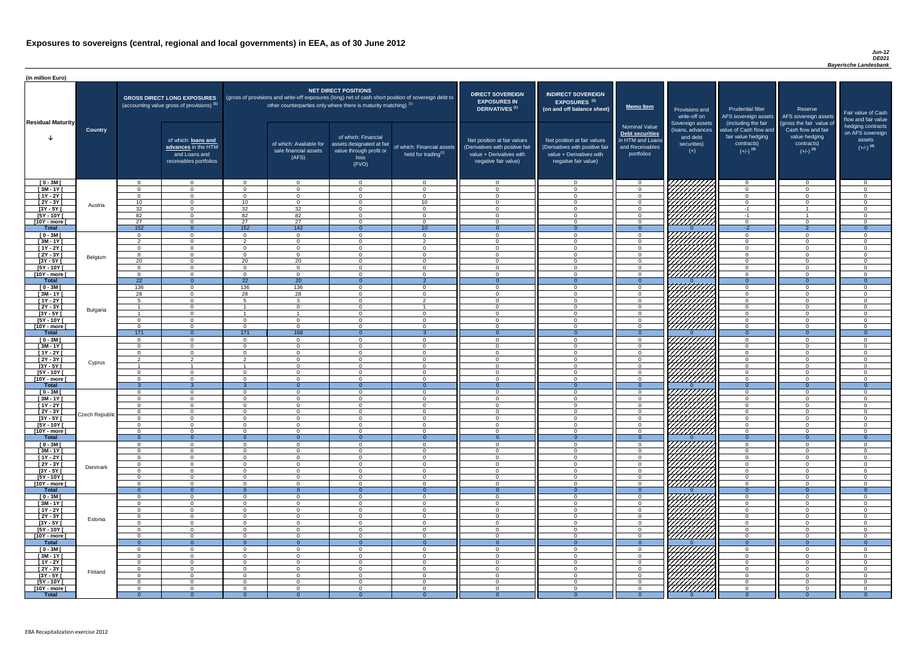### *Jun-12 DE021 Bayerische Landesbank*

| (in million Euro)             |                       |                      |                                                                                             |                            |                                                                   |                                                                                              |                                                                                                     |                                                                                                                    |                                                                                                                    |                                                                                              |                                                                                                                      |                                                                                                             |                                                                                                         |                                                                           |
|-------------------------------|-----------------------|----------------------|---------------------------------------------------------------------------------------------|----------------------------|-------------------------------------------------------------------|----------------------------------------------------------------------------------------------|-----------------------------------------------------------------------------------------------------|--------------------------------------------------------------------------------------------------------------------|--------------------------------------------------------------------------------------------------------------------|----------------------------------------------------------------------------------------------|----------------------------------------------------------------------------------------------------------------------|-------------------------------------------------------------------------------------------------------------|---------------------------------------------------------------------------------------------------------|---------------------------------------------------------------------------|
| <b>Residual Maturity</b>      |                       |                      | <b>GROSS DIRECT LONG EXPOSURES</b><br>(accounting value gross of provisions) <sup>(1)</sup> |                            | other counterparties only where there is maturity matching) $(1)$ | <b>NET DIRECT POSITIONS</b>                                                                  | (gross of provisions and write-off exposures (long) net of cash short position of sovereign debt to | <b>DIRECT SOVEREIGN</b><br><b>EXPOSURES IN</b><br><b>DERIVATIVES (1)</b>                                           | <b>INDIRECT SOVEREIGN</b><br>EXPOSURES <sup>(3)</sup><br>(on and off balance sheet)                                | <b>Memo Item</b>                                                                             | Provisions and<br>write-off on                                                                                       | <b>Prudential filter</b>                                                                                    | Reserve<br>AFS sovereign assets AFS sovereign assets                                                    | Fair value of Cash<br>flow and fair value                                 |
|                               | <b>Country</b>        |                      | of which: loans and<br>advances in the HTM<br>and Loans and<br>receivables portfolios       |                            | of which: Available for<br>sale financial assets<br>(AFS)         | of which: Financial<br>assets designated at fair<br>value through profit or<br>loss<br>(FVO) | of which: Financial assets<br>held for trading $(2)$                                                | Net position at fair values<br>(Derivatives with positive fair<br>value + Derivatives with<br>negative fair value) | Net position at fair values<br>(Derivatives with positive fair<br>value + Derivatives with<br>negative fair value) | <b>Nominal Value</b><br>Debt securities<br>in HTM and Loans<br>and Receivables<br>portfolios | Sovereign assets<br>(loans, advances<br>and debt<br>securities)<br>$(+)$                                             | (including the fair<br>value of Cash flow and<br>fair value hedging<br>contracts)<br>$(+/-)$ <sup>(4)</sup> | (gross the fair value of<br>Cash flow and fair<br>value hedging<br>contracts)<br>$(+/-)$ <sup>(4)</sup> | hedging contracts<br>on AFS sovereign<br>assets<br>$(+/-)$ <sup>(4)</sup> |
| $[0 - 3M]$<br>$\sqrt{3M-1Y}$  |                       | . വ                  | $\overline{0}$<br>$\overline{0}$                                                            | $\cap$                     | $\overline{0}$<br>$\Omega$                                        | $\Omega$<br>$\Omega$                                                                         | $\overline{0}$<br>$\overline{0}$                                                                    | - റ<br>$\cap$                                                                                                      | $\cap$                                                                                                             | $\Omega$<br>$\overline{0}$                                                                   | 777777777                                                                                                            | - 0<br>$\overline{0}$                                                                                       | $\overline{0}$<br>$\overline{0}$                                                                        | $\Omega$                                                                  |
| $[1Y - 2Y]$                   |                       | $\Omega$             | $\overline{0}$                                                                              | $\Omega$                   | $\Omega$                                                          | $\Omega$                                                                                     | $\Omega$                                                                                            | - 0                                                                                                                | $\cap$                                                                                                             | $\Omega$                                                                                     |                                                                                                                      | $\Omega$                                                                                                    | $\Omega$                                                                                                | $\Omega$                                                                  |
| $[2Y - 3Y]$                   |                       | 10                   | $\Omega$                                                                                    | 10 <sup>1</sup>            | $\Omega$                                                          | $\Omega$                                                                                     | 10 <sup>°</sup>                                                                                     | $\Omega$                                                                                                           | $\Omega$                                                                                                           | $\Omega$                                                                                     |                                                                                                                      | $\overline{0}$                                                                                              | $\Omega$                                                                                                | $\Omega$                                                                  |
| $[3Y - 5Y]$                   | Austria               | 32                   | $\overline{0}$                                                                              | 32                         | 32                                                                | $\Omega$                                                                                     | $\overline{0}$                                                                                      | $\overline{0}$                                                                                                     | $\Omega$                                                                                                           | $\Omega$                                                                                     | <i>VIIIIIII</i>                                                                                                      | $-1$                                                                                                        |                                                                                                         | $\Omega$                                                                  |
| $[5Y - 10Y]$                  |                       | 82                   | $\Omega$                                                                                    | 82                         | 82                                                                | $\Omega$                                                                                     | $\overline{0}$                                                                                      | $\Omega$                                                                                                           | $\Omega$                                                                                                           | $\Omega$                                                                                     | <i>VIIIIII</i> 77                                                                                                    | $-1$                                                                                                        |                                                                                                         | $\Omega$                                                                  |
| [10Y - more [<br><b>Total</b> |                       | 27<br>152            | $\Omega$<br>$\Omega$                                                                        | 27<br>152                  | 27<br>142                                                         | $\cap$                                                                                       | $\Omega$<br>10                                                                                      | $\cap$                                                                                                             | $\Omega$                                                                                                           | $\Omega$                                                                                     | s <i>Viitittin</i>                                                                                                   | $\Omega$<br>$-2$                                                                                            | $\Omega$                                                                                                | $\cap$                                                                    |
| $[0 - 3M]$                    |                       | $\Omega$             | $\Omega$                                                                                    | $\cap$                     | $\Omega$                                                          | $\Omega$                                                                                     | $\overline{0}$                                                                                      | . വ                                                                                                                | $\cap$                                                                                                             | $\Omega$                                                                                     |                                                                                                                      | $\Omega$                                                                                                    | $\Omega$                                                                                                | $\cap$                                                                    |
| $[3M - 1Y]$                   |                       | - 2                  | $\overline{0}$                                                                              | $\Omega$                   | $\Omega$                                                          | $\Omega$                                                                                     | $\overline{2}$                                                                                      | $\Omega$                                                                                                           | $\cap$                                                                                                             | $\Omega$                                                                                     |                                                                                                                      | $\Omega$                                                                                                    | $\Omega$                                                                                                | $\cap$                                                                    |
| $[1Y - 2Y]$                   |                       | $\Omega$             | $\overline{0}$                                                                              | $\Omega$                   | $\overline{0}$                                                    | $\Omega$                                                                                     | $\overline{0}$                                                                                      | $\Omega$                                                                                                           | $\Omega$                                                                                                           | $\overline{0}$                                                                               | HIIII)<br>MAAA                                                                                                       | $\overline{0}$                                                                                              | $\overline{0}$                                                                                          | $\Omega$                                                                  |
| $[2Y - 3Y]$                   | Belgium               | $\Omega$             | $\Omega$                                                                                    | $\Omega$                   | $\Omega$                                                          | $\overline{0}$                                                                               | $\overline{0}$                                                                                      | $\cap$                                                                                                             | $\Omega$                                                                                                           | $\Omega$                                                                                     |                                                                                                                      | $\Omega$                                                                                                    | $\overline{0}$                                                                                          | $\Omega$                                                                  |
| $[3Y - 5Y]$<br>$[5Y - 10Y]$   |                       | 20<br>$\Omega$       | $\overline{0}$<br>$\Omega$                                                                  | 20<br>$\Omega$             | 20<br>$\Omega$                                                    | $\Omega$<br>$\Omega$                                                                         | $\overline{0}$<br>$\overline{0}$                                                                    | $\cap$<br>$\cap$                                                                                                   | $\Omega$                                                                                                           | $\Omega$<br>$\Omega$                                                                         | <i>77777777</i>                                                                                                      | $\overline{0}$<br>$\Omega$                                                                                  | $\Omega$<br>$\Omega$                                                                                    | $\cap$<br>$\cap$                                                          |
| [10Y - more [                 |                       | $\Omega$             | $\Omega$                                                                                    | $\Omega$                   | $\Omega$                                                          | $\Omega$                                                                                     | $\Omega$                                                                                            | $\cap$                                                                                                             |                                                                                                                    | $\Omega$                                                                                     | <u>777777777</u>                                                                                                     | $\Omega$                                                                                                    | $\Omega$                                                                                                | $\Omega$                                                                  |
| <b>Total</b>                  |                       | $\overline{22}$      | $\overline{0}$                                                                              | $\overline{22}$            | $\overline{20}$                                                   | $\Omega$                                                                                     | $\overline{2}$                                                                                      | - 0                                                                                                                |                                                                                                                    | $\Omega$                                                                                     |                                                                                                                      | $\Omega$                                                                                                    | $\Omega$                                                                                                | $\Omega$                                                                  |
| $[0 - 3M]$                    |                       | 136                  | $\Omega$                                                                                    | 136                        | 136                                                               | $\Omega$                                                                                     | $\overline{0}$                                                                                      | റ                                                                                                                  |                                                                                                                    | $\Omega$                                                                                     | HAANII<br>AAAAAA                                                                                                     | $\Omega$                                                                                                    | $\Omega$                                                                                                | $\cap$                                                                    |
| $[3M - 1Y]$                   |                       | 28                   | $\Omega$                                                                                    | 28                         | $\overline{28}$                                                   | $\Omega$                                                                                     | $\Omega$                                                                                            | $\cap$<br>$\cap$                                                                                                   |                                                                                                                    | $\Omega$                                                                                     |                                                                                                                      | $\Omega$                                                                                                    | $\Omega$                                                                                                | $\Omega$<br>$\Omega$                                                      |
| $[1Y - 2Y]$<br>$[2Y - 3Y]$    |                       |                      | $\Omega$<br>$\Omega$                                                                        |                            | $\mathcal{R}$<br>$\Omega$                                         | $\Omega$<br>$\Omega$                                                                         | $\overline{2}$                                                                                      | $\cap$                                                                                                             | $\Omega$                                                                                                           | $\Omega$<br>$\Omega$                                                                         |                                                                                                                      | $\cap$<br>$\Omega$                                                                                          | $\Omega$<br>$\Omega$                                                                                    | $\sqrt{ }$                                                                |
| <u>[3Y - 5Y </u>              | <b>Bulgaria</b>       |                      |                                                                                             |                            |                                                                   |                                                                                              | 0                                                                                                   |                                                                                                                    |                                                                                                                    |                                                                                              |                                                                                                                      |                                                                                                             |                                                                                                         |                                                                           |
| $[5Y - 10Y]$                  |                       | $\cap$               | $\Omega$                                                                                    | $\Omega$                   | $\Omega$                                                          | $\Omega$                                                                                     | $\Omega$                                                                                            | $\Omega$                                                                                                           |                                                                                                                    | $\Omega$                                                                                     | HAHAS SAHARA SEDE                                                                                                    | $\Omega$                                                                                                    | $\Omega$                                                                                                |                                                                           |
| [10Y - more [                 |                       | $\Omega$             | $\Omega$                                                                                    | $\Omega$                   | $\Omega$                                                          | $\Omega$                                                                                     | $\Omega$                                                                                            | $\cap$                                                                                                             | $\Omega$                                                                                                           | $\Omega$                                                                                     |                                                                                                                      | $\Omega$                                                                                                    | $\Omega$                                                                                                | $\Omega$                                                                  |
| <b>Total</b><br>$[0 - 3M]$    |                       | 171                  | $\Omega$<br>$\overline{0}$                                                                  | $171$<br>$\Omega$          | 168<br>$\Omega$                                                   | $\Omega$<br>$\Omega$                                                                         | 3<br>$\overline{0}$                                                                                 | - 0<br>$\cap$                                                                                                      | $\Omega$<br>$\Omega$                                                                                               | $\Omega$<br>$\Omega$                                                                         |                                                                                                                      | $\Omega$<br>$\Omega$                                                                                        | $\Omega$<br>$\overline{0}$                                                                              | $\Omega$<br>$\Omega$                                                      |
| $[3M - 1Y]$                   |                       |                      | $\overline{0}$                                                                              | $\Omega$                   | $\Omega$                                                          | $\Omega$                                                                                     | $\mathbf 0$                                                                                         | $\Omega$                                                                                                           |                                                                                                                    | $\overline{0}$                                                                               | 777777777777                                                                                                         | $\overline{0}$                                                                                              | $\mathbf 0$                                                                                             |                                                                           |
| $[1Y - 2Y]$                   |                       | $\Omega$             | $\Omega$                                                                                    | $\Omega$                   | $\Omega$                                                          | $\Omega$                                                                                     | $\mathbf 0$                                                                                         | $\Omega$                                                                                                           |                                                                                                                    | $\Omega$                                                                                     | <u>UMMA</u>                                                                                                          | $\Omega$                                                                                                    | $\Omega$                                                                                                |                                                                           |
| [2Y - 3Y [                    | Cyprus                |                      | ົາ                                                                                          | 2                          | $\Omega$                                                          | $\Omega$                                                                                     | $\mathbf 0$                                                                                         | $\Omega$                                                                                                           |                                                                                                                    | $\mathbf{0}$                                                                                 |                                                                                                                      | $\overline{0}$                                                                                              | $\mathbf 0$                                                                                             |                                                                           |
| $[3Y - 5Y]$                   |                       |                      | $\Omega$                                                                                    | $\Omega$                   | $\Omega$                                                          | $\Omega$                                                                                     | $\overline{0}$                                                                                      | - 0<br>- റ                                                                                                         | $\Omega$                                                                                                           | $\Omega$                                                                                     |                                                                                                                      | $\Omega$<br>$\Omega$                                                                                        | $\Omega$<br>$\Omega$                                                                                    | $\cap$                                                                    |
| [5Y - 10Y]<br>[10Y - more [   |                       | - 0<br>$\Omega$      | $\Omega$                                                                                    | $\Omega$                   | - 0<br>$\Omega$                                                   | $\Omega$<br>$\Omega$                                                                         | $\Omega$<br>$\Omega$                                                                                | $\cap$                                                                                                             | $\Omega$                                                                                                           | $\Omega$<br>$\Omega$                                                                         | 777777777<br><u>//////////</u>                                                                                       | $\Omega$                                                                                                    | $\Omega$                                                                                                | $\cap$                                                                    |
| <b>Total</b>                  |                       |                      |                                                                                             |                            |                                                                   |                                                                                              |                                                                                                     |                                                                                                                    |                                                                                                                    |                                                                                              |                                                                                                                      | $\Omega$                                                                                                    |                                                                                                         |                                                                           |
| $[0 - 3M]$                    |                       | റ                    | $\Omega$                                                                                    | $\Omega$                   | $\Omega$                                                          | $\Omega$                                                                                     | $\overline{0}$                                                                                      | $\Omega$                                                                                                           | $\Omega$                                                                                                           | $\Omega$                                                                                     |                                                                                                                      | $\Omega$                                                                                                    | $\Omega$                                                                                                | $\cap$                                                                    |
| $\sqrt{3M-1Y}$<br>$[1Y - 2Y]$ |                       | $\Omega$<br>$\Omega$ | $\overline{0}$<br>$\overline{0}$                                                            | $\Omega$<br>$\Omega$       | $\overline{0}$<br>$\overline{0}$                                  | $\Omega$<br>$\Omega$                                                                         | $\overline{0}$<br>$\overline{0}$                                                                    | $\Omega$<br>$\Omega$                                                                                               | $\Omega$<br>$\Omega$                                                                                               | $\overline{0}$<br>$\overline{0}$                                                             | V <i>IIIIIII</i> Z                                                                                                   | $\overline{0}$                                                                                              | $\Omega$<br>$\Omega$                                                                                    | $\Omega$<br>- 0                                                           |
| $[2Y - 3Y]$                   |                       | $\Omega$             | $\overline{0}$                                                                              | $\Omega$                   | $\overline{0}$                                                    | $\Omega$                                                                                     | $\overline{0}$                                                                                      | - 0                                                                                                                | $\Omega$                                                                                                           | $\overline{0}$                                                                               | HAAAAD                                                                                                               | $\overline{0}$<br>$\overline{0}$                                                                            | $\Omega$                                                                                                | $\Omega$                                                                  |
| $[3Y - 5Y]$                   | <b>Czech Republic</b> | $\Omega$             | $\overline{0}$                                                                              | $\Omega$                   | $\overline{0}$                                                    | $\Omega$                                                                                     | $\overline{0}$                                                                                      | $\Omega$                                                                                                           | $\Omega$                                                                                                           | $\overline{0}$                                                                               |                                                                                                                      | $\overline{0}$                                                                                              | $\overline{0}$                                                                                          | $\Omega$                                                                  |
| $[5Y - 10Y]$                  |                       | <u>n</u>             | $\overline{0}$                                                                              | $\Omega$                   | - 0                                                               | $\Omega$                                                                                     | $\overline{0}$                                                                                      | $\Omega$                                                                                                           | $\Omega$                                                                                                           | $\Omega$                                                                                     |                                                                                                                      | $\Omega$                                                                                                    | $\Omega$                                                                                                | $\Omega$                                                                  |
| [10Y - more [<br><b>Total</b> |                       | $\Omega$<br>$\Omega$ | $\Omega$<br>$\overline{0}$                                                                  | $\Omega$<br>$\Omega$       | $\Omega$<br>$\Omega$                                              | $\Omega$<br>$\Omega$                                                                         | $\Omega$<br>$\overline{0}$                                                                          | - വ<br>$\Omega$                                                                                                    | ∩                                                                                                                  | $\Omega$<br>$\Omega$                                                                         | <u>77777777</u>                                                                                                      | $\Omega$<br>$\overline{0}$                                                                                  | $\Omega$<br>$\overline{0}$                                                                              | $\cap$<br>$\Omega$                                                        |
| $[0 - 3M]$                    |                       | $\Omega$             | $\Omega$                                                                                    | $\Omega$                   | $\Omega$                                                          | $\Omega$                                                                                     | $\overline{0}$                                                                                      | $\cap$                                                                                                             |                                                                                                                    | $\Omega$                                                                                     |                                                                                                                      | $\Omega$                                                                                                    | $\Omega$                                                                                                | $\cap$                                                                    |
| $[3M - 1Y]$                   |                       | $\Omega$             | $\Omega$                                                                                    | $\Omega$                   | $\Omega$                                                          | $\Omega$                                                                                     | $\overline{0}$                                                                                      | $\cap$                                                                                                             | $\cap$                                                                                                             | $\Omega$                                                                                     | UNITA<br>UNITA                                                                                                       | $\Omega$                                                                                                    | $\Omega$                                                                                                | $\Omega$                                                                  |
| $[1Y - 2Y]$                   |                       | $\Omega$             | $\overline{0}$                                                                              | $\Omega$                   | $\Omega$                                                          | $\Omega$                                                                                     | $\overline{0}$                                                                                      | $\cap$                                                                                                             | $\Omega$                                                                                                           | $\Omega$                                                                                     |                                                                                                                      | $\overline{0}$                                                                                              | $\Omega$                                                                                                | $\cap$                                                                    |
| $[2Y - 3Y]$                   | Denmark               | $\Omega$             | $\Omega$<br>$\Omega$                                                                        | $\Omega$<br>$\Omega$       | $\Omega$<br>$\Omega$                                              | $\Omega$<br>$\Omega$                                                                         | $\overline{0}$<br>$\Omega$                                                                          | $\cap$<br>$\Omega$                                                                                                 | $\Omega$                                                                                                           | $\Omega$<br>$\Omega$                                                                         |                                                                                                                      | $\Omega$<br>$\Omega$                                                                                        | $\Omega$<br>$\Omega$                                                                                    | $\cap$<br>$\Omega$                                                        |
| $[3Y - 5Y]$<br>$[5Y - 10Y]$   |                       | $\Omega$             | $\Omega$                                                                                    | $\Omega$                   | $\Omega$                                                          | $\Omega$                                                                                     | $\Omega$                                                                                            | $\cap$                                                                                                             | $\cap$                                                                                                             | $\Omega$                                                                                     |                                                                                                                      | $\overline{0}$                                                                                              | $\Omega$                                                                                                | $\cap$                                                                    |
| [10Y - more [                 |                       | $\cap$               | $\Omega$                                                                                    | $\Omega$                   | $\Omega$                                                          | $\Omega$                                                                                     | $\Omega$                                                                                            | $\Omega$                                                                                                           | $\Omega$                                                                                                           | $\Omega$                                                                                     |                                                                                                                      | $\Omega$                                                                                                    | $\Omega$                                                                                                | $\Omega$                                                                  |
| <b>Total</b>                  |                       | - റ                  | $\Omega$                                                                                    | $\Omega$                   | $\Omega$                                                          | $\Omega$                                                                                     | $\Omega$                                                                                            | - 0                                                                                                                | $\Omega$                                                                                                           | $\Omega$                                                                                     |                                                                                                                      | $\overline{0}$                                                                                              | $\Omega$                                                                                                | $\Omega$                                                                  |
| $[0 - 3M]$                    |                       | $\Omega$             | $\Omega$<br>$\Omega$                                                                        | $\Omega$<br>$\Omega$       | $\Omega$<br>$\Omega$                                              | $\Omega$<br>$\Omega$                                                                         | $\Omega$<br>$\Omega$                                                                                | $\cap$<br>$\Omega$                                                                                                 | $\Omega$                                                                                                           | $\Omega$<br>$\Omega$                                                                         |                                                                                                                      | $\Omega$<br>$\Omega$                                                                                        | $\Omega$<br>$\Omega$                                                                                    | $\Omega$                                                                  |
| $[3M - 1Y]$<br>$[1Y - 2Y]$    |                       | $\Omega$             | $\Omega$                                                                                    | $\Omega$                   | $\Omega$                                                          | $\Omega$                                                                                     | $\Omega$                                                                                            | $\Omega$                                                                                                           |                                                                                                                    | $\Omega$                                                                                     |                                                                                                                      | $\Omega$                                                                                                    | $\Omega$                                                                                                |                                                                           |
| [2Y - 3Y [                    | Estonia               |                      | $\Omega$                                                                                    |                            | $\Omega$                                                          | $\Omega$                                                                                     | $\mathbf 0$                                                                                         | $\Omega$                                                                                                           |                                                                                                                    | $\Omega$                                                                                     | ,,,,,,,,,,,,,,,,,,                                                                                                   | $\Omega$                                                                                                    | $\mathbf 0$                                                                                             |                                                                           |
| $[3Y - 5Y]$                   |                       |                      | $\Omega$                                                                                    |                            | - 0                                                               | $\Omega$                                                                                     | $\Omega$                                                                                            |                                                                                                                    |                                                                                                                    | $\Omega$                                                                                     | <i>VIIIIIII</i>                                                                                                      | $\Omega$                                                                                                    | $\Omega$                                                                                                |                                                                           |
| [5Y - 10Y]                    |                       |                      | $\Omega$<br>$\Omega$                                                                        | $\Omega$                   | $\Omega$                                                          | $\Omega$<br>$\Omega$                                                                         | $\Omega$                                                                                            | - വ<br>$\cap$                                                                                                      | $\cap$                                                                                                             | $\Omega$<br>$\Omega$                                                                         |                                                                                                                      | $\Omega$                                                                                                    | $\Omega$                                                                                                | $\cap$                                                                    |
| [10Y - more [<br><b>Total</b> |                       | $\Omega$             | $\Omega$                                                                                    |                            | $\Omega$<br>- 0                                                   |                                                                                              | $\Omega$<br>$\Omega$                                                                                |                                                                                                                    |                                                                                                                    |                                                                                              | //////////                                                                                                           | $\Omega$<br>$\Omega$                                                                                        | $\Omega$                                                                                                |                                                                           |
| $[0 - 3M]$                    |                       | $\cap$               | $\Omega$                                                                                    | $\Omega$                   | $\Omega$                                                          | $\Omega$                                                                                     | $\Omega$                                                                                            | $\cap$                                                                                                             | $\cap$                                                                                                             | $\Omega$                                                                                     | 7777777777                                                                                                           | $\Omega$                                                                                                    | $\Omega$                                                                                                |                                                                           |
| $[3M - 1Y]$                   |                       | $\Omega$             | $\overline{0}$                                                                              | $\Omega$                   | $\overline{0}$                                                    | $\Omega$                                                                                     | $\overline{0}$                                                                                      | $\overline{0}$                                                                                                     | $\Omega$                                                                                                           | $\overline{0}$                                                                               |                                                                                                                      | $\overline{0}$                                                                                              | $\overline{0}$                                                                                          | $\Omega$                                                                  |
| $[1Y - 2Y]$                   |                       | $\Omega$             | $\overline{0}$                                                                              | $\Omega$                   | $\overline{0}$                                                    | $\overline{0}$                                                                               | $\overline{0}$                                                                                      | $\overline{0}$                                                                                                     | $\Omega$                                                                                                           | $\overline{0}$                                                                               | <b>College College College College College College College College College College College College College Colle</b> | $\overline{0}$                                                                                              | $\overline{0}$                                                                                          | - 0                                                                       |
| $[2Y - 3Y]$<br>$[3Y - 5Y]$    | Finland               | $\Omega$<br>- 0      | $\overline{0}$<br>$\overline{0}$                                                            | $\Omega$<br>$\overline{0}$ | $\overline{0}$<br>$\overline{0}$                                  | $\overline{0}$<br>$\overline{0}$                                                             | $\overline{0}$<br>$\overline{0}$                                                                    | $\Omega$<br>$\overline{0}$                                                                                         | $\Omega$<br>$\Omega$                                                                                               | $\overline{0}$<br>$\overline{0}$                                                             |                                                                                                                      | $\overline{0}$<br>$\overline{0}$                                                                            | $\overline{0}$<br>$\overline{0}$                                                                        | $\Omega$<br>$\overline{0}$                                                |
| [5Y - 10Y [                   |                       | $\Omega$             | $\overline{0}$                                                                              | $\Omega$                   | - 0                                                               | $\overline{0}$                                                                               | $\overline{0}$                                                                                      | $\overline{0}$                                                                                                     | $\Omega$                                                                                                           | $\overline{0}$                                                                               |                                                                                                                      | $\overline{0}$                                                                                              | $\overline{0}$                                                                                          | $\Omega$                                                                  |
| [10Y - more [                 |                       | $\Omega$             | $\overline{0}$                                                                              | $\Omega$                   | $\Omega$                                                          | $\Omega$                                                                                     | $\Omega$                                                                                            | $\Omega$                                                                                                           | $\cap$                                                                                                             | $\Omega$                                                                                     |                                                                                                                      | $\Omega$                                                                                                    | $\Omega$                                                                                                | $\cap$                                                                    |
| <b>Total</b>                  |                       |                      | $\Omega$                                                                                    |                            |                                                                   |                                                                                              |                                                                                                     |                                                                                                                    |                                                                                                                    |                                                                                              |                                                                                                                      | $\Omega$                                                                                                    |                                                                                                         |                                                                           |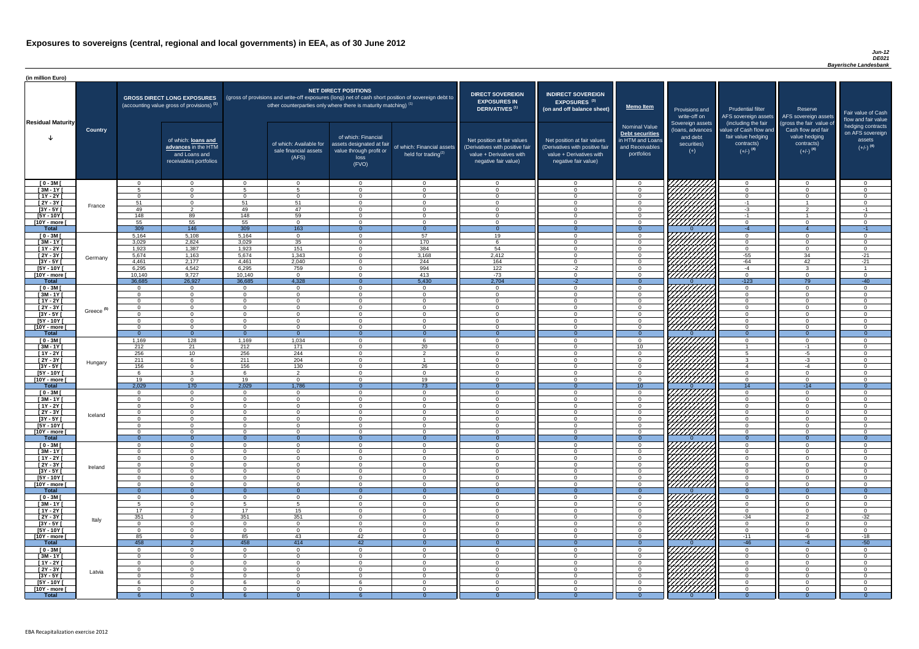### *Jun-12 DE021 Bayerische Landesbank*

| (in million Euro)                |                       |                  |                                                                                             |                    |                                                           |                                                                                                                                                                                                           |                                                         |                                                                                                                    |                                                                                                                    |                                                                                              |                                                                          |                                                                                      |                                                                                  |                                                                           |
|----------------------------------|-----------------------|------------------|---------------------------------------------------------------------------------------------|--------------------|-----------------------------------------------------------|-----------------------------------------------------------------------------------------------------------------------------------------------------------------------------------------------------------|---------------------------------------------------------|--------------------------------------------------------------------------------------------------------------------|--------------------------------------------------------------------------------------------------------------------|----------------------------------------------------------------------------------------------|--------------------------------------------------------------------------|--------------------------------------------------------------------------------------|----------------------------------------------------------------------------------|---------------------------------------------------------------------------|
| <b>Residual Maturity</b>         |                       |                  | <b>GROSS DIRECT LONG EXPOSURES</b><br>(accounting value gross of provisions) <sup>(1)</sup> |                    |                                                           | NET DIRECT POSITIONS<br>(gross of provisions and write-off exposures (long) net of cash short position of sovereign debt to<br>other counterparties only where there is maturity matching) <sup>(1)</sup> |                                                         | <b>DIRECT SOVEREIGN</b><br><b>EXPOSURES IN</b><br><b>DERIVATIVES (1)</b>                                           | <b>INDIRECT SOVEREIGN</b><br><b>EXPOSURES<sup>(3)</sup></b><br>(on and off balance sheet)                          | <b>Memo Item</b>                                                                             | Provisions and<br>write-off on                                           | <b>Prudential filter</b><br>(including the fair                                      | Reserve<br>AFS sovereign assets AFS sovereign assets<br>(gross the fair value of | Fair value of Cash<br>flow and fair value                                 |
|                                  | <b>Country</b>        |                  | of which: loans and<br>advances in the HTM<br>and Loans and<br>receivables portfolios       |                    | of which: Available for<br>sale financial assets<br>(AFS) | of which: Financial<br>assets designated at fair<br>value through profit or<br>loss<br>(FVO)                                                                                                              | of which: Financial assets<br>held for trading $^{(2)}$ | Net position at fair values<br>(Derivatives with positive fair<br>value + Derivatives with<br>negative fair value) | Net position at fair values<br>(Derivatives with positive fair<br>value + Derivatives with<br>negative fair value) | <b>Nominal Value</b><br>Debt securities<br>in HTM and Loans<br>and Receivables<br>portfolios | Sovereign assets<br>(loans, advances<br>and debt<br>securities)<br>$(+)$ | value of Cash flow and<br>fair value hedging<br>contracts)<br>$(+/-)$ <sup>(4)</sup> | Cash flow and fair<br>value hedging<br>contracts)<br>$(+/-)$ <sup>(4)</sup>      | hedging contracts<br>on AFS sovereign<br>assets<br>$(+/-)$ <sup>(4)</sup> |
| $[0 - 3M]$                       |                       | $\cap$           | $\overline{0}$                                                                              | $\cap$             | $\overline{0}$                                            | $\overline{0}$                                                                                                                                                                                            | $\overline{0}$                                          | റ                                                                                                                  | $\cap$                                                                                                             | $\overline{0}$                                                                               | 7777777777                                                               | $\overline{0}$                                                                       | $\Omega$                                                                         | - 0                                                                       |
| $[3M - 1Y]$                      |                       |                  | $\Omega$                                                                                    | 5<br>$\cap$        | -5                                                        | $\Omega$                                                                                                                                                                                                  | $\Omega$                                                | - 0                                                                                                                |                                                                                                                    | $\Omega$                                                                                     |                                                                          | $\overline{0}$                                                                       | $\Omega$                                                                         | $\Omega$                                                                  |
| $[1Y - 2Y]$<br>$[2Y - 3Y]$       |                       | $\cap$<br>51     | $\Omega$<br>$\Omega$                                                                        | 51                 | $\Omega$<br>51                                            | $\Omega$<br>$\Omega$                                                                                                                                                                                      | $\Omega$<br>$\overline{0}$                              | $\Omega$<br>$\overline{0}$                                                                                         | $\cap$                                                                                                             | $\Omega$<br>$\overline{0}$                                                                   |                                                                          | $\overline{0}$<br>$-1$                                                               | $\Omega$<br>$\overline{\mathbf{1}}$                                              | $\Omega$<br>- 0                                                           |
| $[3Y - 5Y]$                      | France                | 49               | 2                                                                                           | 49                 | 47                                                        | $\Omega$                                                                                                                                                                                                  | $\overline{0}$                                          | - 0                                                                                                                | $\cap$                                                                                                             | $\Omega$                                                                                     |                                                                          | $-3$                                                                                 | $\mathcal{D}$                                                                    | $-1$                                                                      |
| $[5Y - 10Y]$                     |                       | 148              | 89                                                                                          | 148                | 59                                                        | $\Omega$                                                                                                                                                                                                  | $\Omega$                                                | $\cap$                                                                                                             |                                                                                                                    | $\Omega$                                                                                     | HHHH                                                                     | $-1$                                                                                 | -1                                                                               | $\cap$                                                                    |
| [10Y - more [                    |                       | 55               | 55                                                                                          | 55                 | $\Omega$                                                  | $\Omega$                                                                                                                                                                                                  | $\Omega$                                                | $\cap$                                                                                                             | $\cap$                                                                                                             | $\Omega$                                                                                     |                                                                          | $\overline{0}$                                                                       | $\Omega$                                                                         | _റ                                                                        |
| <b>Total</b>                     |                       | 309<br>5,164     | 146                                                                                         | 309<br>5,164       | 163                                                       | $\Omega$                                                                                                                                                                                                  | $\overline{0}$<br>57                                    | - റ<br>19                                                                                                          |                                                                                                                    | $\Omega$<br>$\Omega$                                                                         |                                                                          | $-4$<br>$\Omega$                                                                     | $\Omega$                                                                         | $-1$<br>. വ                                                               |
| $[0 - 3M]$<br>$[3M - 1Y]$        |                       | 3,029            | 5,108<br>2,824                                                                              | 3,029              | $\overline{0}$<br>$\overline{35}$                         | $\Omega$                                                                                                                                                                                                  | 170                                                     | - 6                                                                                                                | $\sqrt{ }$                                                                                                         | $\overline{0}$                                                                               |                                                                          | $\overline{0}$                                                                       | $\Omega$                                                                         | <b>O</b>                                                                  |
| $[1Y - 2Y]$                      |                       | 1,923            | 1,387                                                                                       | 1,923              | 151                                                       | $\Omega$                                                                                                                                                                                                  | $\frac{1}{384}$                                         | 54                                                                                                                 |                                                                                                                    | $\Omega$                                                                                     |                                                                          | $\overline{0}$                                                                       | $\Omega$                                                                         | $\Omega$                                                                  |
| $[2Y - 3Y]$                      | Germany               | 5,674            | 1,163                                                                                       | 5,674              | 1,343                                                     | $\Omega$                                                                                                                                                                                                  | 3,168                                                   | 2,412                                                                                                              |                                                                                                                    | $\Omega$                                                                                     |                                                                          | $-55$                                                                                | 34                                                                               | $-21$                                                                     |
| $[3Y - 5Y]$                      |                       | 4,461            | 2,177                                                                                       | 4,461              | 2,040                                                     | $\Omega$                                                                                                                                                                                                  | 244                                                     | 164                                                                                                                |                                                                                                                    | $\Omega$                                                                                     |                                                                          | $-64$                                                                                | 42<br>$\Omega$                                                                   | $-21$                                                                     |
| $[5Y - 10Y]$<br>[10Y - more [    |                       | 6,295<br>10,140  | 4,542<br>9,727                                                                              | 6,295<br>10,140    | 759<br>$\overline{0}$                                     | $\Omega$<br>$\Omega$                                                                                                                                                                                      | 994<br>413                                              | $\overline{122}$<br>$-73$                                                                                          | $-2$                                                                                                               | $\Omega$<br>$\Omega$                                                                         | 7777777777                                                               | $-4$<br>$\overline{0}$                                                               | $\Omega$                                                                         | $\cap$                                                                    |
| <b>Total</b>                     |                       | 36,685           | 26,927                                                                                      | 36,685             | 4,328                                                     | 0                                                                                                                                                                                                         | 5,430                                                   | 2,704                                                                                                              | $-2$                                                                                                               | $\Omega$                                                                                     |                                                                          | $-123$                                                                               | 79                                                                               | $-40$                                                                     |
| $[0 - 3M]$                       |                       |                  | $\overline{0}$                                                                              |                    | $\Omega$                                                  | $\Omega$                                                                                                                                                                                                  | $\overline{0}$                                          | $\cap$                                                                                                             |                                                                                                                    | $\Omega$                                                                                     |                                                                          | $\overline{0}$                                                                       | $\Omega$                                                                         | - 0                                                                       |
| $[3M - 1Y]$                      |                       |                  | $\overline{0}$                                                                              |                    | $\Omega$                                                  | $\Omega$                                                                                                                                                                                                  | $\Omega$                                                | $\cap$                                                                                                             |                                                                                                                    | $\Omega$                                                                                     |                                                                          | $\overline{0}$                                                                       | $\Omega$                                                                         | $\Omega$                                                                  |
| $[1Y - 2Y]$                      |                       | $\cap$<br>$\cap$ | $\Omega$<br>$\Omega$                                                                        | $\Omega$           | $\Omega$<br>$\Omega$                                      | $\Omega$<br>$\Omega$                                                                                                                                                                                      | $\Omega$<br>$\Omega$                                    | - വ<br>$\sqrt{ }$                                                                                                  | $\Omega$                                                                                                           | $\overline{0}$                                                                               |                                                                          | $\overline{0}$<br>$\overline{0}$                                                     | $\Omega$<br>$\Omega$                                                             | $\cap$<br>റ                                                               |
| $[2Y - 3Y]$<br>[3Y - 5Y          | Greece <sup>(5)</sup> |                  |                                                                                             |                    |                                                           |                                                                                                                                                                                                           |                                                         |                                                                                                                    |                                                                                                                    | $\overline{0}$                                                                               | <i>ЧНННА</i>                                                             |                                                                                      |                                                                                  |                                                                           |
| $[5Y - 10Y]$                     |                       |                  | $\Omega$                                                                                    |                    | $\Omega$                                                  | $\Omega$                                                                                                                                                                                                  | $\Omega$                                                | - റ                                                                                                                |                                                                                                                    | $\overline{0}$                                                                               | <i>UMMA</i>                                                              | $\overline{0}$                                                                       |                                                                                  |                                                                           |
| [10Y - more ]                    |                       | $\cap$           | $\Omega$                                                                                    | $\cap$             | $\Omega$                                                  | $\Omega$                                                                                                                                                                                                  | $\Omega$                                                | $\Omega$                                                                                                           |                                                                                                                    | $\Omega$                                                                                     | 7777777777                                                               | $\overline{0}$                                                                       | $\Omega$                                                                         | $\cap$                                                                    |
| <b>Total</b>                     |                       |                  | $\overline{0}$                                                                              |                    | $\Omega$                                                  |                                                                                                                                                                                                           | $\Omega$                                                | $\Omega$                                                                                                           |                                                                                                                    | $\Omega$                                                                                     |                                                                          | $\Omega$                                                                             | $\Omega$                                                                         | $\Omega$                                                                  |
| $[0 - 3M]$<br>$[3M - 1Y]$        |                       | 1,169<br>212     | 128<br>21                                                                                   | 1,169<br>212       | 1,034<br>171                                              | $\Omega$<br>$\Omega$                                                                                                                                                                                      | 6<br>20                                                 | $\cap$<br>- 0                                                                                                      |                                                                                                                    | $\Omega$<br>10 <sup>°</sup>                                                                  | 77777777                                                                 | $\overline{0}$                                                                       | $\mathbf{0}$<br>-1                                                               | $\Omega$<br>$\cap$                                                        |
| $[1Y - 2Y]$                      |                       | 256              | 10 <sup>1</sup>                                                                             | 256                | 244                                                       | $\Omega$                                                                                                                                                                                                  | 2                                                       | - 0                                                                                                                |                                                                                                                    | $\Omega$                                                                                     |                                                                          | 5                                                                                    | $-5$                                                                             | $\Omega$                                                                  |
| $[2Y - 3Y]$                      | Hungary               | 211              | 6                                                                                           | 211                | 204                                                       | $\Omega$                                                                                                                                                                                                  |                                                         | - വ                                                                                                                |                                                                                                                    | $\Omega$                                                                                     | 777777777                                                                | -3                                                                                   | $-3$                                                                             | ി                                                                         |
| $[3Y - 5Y]$                      |                       | 156              | $\overline{0}$                                                                              | 156                | 130                                                       | $\Omega$                                                                                                                                                                                                  | 26                                                      | - 0                                                                                                                |                                                                                                                    | $\Omega$                                                                                     |                                                                          | -4                                                                                   | $-4$                                                                             | ി                                                                         |
| $[5Y - 10Y]$<br>[10Y - more [    |                       | 19               | $\mathbf{3}$<br>$\overline{0}$                                                              | 6<br>19            | $\overline{2}$<br>$\Omega$                                | $\Omega$<br>$\Omega$                                                                                                                                                                                      | $\Omega$<br>19                                          | - 0<br>- വ                                                                                                         | $\cap$<br>$\cap$                                                                                                   | $\Omega$<br>$\Omega$                                                                         | HHHHA                                                                    | $\overline{0}$<br>$\overline{0}$                                                     | $\Omega$<br>$\Omega$                                                             | - 0<br>റ                                                                  |
| <b>Total</b>                     |                       | 2,029            | 170                                                                                         | 2,029              | 1,786                                                     |                                                                                                                                                                                                           | $\overline{73}$                                         |                                                                                                                    |                                                                                                                    | 10 <sup>°</sup>                                                                              |                                                                          | 14                                                                                   | $-14$                                                                            |                                                                           |
| $[0 - 3M]$                       |                       | റ                | $\overline{0}$                                                                              | $\Omega$           | $\overline{0}$                                            | $\Omega$                                                                                                                                                                                                  | $\Omega$                                                | - 0                                                                                                                | $\cap$                                                                                                             | $\Omega$                                                                                     |                                                                          | $\overline{0}$                                                                       | $\Omega$                                                                         | - 0                                                                       |
| $[3M - 1Y]$                      |                       | $\cap$           | $\overline{0}$                                                                              | $\Omega$           | $\overline{0}$                                            | $\Omega$                                                                                                                                                                                                  | $\Omega$                                                | - 0                                                                                                                | $\cap$                                                                                                             | $\Omega$                                                                                     |                                                                          | $\overline{0}$                                                                       | $\Omega$                                                                         | $\Omega$                                                                  |
| $[1Y - 2Y]$                      |                       | $\cap$           | $\Omega$                                                                                    | $\cap$<br>$\Omega$ | $\Omega$                                                  | $\Omega$<br>$\Omega$                                                                                                                                                                                      | $\Omega$<br>$\Omega$                                    | $\Omega$<br>- 0                                                                                                    | $\Omega$<br>$\cap$                                                                                                 | $\Omega$                                                                                     | <i>ЧННН</i> Х                                                            | $\overline{0}$                                                                       | $\Omega$<br>$\Omega$                                                             | $\Omega$<br>$\Omega$                                                      |
| $[2Y - 3Y]$<br>$[3Y - 5Y]$       | Iceland               |                  | $\overline{0}$<br>$\Omega$                                                                  |                    | $\overline{0}$<br>$\Omega$                                | $\Omega$                                                                                                                                                                                                  | $\Omega$                                                | ി                                                                                                                  |                                                                                                                    | $\Omega$<br>$\Omega$                                                                         |                                                                          | $\overline{0}$<br>$\overline{0}$                                                     | $\Omega$                                                                         | $\Omega$                                                                  |
| $[5Y - 10Y]$                     |                       |                  | $\Omega$                                                                                    |                    | $\Omega$                                                  | $\Omega$                                                                                                                                                                                                  | $\Omega$                                                | $\cap$                                                                                                             |                                                                                                                    | $\Omega$                                                                                     |                                                                          | $\Omega$                                                                             | $\cap$                                                                           | $\sqrt{ }$                                                                |
| [10Y - more [                    |                       |                  | $\Omega$                                                                                    |                    | $\Omega$                                                  | $\Omega$                                                                                                                                                                                                  | $\Omega$                                                | $\cap$                                                                                                             |                                                                                                                    | $\Omega$                                                                                     | <u>//////////</u>                                                        | $\Omega$                                                                             | $\Omega$                                                                         | $\cap$                                                                    |
| <b>Total</b>                     |                       |                  | $\Omega$                                                                                    |                    | $\Omega$                                                  | $\Omega$                                                                                                                                                                                                  | $\Omega$                                                | $\cap$                                                                                                             |                                                                                                                    | $\Omega$                                                                                     |                                                                          | $\Omega$                                                                             |                                                                                  | $\Omega$                                                                  |
| $[0 - 3M]$<br>$[3M - 1Y]$        |                       |                  | $\Omega$<br>$\Omega$                                                                        |                    | റ<br>$\Omega$                                             | $\Omega$                                                                                                                                                                                                  | $\Omega$<br>$\Omega$                                    | $\cap$                                                                                                             |                                                                                                                    | $\Omega$<br>$\Omega$                                                                         |                                                                          | $\Omega$<br>$\overline{0}$                                                           | $\Omega$                                                                         | $\Omega$                                                                  |
| $[1Y - 2Y]$                      |                       |                  | $\Omega$                                                                                    | $\cap$             | $\Omega$                                                  | $\Omega$                                                                                                                                                                                                  | $\Omega$                                                | $\cap$                                                                                                             |                                                                                                                    | $\Omega$                                                                                     | <i>ШШЩ</i>                                                               | $\Omega$                                                                             | $\Omega$                                                                         | $\Omega$                                                                  |
| $[2Y - 3Y]$                      | Ireland               |                  | $\overline{0}$                                                                              | $\Omega$           | $\Omega$                                                  | $\Omega$                                                                                                                                                                                                  | $\Omega$                                                | $\cap$                                                                                                             |                                                                                                                    | $\Omega$                                                                                     | UMMA                                                                     | $\overline{0}$                                                                       | $\Omega$                                                                         | $\Omega$                                                                  |
| $[3Y - 5Y]$                      |                       |                  | $\Omega$                                                                                    | $\Omega$           | $\Omega$                                                  | $\Omega$                                                                                                                                                                                                  | $\Omega$                                                | $\cap$                                                                                                             |                                                                                                                    | $\Omega$                                                                                     |                                                                          | $\overline{0}$                                                                       | $\Omega$                                                                         | $\Omega$                                                                  |
| $[5Y - 10Y]$<br>[10Y - more ]    |                       | $\cap$           | $\Omega$<br>$\Omega$                                                                        | $\Omega$           | $\Omega$<br>$\Omega$                                      | $\Omega$<br>$\Omega$                                                                                                                                                                                      | $\Omega$<br>$\Omega$                                    | $\cap$<br>$\Omega$                                                                                                 |                                                                                                                    | $\Omega$<br>$\Omega$                                                                         | <u>UMMA</u>                                                              | $\overline{0}$<br>$\overline{0}$                                                     | $\Omega$<br>$\Omega$                                                             | $\Omega$<br>$\Omega$                                                      |
| <b>Total</b>                     |                       |                  | $\Omega$                                                                                    |                    | $\Omega$                                                  |                                                                                                                                                                                                           | $\Omega$                                                | $\Omega$                                                                                                           |                                                                                                                    | $\Omega$                                                                                     |                                                                          | $\Omega$                                                                             | $\Omega$                                                                         | $\Omega$                                                                  |
| $[0 - 3M]$                       |                       |                  | $\Omega$                                                                                    |                    | $\Omega$                                                  | $\Omega$                                                                                                                                                                                                  | $\Omega$                                                | $\cap$                                                                                                             |                                                                                                                    | $\Omega$                                                                                     |                                                                          | $\Omega$                                                                             |                                                                                  | $\cap$                                                                    |
| $[3M - 1Y]$                      |                       |                  | $\Omega$                                                                                    | 5                  |                                                           | $\Omega$                                                                                                                                                                                                  | $\Omega$                                                | $\cap$                                                                                                             |                                                                                                                    | $\Omega$                                                                                     |                                                                          | $\overline{0}$                                                                       | $\Omega$                                                                         | $\cap$                                                                    |
| $[1Y - 2Y]$<br>$\boxed{2Y - 3Y}$ |                       | 17<br>351        | 2<br>$\Omega$                                                                               | 17<br>351          | 15<br>351                                                 | $\Omega$<br>$\Omega$                                                                                                                                                                                      | $\mathbf 0$<br>$\Omega$                                 | - 0<br>- റ                                                                                                         |                                                                                                                    | $\Omega$<br>$\Omega$                                                                         |                                                                          | $\overline{0}$<br>$-34$                                                              | 2                                                                                | $\Omega$<br>$-32$                                                         |
| $[3Y - 5Y]$                      | Italy                 |                  | $\Omega$                                                                                    | $\cap$             | $\Omega$                                                  | $\Omega$                                                                                                                                                                                                  | $\Omega$                                                | - 0                                                                                                                |                                                                                                                    | $\Omega$                                                                                     | VIIIIIIII                                                                | $\overline{0}$                                                                       | $\Omega$                                                                         | $\Omega$                                                                  |
| $[5Y - 10Y]$                     |                       | $\Omega$         | $\Omega$                                                                                    | $\Omega$           | $\overline{0}$                                            | $\Omega$                                                                                                                                                                                                  | $\Omega$                                                | - 0                                                                                                                | $\cap$                                                                                                             | $\Omega$                                                                                     |                                                                          | $\overline{0}$                                                                       | $\Omega$                                                                         | $\Omega$                                                                  |
| [10Y - more [                    |                       | 85               | $\Omega$                                                                                    | 85                 | 43                                                        | 42                                                                                                                                                                                                        | $\Omega$                                                | റ                                                                                                                  | $\cap$                                                                                                             | $\Omega$                                                                                     | 777777777                                                                | $-11$                                                                                | -6                                                                               | $-18$                                                                     |
| <b>Total</b>                     |                       | 458              | $\mathcal{D}$<br>$\Omega$                                                                   | 458<br>$\Omega$    | 414<br>$\Omega$                                           | 42<br>$\Omega$                                                                                                                                                                                            | $\Omega$                                                | $\cap$                                                                                                             |                                                                                                                    |                                                                                              | <i>VIIIIIIIII</i>                                                        | $-46$                                                                                | ∩                                                                                | $-50$                                                                     |
| $[0 - 3M]$<br>$[3M - 1Y]$        |                       | റ                | $\Omega$                                                                                    | $\Omega$           | $\overline{0}$                                            | $\Omega$                                                                                                                                                                                                  | $\Omega$                                                | $\Omega$                                                                                                           | $\Omega$                                                                                                           | $\Omega$<br>$\Omega$                                                                         |                                                                          | $\Omega$<br>$\overline{0}$                                                           | $\Omega$                                                                         | - 0                                                                       |
| $[1Y - 2Y]$                      |                       | $\Omega$         | $\overline{0}$                                                                              | $\Omega$           | $\Omega$                                                  | $\overline{0}$                                                                                                                                                                                            | $\overline{0}$                                          | - 0                                                                                                                | $\Omega$                                                                                                           | $\overline{0}$                                                                               |                                                                          | $\overline{0}$                                                                       | $\Omega$                                                                         | - 0                                                                       |
| $[2Y - 3Y]$                      | Latvia                | - 0              | $\overline{0}$                                                                              | $\Omega$           | $\overline{0}$                                            | $\overline{0}$                                                                                                                                                                                            | $\overline{0}$                                          | $\overline{0}$                                                                                                     | $\Omega$                                                                                                           | $\Omega$                                                                                     |                                                                          | $\overline{0}$                                                                       | $\overline{0}$                                                                   | $\overline{0}$                                                            |
| $[3Y - 5Y]$                      |                       |                  | $\overline{0}$                                                                              | $\Omega$           | $\overline{0}$                                            | $\overline{0}$                                                                                                                                                                                            | $\overline{0}$                                          | - 0                                                                                                                | റ                                                                                                                  | $\Omega$                                                                                     |                                                                          | $\overline{0}$                                                                       | $\Omega$                                                                         | - 0                                                                       |
| $[5Y - 10Y]$<br>[10Y - more [    |                       |                  | $\Omega$<br>$\Omega$                                                                        | $\cap$             | $\Omega$<br>$\Omega$                                      | 6<br>$\Omega$                                                                                                                                                                                             | $\overline{0}$<br>$\Omega$                              | - 0<br>- റ                                                                                                         |                                                                                                                    | $\Omega$<br>$\Omega$                                                                         |                                                                          | $\Omega$<br>$\Omega$                                                                 | $\Omega$<br>$\Omega$                                                             | $\Omega$<br>$\Omega$                                                      |
| <b>Total</b>                     |                       |                  | $\Omega$                                                                                    |                    |                                                           |                                                                                                                                                                                                           |                                                         |                                                                                                                    |                                                                                                                    |                                                                                              |                                                                          | $\Omega$                                                                             |                                                                                  | $\Omega$                                                                  |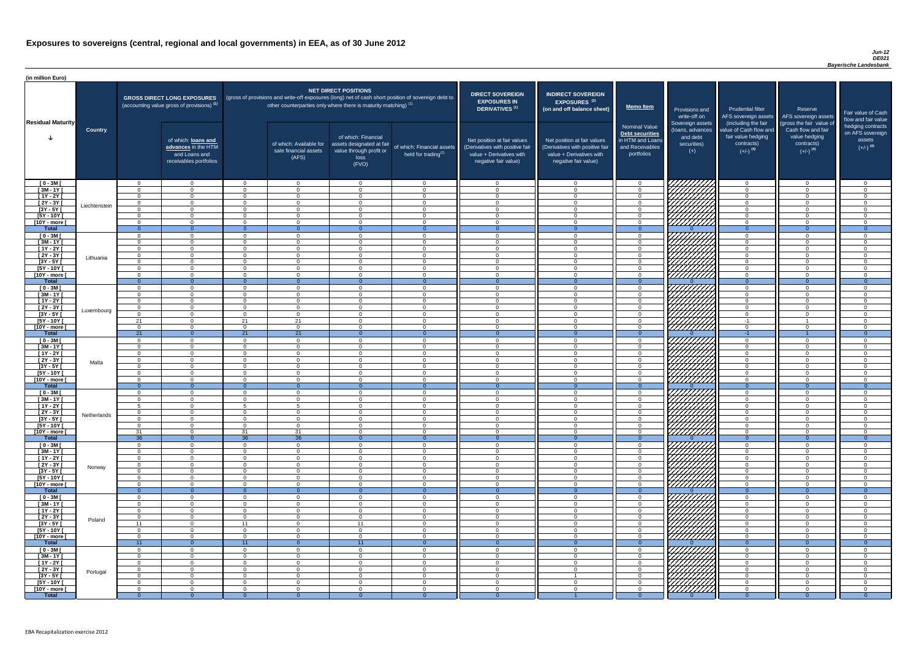### *Jun-12 DE021 Bayerische Landesbank*

| <b>DIRECT SOVEREIGN</b><br><b>EXPOSURES IN</b><br><b>DERIVATIVES<sup>(1)</sup></b>                                 | <b>INDIRECT SOVEREIGN</b><br>EXPOSURES <sup>(3)</sup><br>(on and off balance sheet)                                | <b>Memo Item</b>                                                                             | Provisions and<br>write-off on                                           | <b>Prudential filter</b><br>AFS sovereign assets                                                            | Reserve<br>AFS sovereign assets                                                                         | Fair value of Cash                                                                               |
|--------------------------------------------------------------------------------------------------------------------|--------------------------------------------------------------------------------------------------------------------|----------------------------------------------------------------------------------------------|--------------------------------------------------------------------------|-------------------------------------------------------------------------------------------------------------|---------------------------------------------------------------------------------------------------------|--------------------------------------------------------------------------------------------------|
| Net position at fair values<br>(Derivatives with positive fair<br>value + Derivatives with<br>negative fair value) | Net position at fair values<br>(Derivatives with positive fair<br>value + Derivatives with<br>negative fair value) | <b>Nominal Value</b><br>Debt securities<br>in HTM and Loans<br>and Receivables<br>portfolios | Sovereign assets<br>(loans, advances<br>and debt<br>securities)<br>$(+)$ | (including the fair<br>value of Cash flow and<br>fair value hedging<br>contracts)<br>$(+/-)$ <sup>(4)</sup> | (gross the fair value of<br>Cash flow and fair<br>value hedging<br>contracts)<br>$(+/-)$ <sup>(4)</sup> | flow and fair value<br>hedging contracts<br>on AFS sovereign<br>assets<br>$(+/-)$ <sup>(4)</sup> |
| $\mathbf 0$                                                                                                        | $\mathbf 0$                                                                                                        | $\mathbf 0$                                                                                  |                                                                          | $\overline{0}$                                                                                              | $\mathbf 0$                                                                                             | 0                                                                                                |
| $\mathbf 0$                                                                                                        | $\mathbf 0$                                                                                                        | $\mathbf 0$                                                                                  |                                                                          | $\mathbf 0$                                                                                                 | $\mathbf 0$                                                                                             | 0                                                                                                |
| $\mathbf 0$                                                                                                        | 0                                                                                                                  | $\mathbf 0$                                                                                  |                                                                          | $\mathbf 0$                                                                                                 | $\mathbf 0$                                                                                             | 0                                                                                                |
| $\mathbf 0$                                                                                                        | $\mathbf 0$                                                                                                        | $\mathbf 0$                                                                                  |                                                                          | $\mathbf 0$                                                                                                 | $\mathbf 0$                                                                                             | 0                                                                                                |
| $\mathbf 0$                                                                                                        | 0                                                                                                                  | $\mathbf 0$                                                                                  |                                                                          | $\mathbf 0$                                                                                                 | $\mathbf 0$                                                                                             | 0                                                                                                |
| $\pmb{0}$                                                                                                          | $\mathbf 0$                                                                                                        | $\mathbf 0$                                                                                  |                                                                          | $\mathbf 0$                                                                                                 | $\mathbf 0$                                                                                             | 0                                                                                                |
| $\pmb{0}$                                                                                                          | $\mathbf 0$                                                                                                        | $\mathbf 0$                                                                                  |                                                                          | $\mathbf 0$                                                                                                 | $\mathbf 0$                                                                                             | $\mathbf 0$                                                                                      |
| $\overline{0}$<br>$\mathbf 0$                                                                                      | $\overline{0}$<br>$\mathbf 0$                                                                                      | $\overline{0}$                                                                               | ∩                                                                        | $\overline{0}$<br>$\mathbf 0$                                                                               | $\overline{0}$<br>$\mathbf 0$                                                                           | $\overline{0}$<br>0                                                                              |
| $\mathbf 0$                                                                                                        | $\mathbf 0$                                                                                                        | $\mathbf 0$<br>$\mathbf 0$                                                                   |                                                                          | $\mathbf 0$                                                                                                 | $\mathbf 0$                                                                                             | 0                                                                                                |
| $\mathbf 0$                                                                                                        | $\mathbf 0$                                                                                                        | $\mathbf 0$                                                                                  |                                                                          | $\mathbf 0$                                                                                                 | $\mathbf 0$                                                                                             | 0                                                                                                |
| $\mathbf 0$                                                                                                        | $\mathbf 0$                                                                                                        | $\mathbf 0$                                                                                  |                                                                          | $\mathbf 0$                                                                                                 | $\mathbf 0$                                                                                             | 0                                                                                                |
| $\mathbf 0$                                                                                                        | $\mathbf 0$                                                                                                        | $\mathbf 0$                                                                                  |                                                                          | $\mathbf 0$                                                                                                 | $\mathbf 0$                                                                                             | 0                                                                                                |
| $\mathbf 0$                                                                                                        | $\mathbf 0$                                                                                                        | $\mathbf 0$                                                                                  |                                                                          | $\mathbf 0$                                                                                                 | $\mathbf 0$                                                                                             | 0                                                                                                |
| $\mathbf 0$                                                                                                        | $\mathbf 0$                                                                                                        | $\mathbf 0$                                                                                  |                                                                          | $\mathbf 0$                                                                                                 | $\mathbf 0$                                                                                             | 0                                                                                                |
| $\mathbf{0}$                                                                                                       | $\overline{0}$                                                                                                     | $\overline{0}$                                                                               | $\Omega$                                                                 | $\overline{0}$                                                                                              | $\overline{0}$                                                                                          | $\overline{0}$                                                                                   |
| $\mathbf 0$                                                                                                        | $\mathbf 0$                                                                                                        | $\mathbf 0$                                                                                  |                                                                          | $\mathbf 0$                                                                                                 | $\overline{0}$                                                                                          | $\mathbf 0$                                                                                      |
| $\mathbf 0$                                                                                                        | $\mathbf 0$                                                                                                        | $\pmb{0}$                                                                                    |                                                                          | $\mathbf 0$                                                                                                 | $\mathbf 0$                                                                                             | 0                                                                                                |
| $\mathbf 0$                                                                                                        | $\pmb{0}$                                                                                                          | $\mathbf 0$                                                                                  |                                                                          | $\mathbf 0$                                                                                                 | $\mathbf 0$                                                                                             | 0                                                                                                |
| $\mathbf 0$<br>$\Omega$                                                                                            | $\mathbf 0$<br>$\Omega$                                                                                            | $\mathbf 0$<br>$\overline{0}$                                                                |                                                                          | $\mathbf 0$<br>$\Omega$                                                                                     | $\mathbf 0$<br>$\Omega$                                                                                 | 0<br>$\Omega$                                                                                    |
| 0                                                                                                                  | 0                                                                                                                  | 0                                                                                            |                                                                          | $-1$                                                                                                        | -1                                                                                                      | 0                                                                                                |
| $\mathbf 0$                                                                                                        | 0                                                                                                                  | 0                                                                                            | $\angle\angle\angle$                                                     | $\mathbf 0$                                                                                                 | 0                                                                                                       | 0                                                                                                |
| $\mathbf{0}$                                                                                                       | $\overline{0}$                                                                                                     | $\mathbf{0}$                                                                                 | $\sim$ $\sim$ $\sim$<br>$\mathbf{0}$                                     | $-1$                                                                                                        |                                                                                                         | $\overline{0}$                                                                                   |
| $\mathbf 0$                                                                                                        | 0                                                                                                                  | $\mathbf 0$                                                                                  |                                                                          | $\mathbf 0$                                                                                                 | $\mathbf 0$                                                                                             | 0                                                                                                |
| $\mathbf 0$                                                                                                        | 0                                                                                                                  | $\mathbf 0$                                                                                  |                                                                          | 0                                                                                                           | 0                                                                                                       | 0                                                                                                |
| $\mathbf 0$                                                                                                        | $\mathbf 0$                                                                                                        | $\mathbf 0$                                                                                  |                                                                          | 0                                                                                                           | 0                                                                                                       | 0                                                                                                |
| 0                                                                                                                  | 0                                                                                                                  | $\mathbf 0$                                                                                  |                                                                          | 0                                                                                                           | 0                                                                                                       | 0                                                                                                |
| 0                                                                                                                  | 0                                                                                                                  | $\mathbf 0$                                                                                  |                                                                          | 0                                                                                                           | 0                                                                                                       | 0                                                                                                |
| $\mathbf 0$<br>$\mathbf 0$                                                                                         | $\mathbf 0$<br>$\mathbf 0$                                                                                         | $\mathbf 0$<br>$\mathbf 0$                                                                   |                                                                          | 0<br>0                                                                                                      | 0<br>$\mathbf 0$                                                                                        | 0<br>0                                                                                           |
| $\mathbf{0}$                                                                                                       | $\overline{0}$                                                                                                     | $\mathbf{0}$                                                                                 | $\mathbf{0}$                                                             | $\overline{0}$                                                                                              | $\overline{0}$                                                                                          | $\overline{0}$                                                                                   |
| $\mathbf 0$                                                                                                        | 0                                                                                                                  | 0                                                                                            |                                                                          | 0                                                                                                           | 0                                                                                                       | 0                                                                                                |
| $\mathbf 0$                                                                                                        | $\mathbf 0$                                                                                                        | $\mathbf 0$                                                                                  |                                                                          | $\mathbf 0$                                                                                                 | $\mathbf 0$                                                                                             | 0                                                                                                |
| 0                                                                                                                  | 0                                                                                                                  | 0                                                                                            |                                                                          | 0                                                                                                           | $\overline{0}$                                                                                          | 0                                                                                                |
| 0                                                                                                                  | $\mathbf 0$                                                                                                        | $\mathbf 0$                                                                                  |                                                                          | 0                                                                                                           | 0                                                                                                       | 0                                                                                                |
| $\mathbf 0$                                                                                                        | $\mathbf 0$                                                                                                        | $\mathbf 0$                                                                                  |                                                                          | $\mathbf 0$                                                                                                 | $\mathbf 0$                                                                                             | 0                                                                                                |
| $\mathbf 0$                                                                                                        | $\mathbf 0$                                                                                                        | $\mathbf 0$                                                                                  |                                                                          | $\mathbf 0$                                                                                                 | $\mathbf 0$                                                                                             | 0                                                                                                |
| $\mathbf 0$                                                                                                        | $\mathbf 0$                                                                                                        | $\mathbf 0$                                                                                  |                                                                          | 0<br>$\overline{0}$                                                                                         | 0                                                                                                       | 0                                                                                                |
| $\mathbf{0}$<br>$\mathbf 0$                                                                                        | $\overline{0}$<br>0                                                                                                | $\mathbf{0}$<br>$\mathbf 0$                                                                  | $\overline{0}$                                                           | 0                                                                                                           | $\overline{0}$<br>0                                                                                     | $\overline{0}$<br>0                                                                              |
| $\mathbf 0$                                                                                                        | $\mathbf 0$                                                                                                        | $\mathbf 0$                                                                                  |                                                                          | 0                                                                                                           | 0                                                                                                       | 0                                                                                                |
| $\mathbf 0$                                                                                                        | $\mathbf 0$                                                                                                        | $\mathbf 0$                                                                                  |                                                                          | 0                                                                                                           | $\mathbf 0$                                                                                             | 0                                                                                                |
| $\mathbf 0$                                                                                                        | $\mathbf 0$                                                                                                        | $\mathbf 0$                                                                                  |                                                                          | 0                                                                                                           | 0                                                                                                       | 0                                                                                                |
| $\mathbf 0$                                                                                                        | $\mathbf 0$                                                                                                        | $\mathbf 0$                                                                                  |                                                                          | $\mathbf 0$                                                                                                 | $\mathbf 0$                                                                                             | 0                                                                                                |
| $\mathbf 0$                                                                                                        | $\mathbf 0$                                                                                                        | $\mathbf 0$                                                                                  |                                                                          | $\mathbf 0$                                                                                                 | 0                                                                                                       | 0                                                                                                |
| $\mathbf 0$                                                                                                        | $\mathbf 0$                                                                                                        | $\mathbf 0$                                                                                  |                                                                          | $\mathbf 0$                                                                                                 | 0                                                                                                       | 0                                                                                                |
| $\mathbf{0}$                                                                                                       | $\overline{0}$                                                                                                     | $\mathbf{0}$                                                                                 | $\overline{0}$                                                           | $\overline{0}$                                                                                              | $\overline{0}$                                                                                          | $\overline{0}$                                                                                   |
| $\mathbf 0$<br>$\mathbf 0$                                                                                         | $\mathbf 0$<br>0                                                                                                   | $\mathbf 0$<br>$\mathbf 0$                                                                   |                                                                          | 0<br>$\mathbf 0$                                                                                            | 0<br>0                                                                                                  | 0<br>0                                                                                           |
| $\mathbf 0$                                                                                                        | 0                                                                                                                  | $\mathbf 0$                                                                                  |                                                                          | 0                                                                                                           | 0                                                                                                       | 0                                                                                                |
| 0                                                                                                                  | 0                                                                                                                  | $\mathbf 0$                                                                                  |                                                                          | 0                                                                                                           | 0                                                                                                       | 0                                                                                                |
| 0                                                                                                                  | 0                                                                                                                  | $\mathbf 0$                                                                                  |                                                                          | 0                                                                                                           | 0                                                                                                       | 0                                                                                                |
| 0                                                                                                                  | $\mathbf 0$                                                                                                        | $\mathbf 0$                                                                                  |                                                                          | 0                                                                                                           | 0                                                                                                       | 0                                                                                                |
| $\mathbf 0$                                                                                                        | 0                                                                                                                  | $\mathbf 0$                                                                                  | $\frac{7}{7}$                                                            | 0                                                                                                           | $\mathbf 0$                                                                                             | 0                                                                                                |
| $\mathbf{0}$                                                                                                       | $\overline{0}$                                                                                                     | $\overline{0}$                                                                               | $\mathbf 0$                                                              | $\overline{0}$                                                                                              | $\overline{0}$                                                                                          | $\overline{0}$                                                                                   |
| 0                                                                                                                  | 0                                                                                                                  | $\mathbf 0$                                                                                  | 7777                                                                     | 0                                                                                                           | 0                                                                                                       | 0                                                                                                |
| $\pmb{0}$                                                                                                          | $\mathbf 0$                                                                                                        | $\pmb{0}$                                                                                    | <i>VZZZZZZZ</i>                                                          | $\mathbf 0$                                                                                                 | $\mathbf 0$                                                                                             | $\pmb{0}$                                                                                        |
| $\mathbf 0$<br>$\mathbf 0$                                                                                         | $\overline{0}$<br>$\overline{0}$                                                                                   | $\mathbf 0$<br>$\mathbf 0$                                                                   |                                                                          | $\overline{0}$<br>$\overline{0}$                                                                            | $\overline{0}$<br>$\overline{0}$                                                                        | $\overline{0}$<br>$\overline{0}$                                                                 |
| $\mathsf 0$                                                                                                        | 1                                                                                                                  | $\mathbf 0$                                                                                  |                                                                          | $\mathbf 0$                                                                                                 | $\mathbf 0$                                                                                             | $\overline{0}$                                                                                   |
| $\mathbf 0$                                                                                                        | $\mathbf 0$                                                                                                        | $\mathbf 0$                                                                                  |                                                                          | $\mathbf 0$                                                                                                 | $\mathbf 0$                                                                                             | $\overline{0}$                                                                                   |
| $\mathsf 0$                                                                                                        | $\mathbf 0$                                                                                                        | $\mathbf 0$                                                                                  |                                                                          | $\mathbf 0$                                                                                                 | $\overline{0}$                                                                                          | $\overline{0}$                                                                                   |
| $\overline{0}$                                                                                                     | $\overline{1}$                                                                                                     | $\overline{0}$                                                                               | $\Omega$                                                                 | $\overline{0}$                                                                                              | $\overline{0}$                                                                                          | $\overline{0}$                                                                                   |

| (in million Euro)                   |                |                            |                                                                                             |                             |                                                                      |                                                                                              |                                                                                                     |                                                                                                                    |                                                                                                                    |                                                                                                     |                                                                          |                                                                                                             |                                                                                                         |                                                   |
|-------------------------------------|----------------|----------------------------|---------------------------------------------------------------------------------------------|-----------------------------|----------------------------------------------------------------------|----------------------------------------------------------------------------------------------|-----------------------------------------------------------------------------------------------------|--------------------------------------------------------------------------------------------------------------------|--------------------------------------------------------------------------------------------------------------------|-----------------------------------------------------------------------------------------------------|--------------------------------------------------------------------------|-------------------------------------------------------------------------------------------------------------|---------------------------------------------------------------------------------------------------------|---------------------------------------------------|
|                                     |                |                            | <b>GROSS DIRECT LONG EXPOSURES</b><br>(accounting value gross of provisions) <sup>(1)</sup> |                             | other counterparties only where there is maturity matching) $^{(1)}$ | <b>NET DIRECT POSITIONS</b>                                                                  | (gross of provisions and write-off exposures (long) net of cash short position of sovereign debt to | <b>DIRECT SOVEREIGN</b><br><b>EXPOSURES IN</b><br>DERIVATIVES <sup>(1)</sup>                                       | <b>INDIRECT SOVEREIGN</b><br><b>EXPOSURES<sup>(3)</sup></b><br>(on and off balance sheet)                          | <b>Memo Item</b>                                                                                    | Provisions and<br>write-off on                                           | <b>Prudential filter</b><br>AFS sovereign assets                                                            | Reserve<br>AFS sovereign assets                                                                         | <b>Fair value</b><br>flow and f                   |
| <b>Residual Maturity</b>            | <b>Country</b> |                            | of which: loans and<br>advances in the HTM<br>and Loans and<br>receivables portfolios       |                             | of which: Available for<br>sale financial assets<br>(AFS)            | of which: Financial<br>assets designated at fair<br>value through profit or<br>loss<br>(FVO) | of which: Financial assets<br>held for trading <sup>(2)</sup>                                       | Net position at fair values<br>(Derivatives with positive fair<br>value + Derivatives with<br>negative fair value) | Net position at fair values<br>(Derivatives with positive fair<br>value + Derivatives with<br>negative fair value) | <b>Nominal Value</b><br><b>Debt securities</b><br>in HTM and Loans<br>and Receivables<br>portfolios | Sovereign assets<br>(loans, advances<br>and debt<br>securities)<br>$(+)$ | (including the fair<br>value of Cash flow and<br>fair value hedging<br>contracts)<br>$(+/-)$ <sup>(4)</sup> | (gross the fair value of<br>Cash flow and fair<br>value hedging<br>contracts)<br>$(+/-)$ <sup>(4)</sup> | hedging o<br>on AFS <sub>s</sub><br>ass<br>$(+/-$ |
| $[0 - 3M]$                          |                | $\Omega$                   | $\Omega$                                                                                    | $\Omega$                    | $\overline{0}$                                                       | $\overline{0}$                                                                               | $\cap$                                                                                              | $\cap$                                                                                                             | $\overline{0}$                                                                                                     | $\overline{0}$                                                                                      | 7777777777                                                               | $\overline{0}$                                                                                              | $\Omega$                                                                                                |                                                   |
| $[3M - 1Y]$                         |                | $\Omega$                   | $\Omega$                                                                                    | $\Omega$                    | $\overline{0}$                                                       | $\Omega$                                                                                     | $\cap$                                                                                              |                                                                                                                    | $\Omega$                                                                                                           | $\Omega$                                                                                            |                                                                          | $\Omega$                                                                                                    | $\Omega$                                                                                                |                                                   |
| $[1Y - 2Y]$<br>$\boxed{2Y - 3Y}$    |                | $\Omega$<br>$\Omega$       | $\cap$<br>$\Omega$                                                                          | $\Omega$<br>$\Omega$        | $\overline{0}$<br>$\overline{0}$                                     | $\Omega$<br>$\Omega$                                                                         | $\cap$<br>$\Omega$                                                                                  | $\Omega$                                                                                                           | $\Omega$<br>$\Omega$                                                                                               | $\Omega$<br>$\Omega$                                                                                |                                                                          | $\Omega$<br>$\Omega$                                                                                        | $\Omega$<br>$\Omega$                                                                                    |                                                   |
| $[3Y - 5Y]$                         | Liechtenstein  | $\Omega$                   | $\cap$                                                                                      | $\Omega$                    | $\Omega$                                                             | $\Omega$                                                                                     | $\cap$                                                                                              | $\cap$                                                                                                             | - റ                                                                                                                | $\Omega$                                                                                            |                                                                          | $\Omega$                                                                                                    | $\Omega$                                                                                                |                                                   |
| $[5Y - 10Y]$                        |                | $\Omega$                   | $\cap$                                                                                      | $\Omega$                    | $\overline{0}$                                                       | $\Omega$                                                                                     | $\cap$                                                                                              | $\Omega$                                                                                                           | $\cap$                                                                                                             | $\Omega$                                                                                            | HAHARA KADALLAR<br>HAHARARA                                              | $\overline{0}$                                                                                              | $\Omega$                                                                                                |                                                   |
| [10Y - more [                       |                | $\Omega$                   | $\Omega$                                                                                    | $\Omega$                    | $\overline{0}$                                                       | $\Omega$                                                                                     | $\Omega$                                                                                            | $\Omega$                                                                                                           | $\cap$                                                                                                             | $\overline{0}$                                                                                      |                                                                          | $\overline{0}$                                                                                              | $\Omega$                                                                                                |                                                   |
| <b>Total</b>                        |                | $\Omega$<br>$\Omega$       | റ<br>$\Omega$                                                                               | - വ<br>$\Omega$             | $\Omega$                                                             | $\cap$<br>$\Omega$                                                                           | $\Omega$<br>$\Omega$                                                                                | $\Omega$                                                                                                           | $\Omega$                                                                                                           | $\Omega$<br>$\Omega$                                                                                | 77777777                                                                 | $\Omega$<br>$\Omega$                                                                                        | $\Omega$<br>$\Omega$                                                                                    |                                                   |
| $[0 - 3M]$<br>$[3M - 1Y]$           |                | $\Omega$                   | $\Omega$                                                                                    | $\Omega$                    | $\overline{0}$<br>$\overline{0}$                                     | $\Omega$                                                                                     | $\Omega$                                                                                            |                                                                                                                    | $\Omega$                                                                                                           | $\overline{0}$                                                                                      |                                                                          | $\overline{0}$                                                                                              | $\overline{0}$                                                                                          |                                                   |
| $[1Y - 2Y]$                         |                | $\Omega$                   | $\cap$                                                                                      | $\Omega$                    | $\overline{0}$                                                       | $\Omega$                                                                                     | $\Omega$                                                                                            |                                                                                                                    | $\Omega$                                                                                                           | $\overline{0}$                                                                                      |                                                                          | $\overline{0}$                                                                                              | $\Omega$                                                                                                |                                                   |
| $[2Y - 3Y]$                         | Lithuania      | $\Omega$                   | $\cap$                                                                                      | $\Omega$                    | $\Omega$                                                             | $\Omega$                                                                                     | $\Omega$                                                                                            | $\sim$                                                                                                             | $\Omega$                                                                                                           | $\Omega$                                                                                            |                                                                          | $\Omega$                                                                                                    | $\Omega$                                                                                                |                                                   |
| $[3Y - 5Y]$<br>$[5Y - 10Y]$         |                | $\Omega$<br>$\Omega$       |                                                                                             | $\Omega$<br>$\Omega$        | $\overline{0}$<br>$\overline{0}$                                     | $\Omega$<br>$\Omega$                                                                         |                                                                                                     |                                                                                                                    | $\Omega$<br>$\Omega$                                                                                               | $\overline{0}$<br>$\Omega$                                                                          | 777777777<br>777777777                                                   | $\Omega$<br>$\Omega$                                                                                        | $\Omega$<br>$\Omega$                                                                                    |                                                   |
| [10Y - more [                       |                | $\cap$                     | $\cap$                                                                                      | $\Omega$                    | $\Omega$                                                             | $\Omega$                                                                                     |                                                                                                     |                                                                                                                    | $\cap$                                                                                                             | $\Omega$                                                                                            | 777777777                                                                | $\Omega$                                                                                                    | $\Omega$                                                                                                |                                                   |
| <b>Total</b>                        |                | $\overline{0}$             |                                                                                             | $\Omega$                    | $\Omega$                                                             | - റ                                                                                          | - റ                                                                                                 |                                                                                                                    | $\Omega$                                                                                                           | $\Omega$                                                                                            |                                                                          | $\Omega$                                                                                                    | $\Omega$                                                                                                |                                                   |
| $[0 - 3M]$                          |                | $\Omega$                   | $\cap$                                                                                      | $\Omega$                    | $\Omega$                                                             | $\Omega$                                                                                     |                                                                                                     |                                                                                                                    | $\cap$                                                                                                             | . വ                                                                                                 | 777777777                                                                | $\Omega$                                                                                                    | $\Omega$                                                                                                |                                                   |
| $[3M-1Y]$<br>$[1Y - 2Y]$            |                | $\Omega$<br>$\Omega$       | $\cap$<br>$\Omega$                                                                          | $\Omega$<br>$\Omega$        | $\Omega$<br>$\Omega$                                                 | $\Omega$<br>$\Omega$                                                                         |                                                                                                     | $\Omega$<br>$\Omega$                                                                                               | $\Omega$<br>$\Omega$                                                                                               | $\Omega$<br>. റ                                                                                     |                                                                          | $\overline{0}$<br>$\Omega$                                                                                  | $\Omega$<br>$\Omega$                                                                                    |                                                   |
| $[2Y - 3Y]$                         |                | $\Omega$                   | $\cap$                                                                                      | $\Omega$                    | $\Omega$                                                             | $\Omega$                                                                                     |                                                                                                     | $\Omega$                                                                                                           | $\Omega$                                                                                                           | $\Omega$                                                                                            | $\mathbb{Z}$                                                             | $\Omega$                                                                                                    | $\Omega$                                                                                                |                                                   |
| $[3Y - 5Y]$                         | Luxembourg     |                            |                                                                                             |                             |                                                                      |                                                                                              |                                                                                                     |                                                                                                                    |                                                                                                                    |                                                                                                     |                                                                          |                                                                                                             |                                                                                                         |                                                   |
| $[5Y - 10Y]$                        |                | 21                         | $\Omega$                                                                                    | 21                          | 21                                                                   | $\Omega$                                                                                     |                                                                                                     |                                                                                                                    | $\Omega$                                                                                                           | $\Omega$                                                                                            | 444411<br>644                                                            | $-1$                                                                                                        |                                                                                                         |                                                   |
| [10Y - more ]<br><b>Total</b>       |                | $\Omega$<br>21             |                                                                                             | $\Omega$<br>$\overline{21}$ | $\overline{0}$<br>21                                                 | $\Omega$                                                                                     | $\Omega$                                                                                            |                                                                                                                    |                                                                                                                    | $\Omega$<br>$\Omega$                                                                                | 777777777                                                                | $\Omega$<br>$-1$                                                                                            |                                                                                                         |                                                   |
| $[0 - 3M]$                          |                | $\Omega$                   | $\cap$                                                                                      | $\Omega$                    | $\overline{0}$                                                       | $\Omega$                                                                                     |                                                                                                     |                                                                                                                    | $\Omega$                                                                                                           | $\Omega$                                                                                            |                                                                          | $\Omega$                                                                                                    | $\Omega$                                                                                                |                                                   |
| $[3M - 1Y]$                         |                |                            | $\Omega$                                                                                    | $\Omega$                    | $\overline{0}$                                                       | $\Omega$                                                                                     |                                                                                                     |                                                                                                                    | $\Omega$                                                                                                           | $\Omega$                                                                                            | <i>V77777777</i>                                                         | $\Omega$                                                                                                    | $\Omega$                                                                                                |                                                   |
| $[1Y - 2Y]$                         |                | $\Omega$<br>$\Omega$       | $\Omega$<br>$\cap$                                                                          | $\Omega$                    | $\overline{0}$                                                       | $\Omega$                                                                                     | ി<br>$\cap$                                                                                         | $\cap$                                                                                                             | $\Omega$                                                                                                           | $\Omega$                                                                                            | $\overline{\mathcal{L}}$                                                 | $\Omega$                                                                                                    | $\Omega$                                                                                                |                                                   |
| [2Y - 3Y [<br>$[3Y - 5Y]$           | Malta          | $\Omega$                   | $\cap$                                                                                      | - 0<br>- 0                  | $\overline{0}$<br>$\overline{0}$                                     | $\Omega$<br>$\Omega$                                                                         | $\cap$                                                                                              |                                                                                                                    | $\Omega$<br>$\Omega$                                                                                               | $\Omega$<br>$\Omega$                                                                                |                                                                          | $\Omega$<br>$\Omega$                                                                                        | $\Omega$<br>$\Omega$                                                                                    |                                                   |
| $[5Y - 10Y]$                        |                | $\Omega$                   | $\cap$                                                                                      | $\Omega$                    | $\overline{0}$                                                       | $\Omega$                                                                                     | $\Omega$                                                                                            | $\Omega$                                                                                                           | $\Omega$                                                                                                           | $\overline{0}$                                                                                      | //////////                                                               | $\Omega$                                                                                                    | $\Omega$                                                                                                |                                                   |
| [10Y - more [                       |                | $\Omega$                   | $\cap$                                                                                      | $\Omega$                    | $\Omega$                                                             | $\Omega$                                                                                     | $\cap$                                                                                              | $\Omega$                                                                                                           | $\Omega$                                                                                                           | $\Omega$                                                                                            | r <i>ttiiiin</i>                                                         | $\overline{0}$                                                                                              | $\Omega$                                                                                                |                                                   |
| <b>Total</b>                        |                | $\overline{0}$<br>$\Omega$ | $\Omega$<br>$\Omega$                                                                        | $\Omega$                    | $\Omega$                                                             | $\Omega$<br>$\Omega$                                                                         | $\overline{0}$<br>$\Omega$                                                                          | ∩                                                                                                                  | $\Omega$                                                                                                           | $\Omega$                                                                                            |                                                                          | $\Omega$<br>$\Omega$                                                                                        | - 0                                                                                                     |                                                   |
| $[0 - 3M]$<br>$[3M - 1Y]$           |                | $\Omega$                   | . റ                                                                                         | $\Omega$<br>$\Omega$        | $\overline{0}$<br>$\overline{0}$                                     | $\Omega$                                                                                     | $\Omega$                                                                                            | $\cap$                                                                                                             | $\Omega$                                                                                                           | $\overline{0}$<br>$\Omega$                                                                          |                                                                          | $\Omega$                                                                                                    | $\Omega$<br>$\overline{0}$                                                                              |                                                   |
| $[1Y - 2Y]$                         |                | $\sqrt{2}$                 | $\Omega$                                                                                    | -5                          | 5                                                                    | $\Omega$                                                                                     | $\cap$                                                                                              |                                                                                                                    | $\Omega$                                                                                                           | $\Omega$                                                                                            |                                                                          | $\overline{0}$                                                                                              | $\Omega$                                                                                                |                                                   |
| $[2Y - 3Y]$                         | Netherlands    | $\overline{0}$             | $\Omega$                                                                                    | $\Omega$                    | $\overline{0}$                                                       | $\overline{0}$                                                                               |                                                                                                     |                                                                                                                    | $\Omega$                                                                                                           | $\overline{0}$                                                                                      |                                                                          | $\overline{0}$                                                                                              | $\overline{0}$                                                                                          |                                                   |
| $[3Y - 5Y]$<br>$[5Y - 10Y]$         |                | $\Omega$<br>$\Omega$       | $\Omega$<br>$\Omega$                                                                        | $\Omega$<br>- 0             | $\Omega$<br>$\overline{0}$                                           | $\Omega$<br>$\Omega$                                                                         |                                                                                                     |                                                                                                                    | $\Omega$<br>$\Omega$                                                                                               | $\Omega$<br>$\Omega$                                                                                |                                                                          | $\Omega$<br>$\Omega$                                                                                        | $\Omega$<br>$\Omega$                                                                                    |                                                   |
| [10Y - more [                       |                | 31                         | $\Omega$                                                                                    | 31                          | 31                                                                   | $\overline{0}$                                                                               | $\cap$                                                                                              |                                                                                                                    | $\Omega$                                                                                                           | $\Omega$                                                                                            | <u> ЧШТЛ</u>                                                             | $\Omega$                                                                                                    | $\Omega$                                                                                                |                                                   |
| <b>Total</b>                        |                | $\overline{36}$            | -0                                                                                          | $\overline{36}$             | 36                                                                   | -0                                                                                           | - 0                                                                                                 |                                                                                                                    |                                                                                                                    | $\Omega$                                                                                            |                                                                          | $\overline{0}$                                                                                              | $\Omega$                                                                                                |                                                   |
| $[0 - 3M]$                          |                | $\Omega$                   | . വ                                                                                         | $\Omega$                    | $\overline{0}$                                                       | $\Omega$                                                                                     |                                                                                                     |                                                                                                                    | $\Omega$                                                                                                           | $\Omega$                                                                                            |                                                                          | $\Omega$                                                                                                    | $\Omega$                                                                                                |                                                   |
| $[3M - 1Y]$<br>$[1Y - 2Y]$          |                | $\overline{0}$<br>$\Omega$ | . റ<br>$\Omega$                                                                             | $\Omega$<br>$\Omega$        | $\overline{0}$<br>$\overline{0}$                                     | $\Omega$<br>$\Omega$                                                                         | $\cap$<br>$\cap$                                                                                    | $\Omega$<br>$\Omega$                                                                                               | $\Omega$<br>$\Omega$                                                                                               | $\Omega$<br>$\Omega$                                                                                |                                                                          | $\overline{0}$<br>$\overline{0}$                                                                            | $\Omega$<br>$\Omega$                                                                                    |                                                   |
| $[2Y - 3Y]$                         |                | $\Omega$                   | $\Omega$                                                                                    | $\Omega$                    | $\Omega$                                                             | $\Omega$                                                                                     | $\Omega$                                                                                            | $\Omega$                                                                                                           | $\Omega$                                                                                                           | $\Omega$                                                                                            |                                                                          | $\overline{0}$                                                                                              | $\Omega$                                                                                                |                                                   |
| $[3Y - 5Y]$                         | Norway         | $\Omega$                   | . റ                                                                                         | $\Omega$                    | $\overline{0}$                                                       | $\Omega$                                                                                     | $\cap$                                                                                              | $\cap$                                                                                                             | $\Omega$                                                                                                           | $\Omega$                                                                                            | HAAAB                                                                    | $\overline{0}$                                                                                              | $\Omega$                                                                                                |                                                   |
| $[5Y - 10Y]$                        |                | $\Omega$                   | $\cap$                                                                                      | $\Omega$                    | $\overline{0}$                                                       | $\Omega$                                                                                     | $\cap$                                                                                              | $\Omega$                                                                                                           | $\Omega$                                                                                                           | $\Omega$                                                                                            | 777777777                                                                | $\Omega$                                                                                                    | $\Omega$                                                                                                |                                                   |
| [10Y - more [<br><b>Total</b>       |                | $\Omega$<br>$\overline{0}$ | $\cap$                                                                                      | $\Omega$<br>- 0             | $\Omega$<br>$\Omega$                                                 | $\Omega$                                                                                     | $\cap$<br>- റ                                                                                       | $\Omega$                                                                                                           | $\Omega$                                                                                                           | $\Omega$<br>$\Omega$                                                                                | <u>V//////////</u>                                                       | $\Omega$<br>$\overline{0}$                                                                                  | $\Omega$<br>- 0                                                                                         |                                                   |
| $[0 - 3M]$                          |                | $\Omega$                   |                                                                                             | -C                          | $\Omega$                                                             | $\Omega$                                                                                     |                                                                                                     |                                                                                                                    | $\Omega$                                                                                                           | $\Omega$                                                                                            |                                                                          | $\Omega$                                                                                                    | $\Omega$                                                                                                |                                                   |
| $[3M - 1Y]$                         |                | $\Omega$                   | $\Omega$                                                                                    | $\Omega$                    | $\overline{0}$                                                       | $\Omega$                                                                                     |                                                                                                     |                                                                                                                    | $\Omega$                                                                                                           | $\Omega$                                                                                            |                                                                          | $\Omega$                                                                                                    | $\Omega$                                                                                                |                                                   |
| $[1Y - 2Y]$                         |                | $\Omega$                   | $\cap$                                                                                      | $\Omega$                    | $\overline{0}$                                                       | $\Omega$                                                                                     | $\cap$                                                                                              |                                                                                                                    | $\Omega$                                                                                                           | $\Omega$                                                                                            |                                                                          | $\Omega$                                                                                                    | $\Omega$                                                                                                |                                                   |
| $\overline{2Y - 3Y}$<br>$[3Y - 5Y]$ | Poland         | $\Omega$<br>11             | $\Omega$<br>$\cap$                                                                          | $\Omega$<br>11              | $\overline{0}$<br>$\Omega$                                           | $\Omega$<br>11                                                                               | $\cap$<br>$\Omega$                                                                                  |                                                                                                                    | $\Omega$<br>$\Omega$                                                                                               | $\Omega$<br>$\Omega$                                                                                |                                                                          | $\Omega$<br>$\Omega$                                                                                        | $\Omega$<br>$\Omega$                                                                                    |                                                   |
| $[5Y - 10Y]$                        |                | റ                          | $\cap$                                                                                      | $\Omega$                    | $\Omega$                                                             | $\Omega$                                                                                     | $\cap$                                                                                              | $\cap$                                                                                                             | $\Omega$                                                                                                           | $\Omega$                                                                                            |                                                                          | $\overline{0}$                                                                                              | $\Omega$                                                                                                |                                                   |
| [10Y - more [                       |                | $\Omega$                   | $\cap$                                                                                      | $\Omega$                    | $\Omega$                                                             | $\Omega$                                                                                     | $\Omega$                                                                                            |                                                                                                                    | $\Omega$                                                                                                           | $\Omega$                                                                                            | HHHHH                                                                    | $\Omega$                                                                                                    | $\Omega$                                                                                                |                                                   |
| <b>Total</b>                        |                | 11                         |                                                                                             | 11                          | $\Omega$                                                             | 11                                                                                           | $\Omega$                                                                                            |                                                                                                                    |                                                                                                                    | $\Omega$                                                                                            |                                                                          | $\Omega$                                                                                                    | - 0                                                                                                     |                                                   |
| $[0 - 3M]$<br>$[3M - 1Y]$           |                | $\Omega$<br>$\Omega$       | . റ                                                                                         | $\Omega$<br>$\Omega$        | $\Omega$<br>$\overline{0}$                                           | $\Omega$<br>$\overline{0}$                                                                   | $\Omega$                                                                                            |                                                                                                                    | $\Omega$<br>$\Omega$                                                                                               | $\cap$<br>$\Omega$                                                                                  | <i>VIIIIIII</i>                                                          | $\Omega$<br>$\overline{0}$                                                                                  | $\Omega$<br>$\overline{0}$                                                                              |                                                   |
| $[1Y - 2Y]$                         |                | $\Omega$                   | $\Omega$                                                                                    | $\Omega$                    | $\overline{0}$                                                       | $\overline{0}$                                                                               | $\Omega$                                                                                            | $\Omega$                                                                                                           | $\Omega$                                                                                                           | $\overline{0}$                                                                                      |                                                                          | $\Omega$                                                                                                    | $\Omega$                                                                                                |                                                   |
| $[2Y - 3Y]$                         | Portugal       | $\overline{0}$             | $\overline{0}$                                                                              | $\Omega$                    | $\overline{0}$                                                       | $\overline{0}$                                                                               | $\Omega$                                                                                            | $\Omega$                                                                                                           | $\Omega$                                                                                                           | $\overline{0}$                                                                                      |                                                                          | $\overline{0}$                                                                                              | $\Omega$                                                                                                |                                                   |
| $[3Y - 5Y]$                         |                | $\Omega$                   | $\Omega$                                                                                    | - റ                         | $\overline{0}$                                                       | $\Omega$                                                                                     |                                                                                                     | $\Omega$                                                                                                           |                                                                                                                    | $\Omega$                                                                                            |                                                                          | $\Omega$                                                                                                    | $\Omega$                                                                                                | $\cap$                                            |
| $[5Y - 10Y]$<br>[10Y - more [       |                |                            | $\Omega$<br>- 0                                                                             | $\Omega$<br>- 0             | $\overline{0}$<br>$\Omega$                                           | $\overline{0}$<br>$\Omega$                                                                   |                                                                                                     |                                                                                                                    | $\Omega$<br>$\Omega$                                                                                               | $\Omega$<br>$\Omega$                                                                                | William                                                                  | $\Omega$<br>$\Omega$                                                                                        | $\Omega$<br>$\Omega$                                                                                    | $\cap$<br>$\cap$                                  |
| <b>Total</b>                        |                | $\Omega$                   |                                                                                             |                             |                                                                      |                                                                                              |                                                                                                     |                                                                                                                    |                                                                                                                    |                                                                                                     |                                                                          |                                                                                                             |                                                                                                         |                                                   |